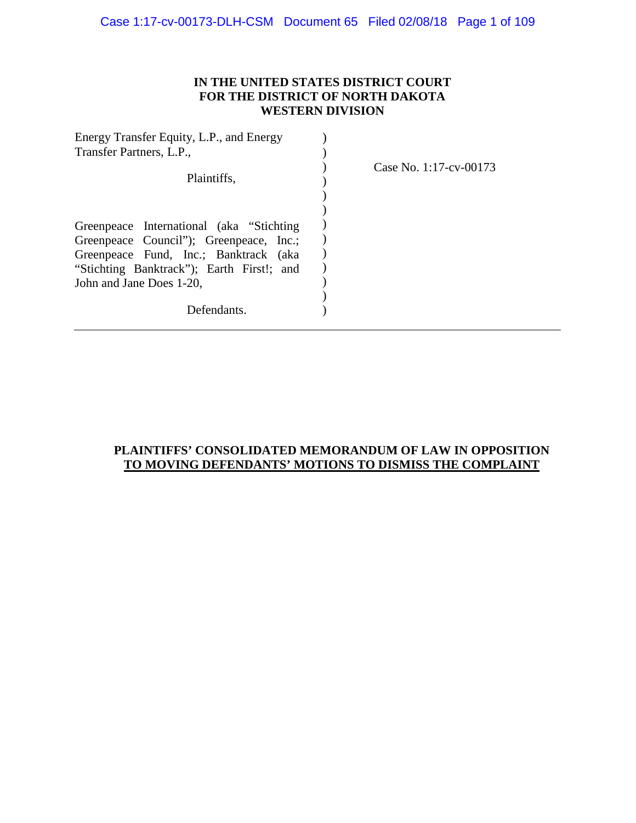## **IN THE UNITED STATES DISTRICT COURT FOR THE DISTRICT OF NORTH DAKOTA WESTERN DIVISION**

| Energy Transfer Equity, L.P., and Energy  |                        |
|-------------------------------------------|------------------------|
| Transfer Partners, L.P.,                  |                        |
| Plaintiffs,                               | Case No. 1:17-cv-00173 |
|                                           |                        |
| Greenpeace International (aka "Stichting  |                        |
| Greenpeace Council"); Greenpeace, Inc.;   |                        |
| Greenpeace Fund, Inc.; Banktrack (aka     |                        |
| "Stichting Banktrack"); Earth First!; and |                        |
| John and Jane Does 1-20,                  |                        |
|                                           |                        |
| Defendants.                               |                        |
|                                           |                        |

# **PLAINTIFFS' CONSOLIDATED MEMORANDUM OF LAW IN OPPOSITION TO MOVING DEFENDANTS' MOTIONS TO DISMISS THE COMPLAINT**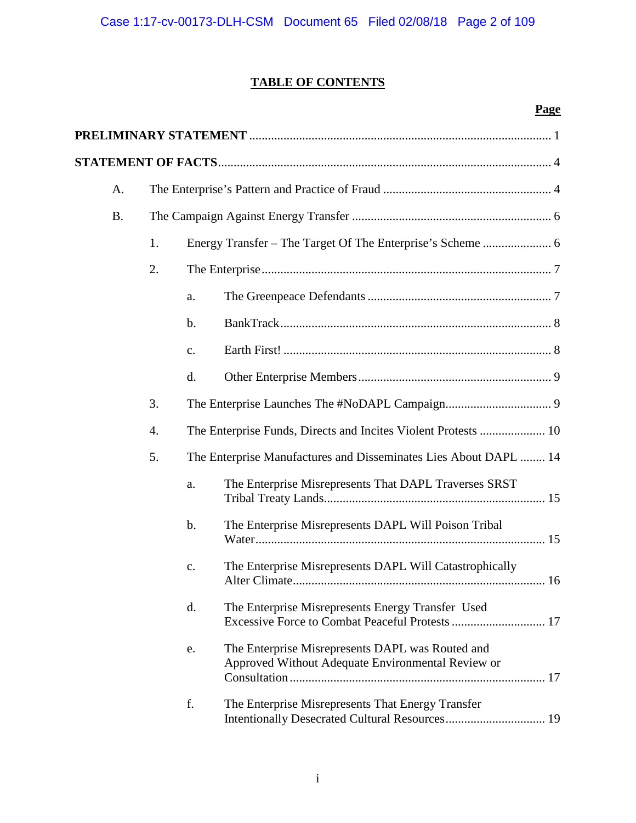# **TABLE OF CONTENTS**

## **Page**

| A.        |                  |                                                                                                             |
|-----------|------------------|-------------------------------------------------------------------------------------------------------------|
| <b>B.</b> |                  |                                                                                                             |
|           | 1.               |                                                                                                             |
|           | 2.               |                                                                                                             |
|           |                  | a.                                                                                                          |
|           |                  | $\mathbf b$ .                                                                                               |
|           |                  | c.                                                                                                          |
|           |                  | d.                                                                                                          |
|           | 3.               |                                                                                                             |
|           | $\overline{4}$ . | The Enterprise Funds, Directs and Incites Violent Protests  10                                              |
|           | 5.               | The Enterprise Manufactures and Disseminates Lies About DAPL  14                                            |
|           |                  | The Enterprise Misrepresents That DAPL Traverses SRST<br>a.                                                 |
|           |                  | The Enterprise Misrepresents DAPL Will Poison Tribal<br>$\mathbf b$ .                                       |
|           |                  | The Enterprise Misrepresents DAPL Will Catastrophically<br>c.                                               |
|           |                  | The Enterprise Misrepresents Energy Transfer Used<br>$\mathbf{d}$ .                                         |
|           |                  | The Enterprise Misrepresents DAPL was Routed and<br>e.<br>Approved Without Adequate Environmental Review or |
|           |                  | f.<br>The Enterprise Misrepresents That Energy Transfer                                                     |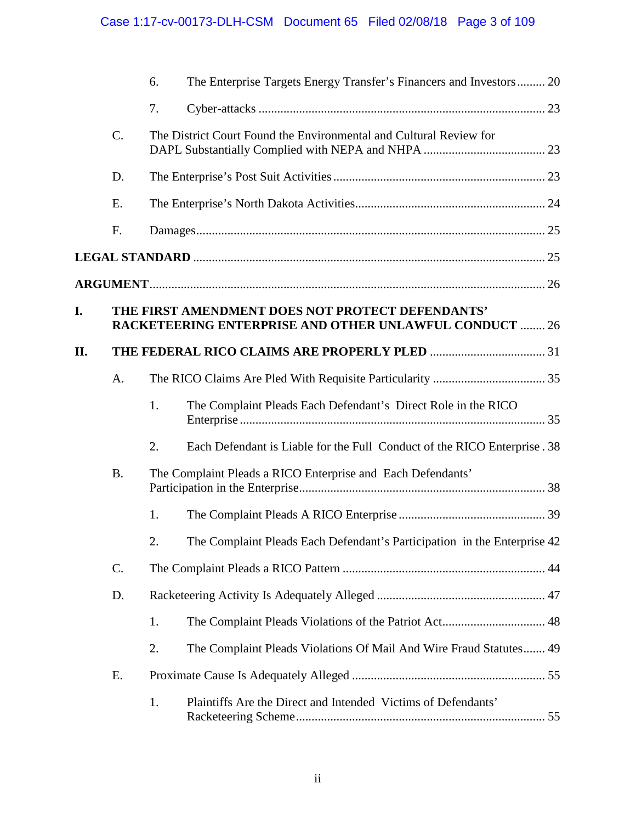# Case 1:17-cv-00173-DLH-CSM Document 65 Filed 02/08/18 Page 3 of 109

|     |           | 6. | The Enterprise Targets Energy Transfer's Financers and Investors 20                                               |  |
|-----|-----------|----|-------------------------------------------------------------------------------------------------------------------|--|
|     |           | 7. |                                                                                                                   |  |
|     | C.        |    | The District Court Found the Environmental and Cultural Review for                                                |  |
|     | D.        |    |                                                                                                                   |  |
|     | E.        |    |                                                                                                                   |  |
|     | F.        |    |                                                                                                                   |  |
|     |           |    |                                                                                                                   |  |
|     |           |    |                                                                                                                   |  |
| I.  |           |    | THE FIRST AMENDMENT DOES NOT PROTECT DEFENDANTS'<br><b>RACKETEERING ENTERPRISE AND OTHER UNLAWFUL CONDUCT  26</b> |  |
| II. |           |    |                                                                                                                   |  |
|     | A.        |    |                                                                                                                   |  |
|     |           | 1. | The Complaint Pleads Each Defendant's Direct Role in the RICO                                                     |  |
|     |           | 2. | Each Defendant is Liable for the Full Conduct of the RICO Enterprise. 38                                          |  |
|     | <b>B.</b> |    | The Complaint Pleads a RICO Enterprise and Each Defendants'                                                       |  |
|     |           | 1. |                                                                                                                   |  |
|     |           | 2. | The Complaint Pleads Each Defendant's Participation in the Enterprise 42                                          |  |
|     | C.        |    |                                                                                                                   |  |
|     | D.        |    |                                                                                                                   |  |
|     |           | 1. |                                                                                                                   |  |
|     |           | 2. | The Complaint Pleads Violations Of Mail And Wire Fraud Statutes 49                                                |  |
|     | E.        |    |                                                                                                                   |  |
|     |           | 1. | Plaintiffs Are the Direct and Intended Victims of Defendants'                                                     |  |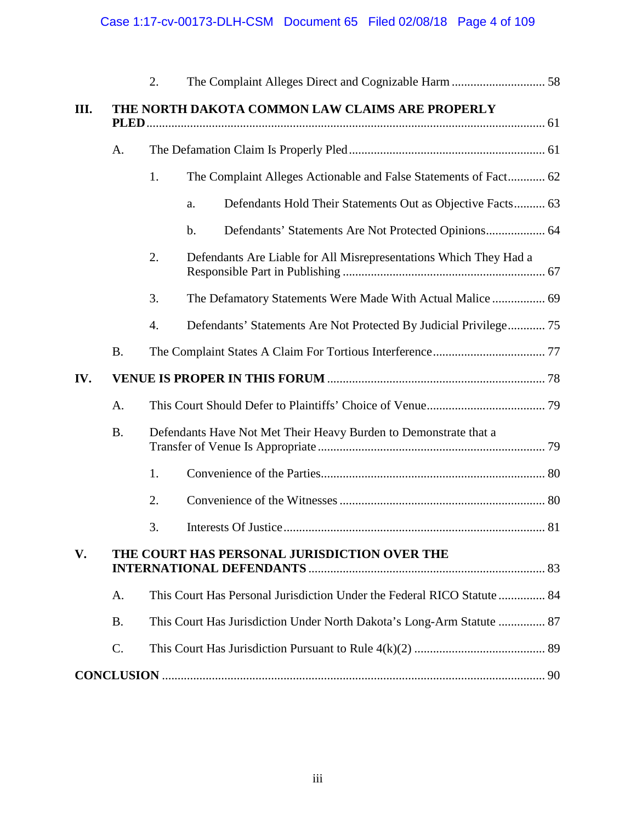|           | 2. |                                                                         |  |
|-----------|----|-------------------------------------------------------------------------|--|
|           |    | THE NORTH DAKOTA COMMON LAW CLAIMS ARE PROPERLY                         |  |
| A.        |    |                                                                         |  |
|           | 1. | The Complaint Alleges Actionable and False Statements of Fact 62        |  |
|           |    | Defendants Hold Their Statements Out as Objective Facts 63<br>a.        |  |
|           |    | b.                                                                      |  |
|           | 2. | Defendants Are Liable for All Misrepresentations Which They Had a       |  |
|           | 3. | The Defamatory Statements Were Made With Actual Malice  69              |  |
|           | 4. | Defendants' Statements Are Not Protected By Judicial Privilege 75       |  |
| <b>B.</b> |    |                                                                         |  |
|           |    |                                                                         |  |
| A.        |    |                                                                         |  |
| <b>B.</b> |    | Defendants Have Not Met Their Heavy Burden to Demonstrate that a        |  |
|           | 1. |                                                                         |  |
|           | 2. |                                                                         |  |
|           | 3. |                                                                         |  |
|           |    | THE COURT HAS PERSONAL JURISDICTION OVER THE                            |  |
| A.        |    | This Court Has Personal Jurisdiction Under the Federal RICO Statute  84 |  |
| <b>B.</b> |    | This Court Has Jurisdiction Under North Dakota's Long-Arm Statute  87   |  |
|           |    |                                                                         |  |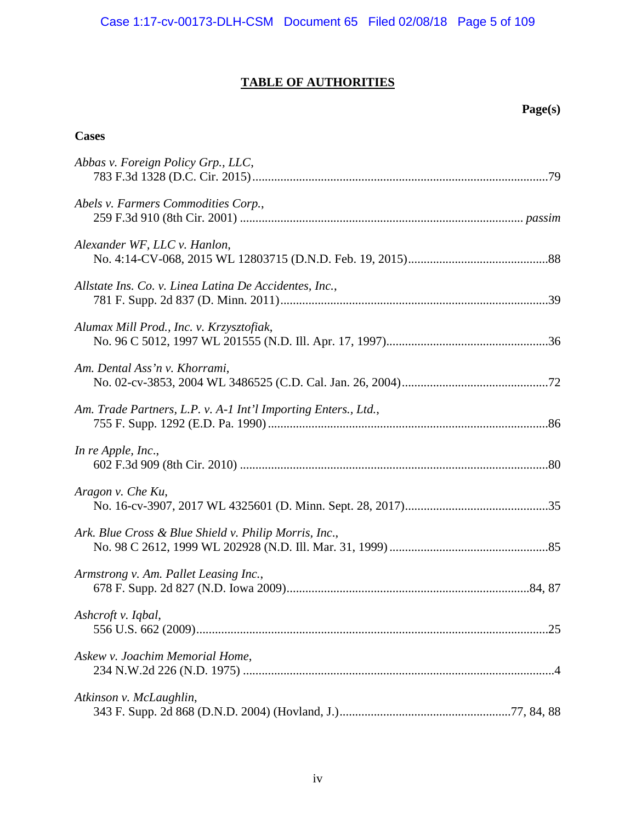# **TABLE OF AUTHORITIES**

## **Page(s)**

### **Cases**

| Abbas v. Foreign Policy Grp., LLC,                             |  |
|----------------------------------------------------------------|--|
| Abels v. Farmers Commodities Corp.,                            |  |
| Alexander WF, LLC v. Hanlon,                                   |  |
| Allstate Ins. Co. v. Linea Latina De Accidentes, Inc.,         |  |
| Alumax Mill Prod., Inc. v. Krzysztofiak,                       |  |
| Am. Dental Ass'n v. Khorrami,                                  |  |
| Am. Trade Partners, L.P. v. A-1 Int'l Importing Enters., Ltd., |  |
| In re Apple, Inc.,                                             |  |
| Aragon v. Che Ku,                                              |  |
| Ark. Blue Cross & Blue Shield v. Philip Morris, Inc.,          |  |
| Armstrong v. Am. Pallet Leasing Inc.,                          |  |
| Ashcroft v. Iqbal,                                             |  |
| Askew v. Joachim Memorial Home,                                |  |
| Atkinson v. McLaughlin,                                        |  |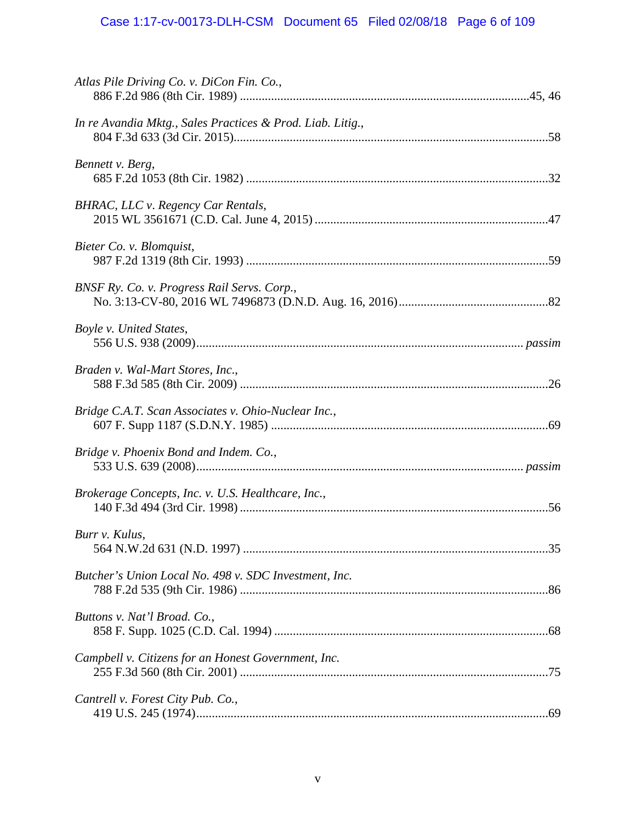# Case 1:17-cv-00173-DLH-CSM Document 65 Filed 02/08/18 Page 6 of 109

| Atlas Pile Driving Co. v. DiCon Fin. Co.,                  |  |
|------------------------------------------------------------|--|
| In re Avandia Mktg., Sales Practices & Prod. Liab. Litig., |  |
| Bennett v. Berg,                                           |  |
| BHRAC, LLC v. Regency Car Rentals,                         |  |
| Bieter Co. v. Blomquist,                                   |  |
| BNSF Ry. Co. v. Progress Rail Servs. Corp.,                |  |
| Boyle v. United States,                                    |  |
| Braden v. Wal-Mart Stores, Inc.,                           |  |
| Bridge C.A.T. Scan Associates v. Ohio-Nuclear Inc.,        |  |
| Bridge v. Phoenix Bond and Indem. Co.,                     |  |
| Brokerage Concepts, Inc. v. U.S. Healthcare, Inc.,         |  |
| Burr v. Kulus,                                             |  |
| Butcher's Union Local No. 498 v. SDC Investment, Inc.      |  |
| Buttons v. Nat'l Broad. Co.,                               |  |
| Campbell v. Citizens for an Honest Government, Inc.        |  |
| Cantrell v. Forest City Pub. Co.,                          |  |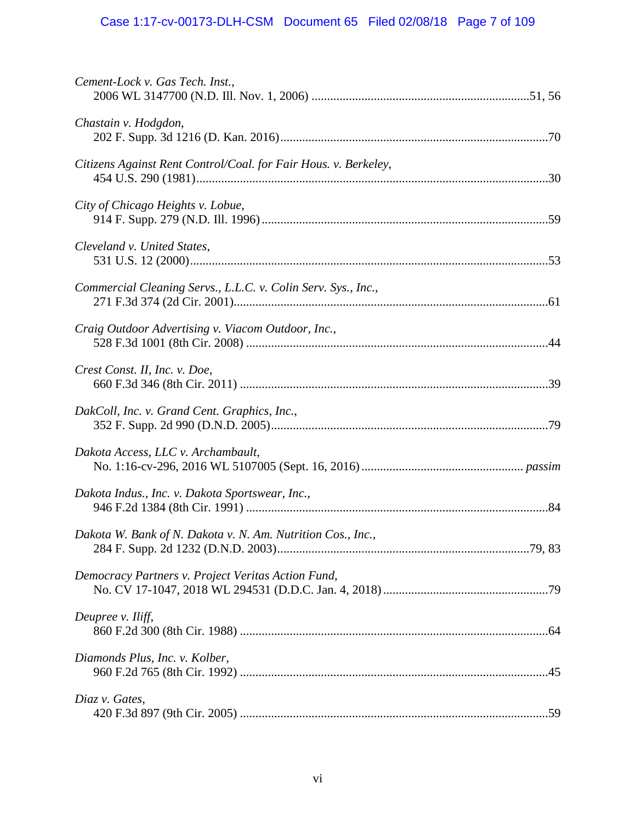# Case 1:17-cv-00173-DLH-CSM Document 65 Filed 02/08/18 Page 7 of 109

| Cement-Lock v. Gas Tech. Inst.,                                 |  |
|-----------------------------------------------------------------|--|
| Chastain v. Hodgdon,                                            |  |
| Citizens Against Rent Control/Coal. for Fair Hous. v. Berkeley, |  |
| City of Chicago Heights v. Lobue,                               |  |
| Cleveland v. United States,                                     |  |
| Commercial Cleaning Servs., L.L.C. v. Colin Serv. Sys., Inc.,   |  |
| Craig Outdoor Advertising v. Viacom Outdoor, Inc.,              |  |
| Crest Const. II, Inc. v. Doe,                                   |  |
| DakColl, Inc. v. Grand Cent. Graphics, Inc.,                    |  |
| Dakota Access, LLC v. Archambault,                              |  |
| Dakota Indus., Inc. v. Dakota Sportswear, Inc.,                 |  |
| Dakota W. Bank of N. Dakota v. N. Am. Nutrition Cos., Inc.,     |  |
| Democracy Partners v. Project Veritas Action Fund,              |  |
| Deupree v. Iliff,                                               |  |
| Diamonds Plus, Inc. v. Kolber,                                  |  |
| Diaz v. Gates,                                                  |  |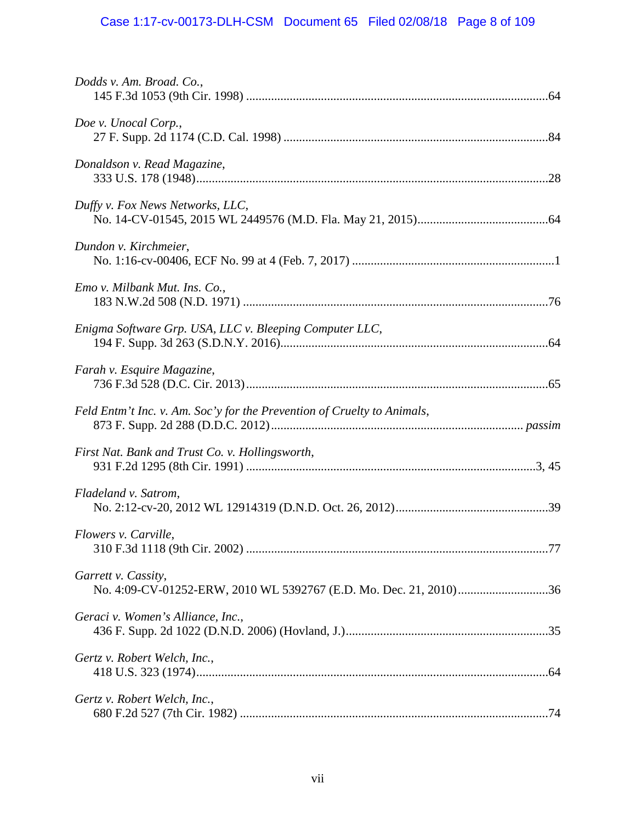# Case 1:17-cv-00173-DLH-CSM Document 65 Filed 02/08/18 Page 8 of 109

| Dodds v. Am. Broad. Co.,                                                |  |
|-------------------------------------------------------------------------|--|
| Doe v. Unocal Corp.,                                                    |  |
| Donaldson v. Read Magazine,                                             |  |
| Duffy v. Fox News Networks, LLC,                                        |  |
| Dundon v. Kirchmeier,                                                   |  |
| Emo v. Milbank Mut. Ins. Co.,                                           |  |
| Enigma Software Grp. USA, LLC v. Bleeping Computer LLC,                 |  |
| Farah v. Esquire Magazine,                                              |  |
| Feld Entm't Inc. v. Am. Soc'y for the Prevention of Cruelty to Animals, |  |
| First Nat. Bank and Trust Co. v. Hollingsworth,                         |  |
| Fladeland v. Satrom,                                                    |  |
| Flowers v. Carville,                                                    |  |
| Garrett v. Cassity,                                                     |  |
| Geraci v. Women's Alliance, Inc.,                                       |  |
| Gertz v. Robert Welch, Inc.,                                            |  |
| Gertz v. Robert Welch, Inc.,                                            |  |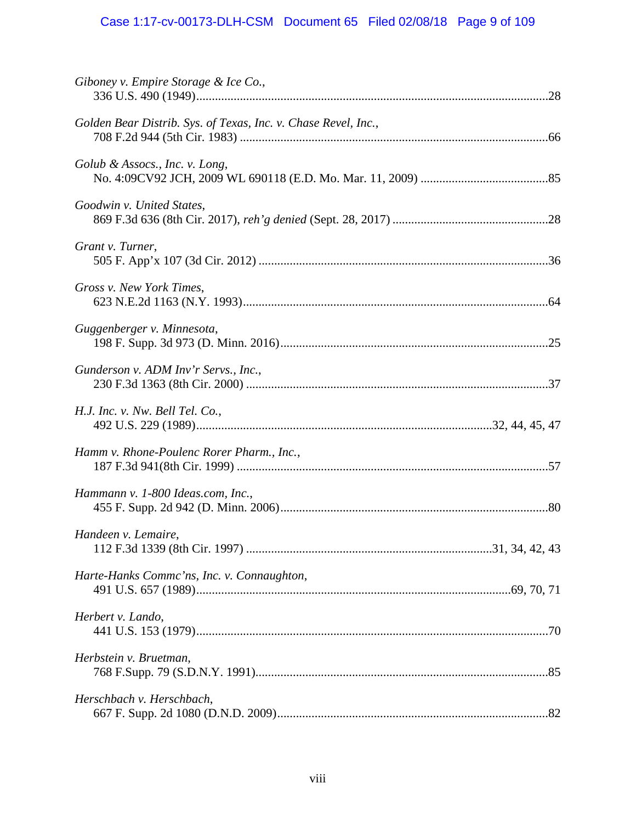# Case 1:17-cv-00173-DLH-CSM Document 65 Filed 02/08/18 Page 9 of 109

| Giboney v. Empire Storage & Ice Co.,                           |  |
|----------------------------------------------------------------|--|
| Golden Bear Distrib. Sys. of Texas, Inc. v. Chase Revel, Inc., |  |
| Golub & Assocs., Inc. v. Long,                                 |  |
| Goodwin v. United States,                                      |  |
| Grant v. Turner,                                               |  |
| Gross v. New York Times,                                       |  |
| Guggenberger v. Minnesota,                                     |  |
| Gunderson v. ADM Inv'r Servs., Inc.,                           |  |
| H.J. Inc. v. Nw. Bell Tel. Co.,                                |  |
| Hamm v. Rhone-Poulenc Rorer Pharm., Inc.,                      |  |
| Hammann v. 1-800 Ideas.com, Inc.,                              |  |
| Handeen v. Lemaire,                                            |  |
| Harte-Hanks Commc'ns, Inc. v. Connaughton,                     |  |
| Herbert v. Lando,                                              |  |
| Herbstein v. Bruetman,                                         |  |
| Herschbach v. Herschbach,                                      |  |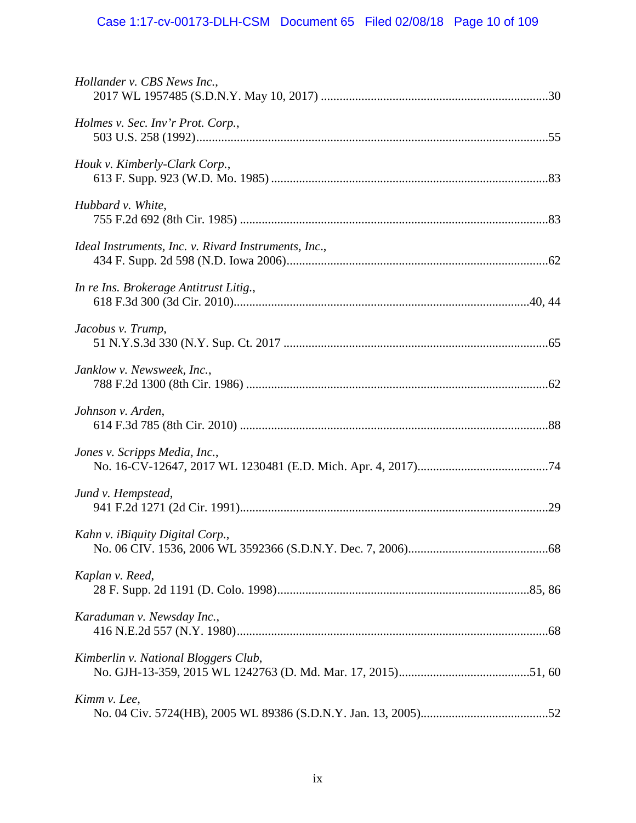# Case 1:17-cv-00173-DLH-CSM Document 65 Filed 02/08/18 Page 10 of 109

| Hollander v. CBS News Inc.,                          |  |
|------------------------------------------------------|--|
| Holmes v. Sec. Inv'r Prot. Corp.,                    |  |
| Houk v. Kimberly-Clark Corp.,                        |  |
| Hubbard v. White,                                    |  |
| Ideal Instruments, Inc. v. Rivard Instruments, Inc., |  |
| In re Ins. Brokerage Antitrust Litig.,               |  |
| Jacobus v. Trump,                                    |  |
| Janklow v. Newsweek, Inc.,                           |  |
| Johnson v. Arden,                                    |  |
| Jones v. Scripps Media, Inc.,                        |  |
| Jund v. Hempstead,                                   |  |
| Kahn v. iBiquity Digital Corp.,                      |  |
| Kaplan v. Reed,                                      |  |
| Karaduman v. Newsday Inc.,                           |  |
| Kimberlin v. National Bloggers Club,                 |  |
| Kimm v. Lee,                                         |  |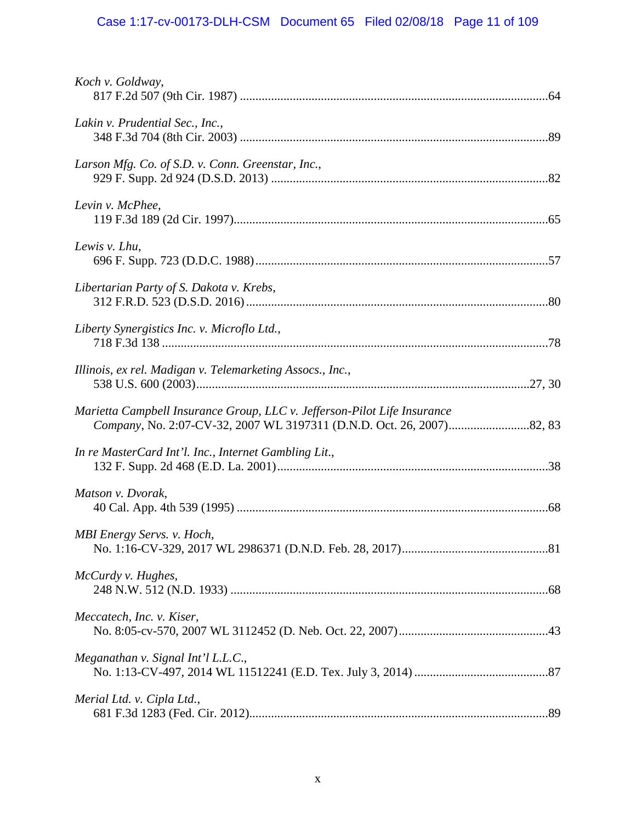# Case 1:17-cv-00173-DLH-CSM Document 65 Filed 02/08/18 Page 11 of 109

| Koch v. Goldway,                                                         |  |
|--------------------------------------------------------------------------|--|
| Lakin v. Prudential Sec., Inc.,                                          |  |
| Larson Mfg. Co. of S.D. v. Conn. Greenstar, Inc.,                        |  |
| Levin v. McPhee,                                                         |  |
| Lewis v. Lhu,                                                            |  |
| Libertarian Party of S. Dakota v. Krebs,                                 |  |
| Liberty Synergistics Inc. v. Microflo Ltd.,                              |  |
| Illinois, ex rel. Madigan v. Telemarketing Assocs., Inc.,                |  |
| Marietta Campbell Insurance Group, LLC v. Jefferson-Pilot Life Insurance |  |
| In re MasterCard Int'l. Inc., Internet Gambling Lit.,                    |  |
| Matson v. Dvorak,                                                        |  |
| MBI Energy Servs. v. Hoch,                                               |  |
| McCurdy v. Hughes,                                                       |  |
| Meccatech, Inc. v. Kiser,                                                |  |
| Meganathan v. Signal Int'l L.L.C.,                                       |  |
| Merial Ltd. v. Cipla Ltd.,                                               |  |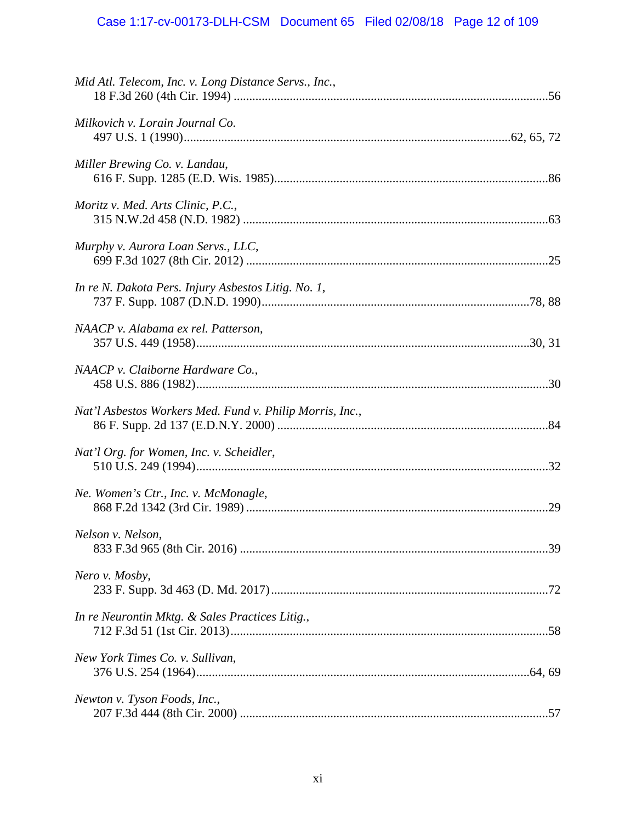| Mid Atl. Telecom, Inc. v. Long Distance Servs., Inc.,    |  |
|----------------------------------------------------------|--|
| Milkovich v. Lorain Journal Co.                          |  |
| Miller Brewing Co. v. Landau,                            |  |
| Moritz v. Med. Arts Clinic, P.C.,                        |  |
| Murphy v. Aurora Loan Servs., LLC,                       |  |
| In re N. Dakota Pers. Injury Asbestos Litig. No. 1,      |  |
| NAACP v. Alabama ex rel. Patterson,                      |  |
| NAACP v. Claiborne Hardware Co.,                         |  |
| Nat'l Asbestos Workers Med. Fund v. Philip Morris, Inc., |  |
| Nat'l Org. for Women, Inc. v. Scheidler,                 |  |
| Ne. Women's Ctr., Inc. v. McMonagle,                     |  |
| Nelson v. Nelson,                                        |  |
| Nero v. Mosby,                                           |  |
| In re Neurontin Mktg. & Sales Practices Litig.,          |  |
| New York Times Co. v. Sullivan,                          |  |
| Newton v. Tyson Foods, Inc.,                             |  |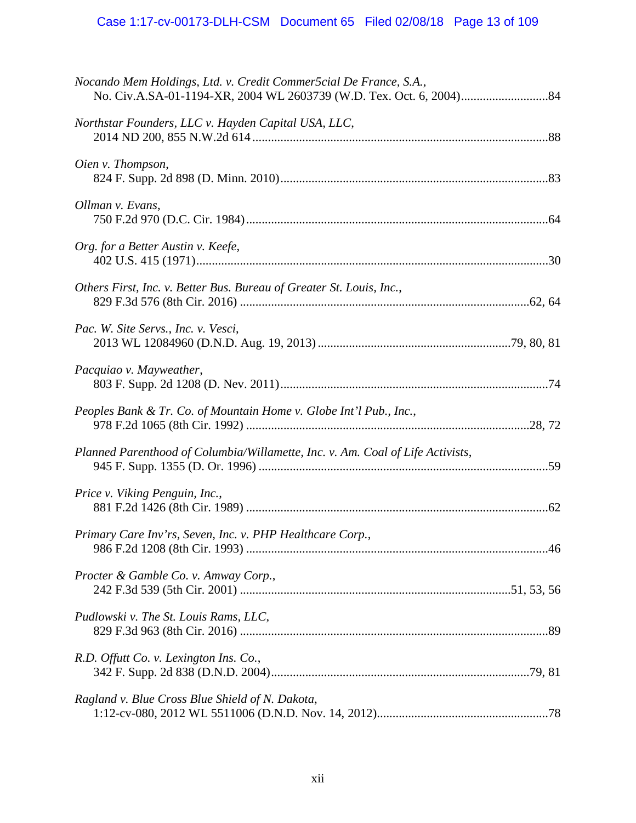| Nocando Mem Holdings, Ltd. v. Credit Commer5cial De France, S.A.,              |  |
|--------------------------------------------------------------------------------|--|
| Northstar Founders, LLC v. Hayden Capital USA, LLC,                            |  |
| Oien v. Thompson,                                                              |  |
| Ollman v. Evans,                                                               |  |
| Org. for a Better Austin v. Keefe,                                             |  |
| Others First, Inc. v. Better Bus. Bureau of Greater St. Louis, Inc.,           |  |
| Pac. W. Site Servs., Inc. v. Vesci,                                            |  |
| Pacquiao v. Mayweather,                                                        |  |
| Peoples Bank & Tr. Co. of Mountain Home v. Globe Int'l Pub., Inc.,             |  |
| Planned Parenthood of Columbia/Willamette, Inc. v. Am. Coal of Life Activists, |  |
| Price v. Viking Penguin, Inc.,                                                 |  |
| Primary Care Inv'rs, Seven, Inc. v. PHP Healthcare Corp.,                      |  |
| Procter & Gamble Co. v. Amway Corp.,                                           |  |
| Pudlowski v. The St. Louis Rams, LLC,                                          |  |
| R.D. Offutt Co. v. Lexington Ins. Co.,                                         |  |
| Ragland v. Blue Cross Blue Shield of N. Dakota,                                |  |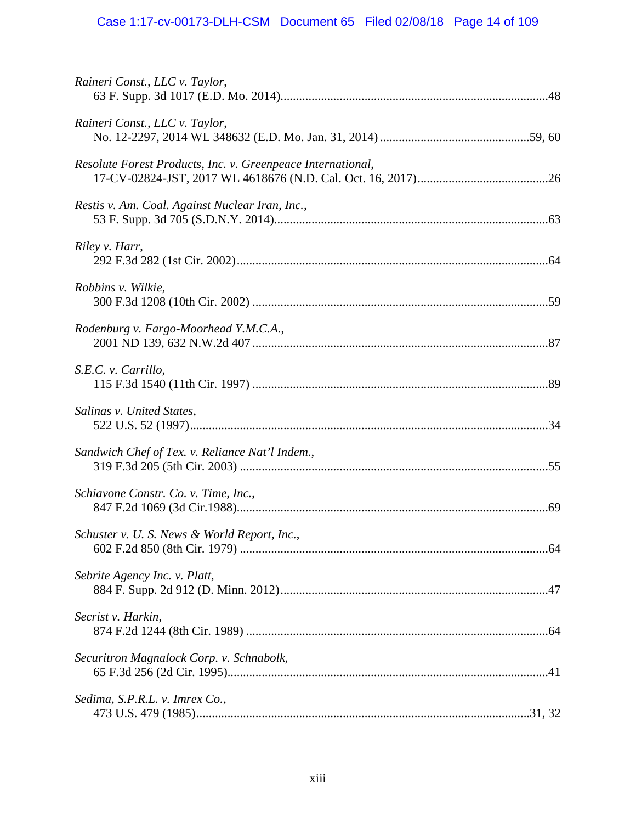# Case 1:17-cv-00173-DLH-CSM Document 65 Filed 02/08/18 Page 14 of 109

| Raineri Const., LLC v. Taylor,                              |  |
|-------------------------------------------------------------|--|
| Raineri Const., LLC v. Taylor,                              |  |
| Resolute Forest Products, Inc. v. Greenpeace International, |  |
| Restis v. Am. Coal. Against Nuclear Iran, Inc.,             |  |
| Riley v. Harr,                                              |  |
| Robbins v. Wilkie,                                          |  |
| Rodenburg v. Fargo-Moorhead Y.M.C.A.,                       |  |
| S.E.C. v. Carrillo,                                         |  |
| Salinas v. United States,                                   |  |
| Sandwich Chef of Tex. v. Reliance Nat'l Indem.,             |  |
| Schiavone Constr. Co. v. Time, Inc.,                        |  |
| Schuster v. U. S. News & World Report, Inc.,                |  |
| Sebrite Agency Inc. v. Platt,                               |  |
| Secrist v. Harkin,                                          |  |
| Securitron Magnalock Corp. v. Schnabolk,                    |  |
| Sedima, S.P.R.L. v. Imrex Co.,                              |  |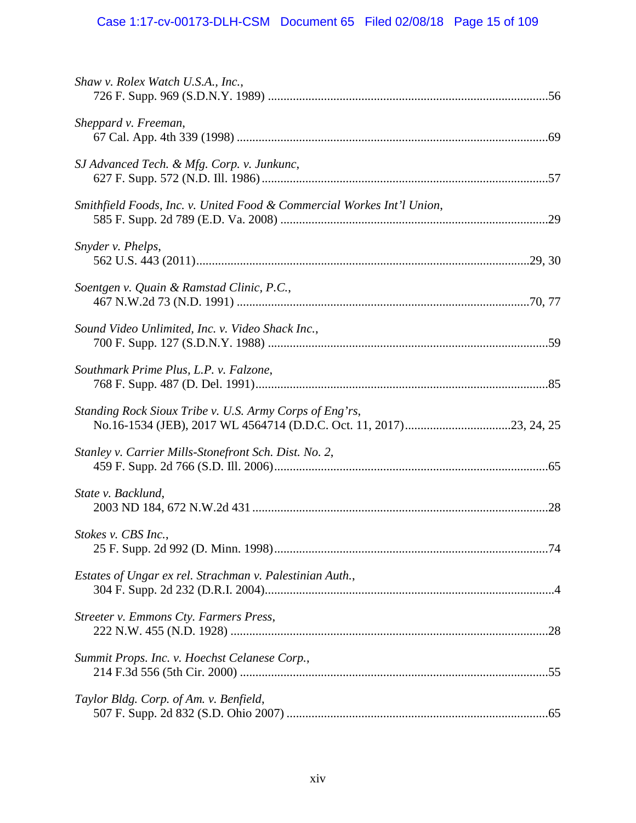# Case 1:17-cv-00173-DLH-CSM Document 65 Filed 02/08/18 Page 15 of 109

| Shaw v. Rolex Watch U.S.A., Inc.,                                      |  |
|------------------------------------------------------------------------|--|
| Sheppard v. Freeman,                                                   |  |
| SJ Advanced Tech. & Mfg. Corp. v. Junkunc,                             |  |
| Smithfield Foods, Inc. v. United Food & Commercial Workes Int'l Union, |  |
| Snyder v. Phelps,                                                      |  |
| Soentgen v. Quain & Ramstad Clinic, P.C.,                              |  |
| Sound Video Unlimited, Inc. v. Video Shack Inc.,                       |  |
| Southmark Prime Plus, L.P. v. Falzone,                                 |  |
| Standing Rock Sioux Tribe v. U.S. Army Corps of Eng'rs,                |  |
| Stanley v. Carrier Mills-Stonefront Sch. Dist. No. 2,                  |  |
| State v. Backlund,                                                     |  |
| Stokes v. CBS Inc.,                                                    |  |
| Estates of Ungar ex rel. Strachman v. Palestinian Auth.,               |  |
| Streeter v. Emmons Cty. Farmers Press,                                 |  |
| Summit Props. Inc. v. Hoechst Celanese Corp.,                          |  |
| Taylor Bldg. Corp. of Am. v. Benfield,                                 |  |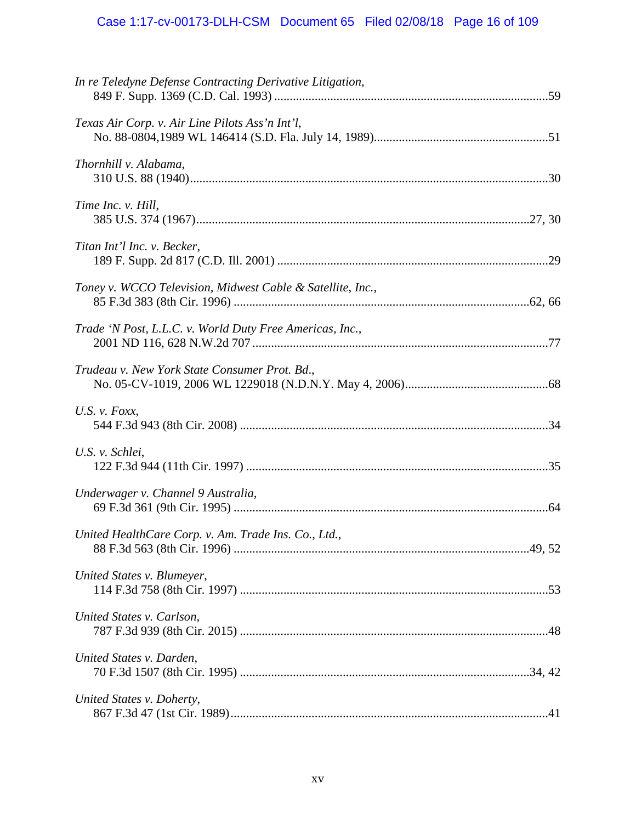| In re Teledyne Defense Contracting Derivative Litigation,  |  |
|------------------------------------------------------------|--|
| Texas Air Corp. v. Air Line Pilots Ass'n Int'l,            |  |
| Thornhill v. Alabama,                                      |  |
| Time Inc. v. Hill,                                         |  |
| Titan Int'l Inc. v. Becker,                                |  |
| Toney v. WCCO Television, Midwest Cable & Satellite, Inc., |  |
| Trade 'N Post, L.L.C. v. World Duty Free Americas, Inc.,   |  |
| Trudeau v. New York State Consumer Prot. Bd.,              |  |
| U.S. $v.$ Foxx,                                            |  |
| U.S. v. Schlei,                                            |  |
| Underwager v. Channel 9 Australia,                         |  |
| United HealthCare Corp. v. Am. Trade Ins. Co., Ltd.,       |  |
| United States v. Blumeyer,                                 |  |
| United States v. Carlson,                                  |  |
| United States v. Darden,                                   |  |
| United States v. Doherty,                                  |  |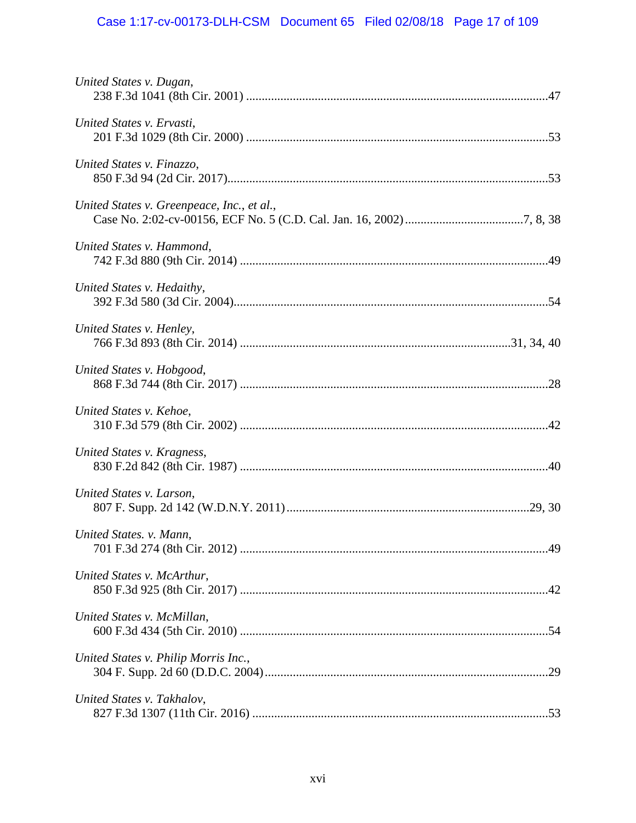# Case 1:17-cv-00173-DLH-CSM Document 65 Filed 02/08/18 Page 17 of 109

| United States v. Dugan,                    |  |
|--------------------------------------------|--|
| United States v. Ervasti,                  |  |
| United States v. Finazzo,                  |  |
| United States v. Greenpeace, Inc., et al., |  |
| United States v. Hammond,                  |  |
| United States v. Hedaithy,                 |  |
| United States v. Henley,                   |  |
| United States v. Hobgood,                  |  |
| United States v. Kehoe,                    |  |
| United States v. Kragness,                 |  |
| United States v. Larson,                   |  |
| United States. v. Mann,                    |  |
| United States v. McArthur,                 |  |
| United States v. McMillan,                 |  |
| United States v. Philip Morris Inc.,       |  |
| United States v. Takhalov,                 |  |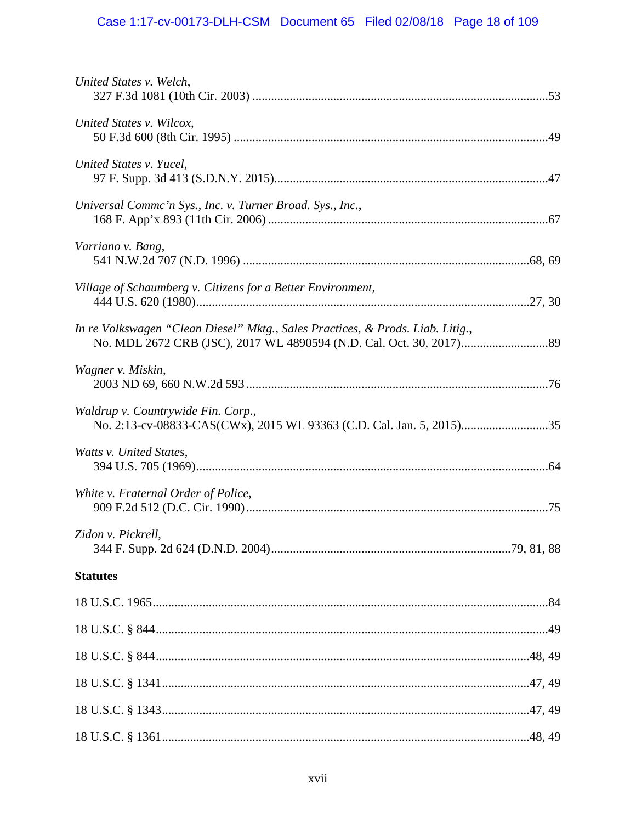# Case 1:17-cv-00173-DLH-CSM Document 65 Filed 02/08/18 Page 18 of 109

| United States v. Welch,                                                        |  |
|--------------------------------------------------------------------------------|--|
| United States v. Wilcox,                                                       |  |
| United States v. Yucel,                                                        |  |
| Universal Commc'n Sys., Inc. v. Turner Broad. Sys., Inc.,                      |  |
| Varriano v. Bang,                                                              |  |
| Village of Schaumberg v. Citizens for a Better Environment,                    |  |
| In re Volkswagen "Clean Diesel" Mktg., Sales Practices, & Prods. Liab. Litig., |  |
| Wagner v. Miskin,                                                              |  |
| Waldrup v. Countrywide Fin. Corp.,                                             |  |
| Watts v. United States,                                                        |  |
| White v. Fraternal Order of Police,                                            |  |
| Zidon v. Pickrell,                                                             |  |
| <b>Statutes</b>                                                                |  |
|                                                                                |  |
|                                                                                |  |
|                                                                                |  |
|                                                                                |  |
|                                                                                |  |
|                                                                                |  |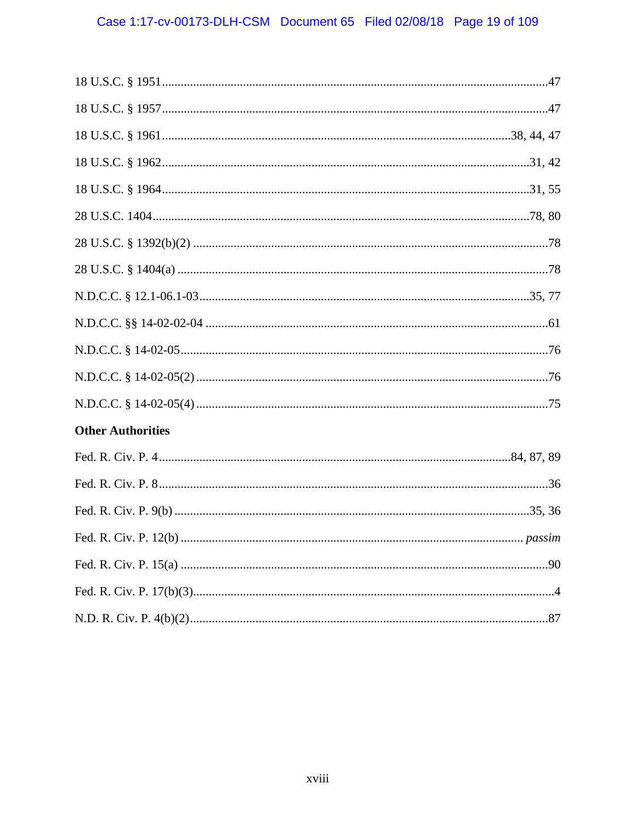| <b>Other Authorities</b> |
|--------------------------|
|                          |
|                          |
|                          |
|                          |
|                          |
|                          |
|                          |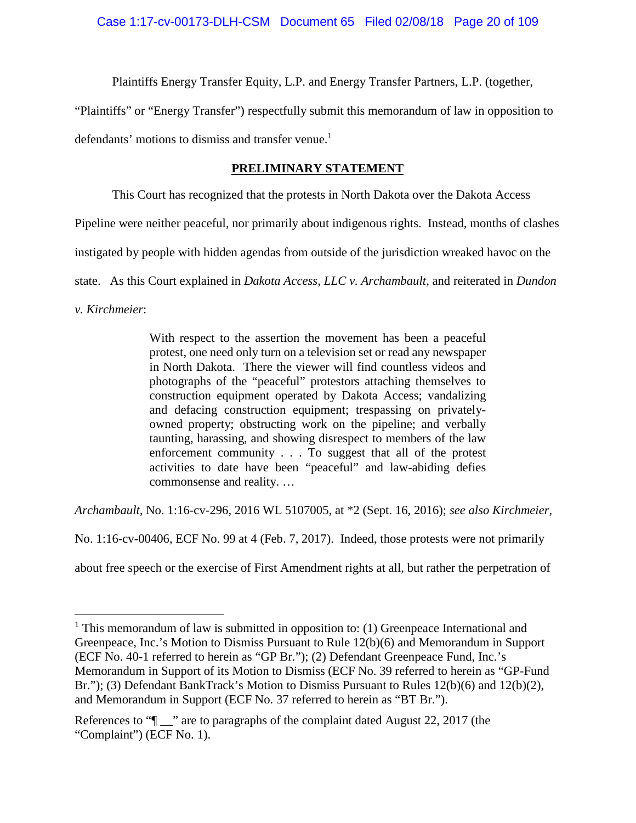Plaintiffs Energy Transfer Equity, L.P. and Energy Transfer Partners, L.P. (together,

"Plaintiffs" or "Energy Transfer") respectfully submit this memorandum of law in opposition to defendants' motions to dismiss and transfer venue.<sup>1</sup>

## **PRELIMINARY STATEMENT**

This Court has recognized that the protests in North Dakota over the Dakota Access

Pipeline were neither peaceful, nor primarily about indigenous rights. Instead, months of clashes

instigated by people with hidden agendas from outside of the jurisdiction wreaked havoc on the

state. As this Court explained in *Dakota Access, LLC v. Archambault,* and reiterated in *Dundon*

*v. Kirchmeier*:

With respect to the assertion the movement has been a peaceful protest, one need only turn on a television set or read any newspaper in North Dakota. There the viewer will find countless videos and photographs of the "peaceful" protestors attaching themselves to construction equipment operated by Dakota Access; vandalizing and defacing construction equipment; trespassing on privatelyowned property; obstructing work on the pipeline; and verbally taunting, harassing, and showing disrespect to members of the law enforcement community . . . To suggest that all of the protest activities to date have been "peaceful" and law-abiding defies commonsense and reality. …

*Archambault*, No. 1:16-cv-296, 2016 WL 5107005, at \*2 (Sept. 16, 2016); *see also Kirchmeier*,

No. 1:16-cv-00406, ECF No. 99 at 4 (Feb. 7, 2017). Indeed, those protests were not primarily

about free speech or the exercise of First Amendment rights at all, but rather the perpetration of

 $1$  This memorandum of law is submitted in opposition to: (1) Greenpeace International and Greenpeace, Inc.'s Motion to Dismiss Pursuant to Rule 12(b)(6) and Memorandum in Support (ECF No. 40-1 referred to herein as "GP Br."); (2) Defendant Greenpeace Fund, Inc.'s Memorandum in Support of its Motion to Dismiss (ECF No. 39 referred to herein as "GP-Fund Br."); (3) Defendant BankTrack's Motion to Dismiss Pursuant to Rules 12(b)(6) and 12(b)(2), and Memorandum in Support (ECF No. 37 referred to herein as "BT Br.").

References to " $\lceil \cdot \rceil$ " are to paragraphs of the complaint dated August 22, 2017 (the "Complaint") (ECF No. 1).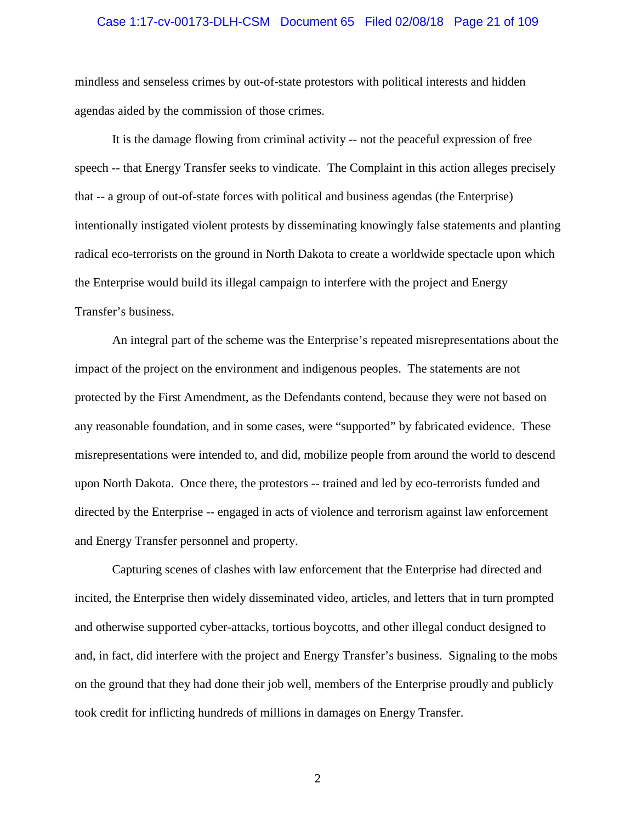#### Case 1:17-cv-00173-DLH-CSM Document 65 Filed 02/08/18 Page 21 of 109

mindless and senseless crimes by out-of-state protestors with political interests and hidden agendas aided by the commission of those crimes.

It is the damage flowing from criminal activity -- not the peaceful expression of free speech -- that Energy Transfer seeks to vindicate. The Complaint in this action alleges precisely that -- a group of out-of-state forces with political and business agendas (the Enterprise) intentionally instigated violent protests by disseminating knowingly false statements and planting radical eco-terrorists on the ground in North Dakota to create a worldwide spectacle upon which the Enterprise would build its illegal campaign to interfere with the project and Energy Transfer's business.

An integral part of the scheme was the Enterprise's repeated misrepresentations about the impact of the project on the environment and indigenous peoples. The statements are not protected by the First Amendment, as the Defendants contend, because they were not based on any reasonable foundation, and in some cases, were "supported" by fabricated evidence. These misrepresentations were intended to, and did, mobilize people from around the world to descend upon North Dakota. Once there, the protestors -- trained and led by eco-terrorists funded and directed by the Enterprise -- engaged in acts of violence and terrorism against law enforcement and Energy Transfer personnel and property.

Capturing scenes of clashes with law enforcement that the Enterprise had directed and incited, the Enterprise then widely disseminated video, articles, and letters that in turn prompted and otherwise supported cyber-attacks, tortious boycotts, and other illegal conduct designed to and, in fact, did interfere with the project and Energy Transfer's business. Signaling to the mobs on the ground that they had done their job well, members of the Enterprise proudly and publicly took credit for inflicting hundreds of millions in damages on Energy Transfer.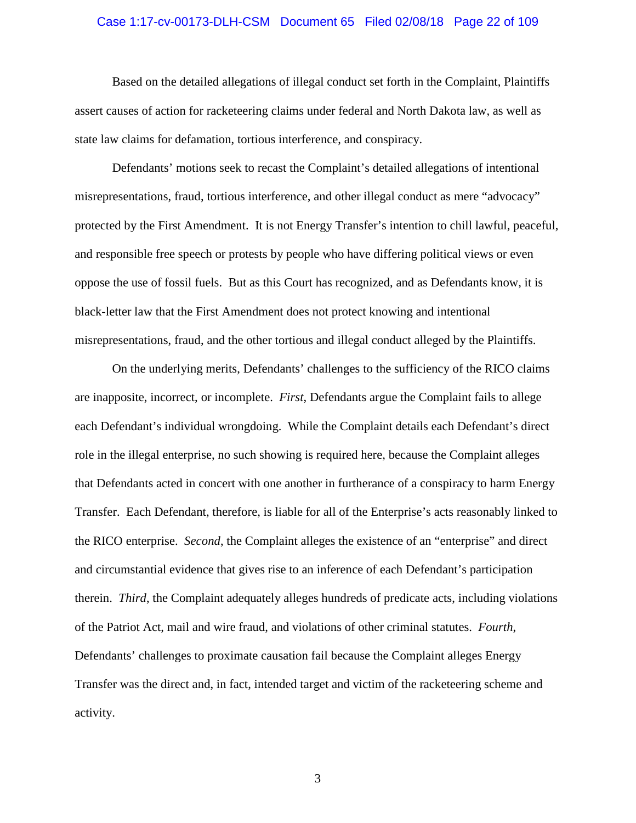#### Case 1:17-cv-00173-DLH-CSM Document 65 Filed 02/08/18 Page 22 of 109

Based on the detailed allegations of illegal conduct set forth in the Complaint, Plaintiffs assert causes of action for racketeering claims under federal and North Dakota law, as well as state law claims for defamation, tortious interference, and conspiracy.

Defendants' motions seek to recast the Complaint's detailed allegations of intentional misrepresentations, fraud, tortious interference, and other illegal conduct as mere "advocacy" protected by the First Amendment. It is not Energy Transfer's intention to chill lawful, peaceful, and responsible free speech or protests by people who have differing political views or even oppose the use of fossil fuels. But as this Court has recognized, and as Defendants know, it is black-letter law that the First Amendment does not protect knowing and intentional misrepresentations, fraud, and the other tortious and illegal conduct alleged by the Plaintiffs.

On the underlying merits, Defendants' challenges to the sufficiency of the RICO claims are inapposite, incorrect, or incomplete. *First*, Defendants argue the Complaint fails to allege each Defendant's individual wrongdoing. While the Complaint details each Defendant's direct role in the illegal enterprise, no such showing is required here, because the Complaint alleges that Defendants acted in concert with one another in furtherance of a conspiracy to harm Energy Transfer. Each Defendant, therefore, is liable for all of the Enterprise's acts reasonably linked to the RICO enterprise. *Second*, the Complaint alleges the existence of an "enterprise" and direct and circumstantial evidence that gives rise to an inference of each Defendant's participation therein. *Third*, the Complaint adequately alleges hundreds of predicate acts, including violations of the Patriot Act, mail and wire fraud, and violations of other criminal statutes. *Fourth*, Defendants' challenges to proximate causation fail because the Complaint alleges Energy Transfer was the direct and, in fact, intended target and victim of the racketeering scheme and activity.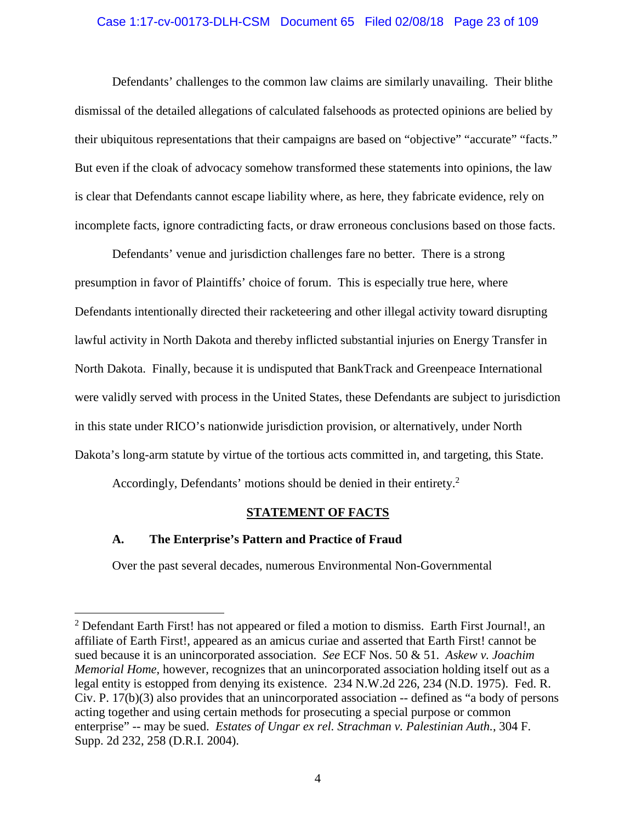#### Case 1:17-cv-00173-DLH-CSM Document 65 Filed 02/08/18 Page 23 of 109

Defendants' challenges to the common law claims are similarly unavailing. Their blithe dismissal of the detailed allegations of calculated falsehoods as protected opinions are belied by their ubiquitous representations that their campaigns are based on "objective" "accurate" "facts." But even if the cloak of advocacy somehow transformed these statements into opinions, the law is clear that Defendants cannot escape liability where, as here, they fabricate evidence, rely on incomplete facts, ignore contradicting facts, or draw erroneous conclusions based on those facts.

Defendants' venue and jurisdiction challenges fare no better. There is a strong presumption in favor of Plaintiffs' choice of forum. This is especially true here, where Defendants intentionally directed their racketeering and other illegal activity toward disrupting lawful activity in North Dakota and thereby inflicted substantial injuries on Energy Transfer in North Dakota. Finally, because it is undisputed that BankTrack and Greenpeace International were validly served with process in the United States, these Defendants are subject to jurisdiction in this state under RICO's nationwide jurisdiction provision, or alternatively, under North Dakota's long-arm statute by virtue of the tortious acts committed in, and targeting, this State.

Accordingly, Defendants' motions should be denied in their entirety.<sup>2</sup>

### **STATEMENT OF FACTS**

### **A. The Enterprise's Pattern and Practice of Fraud**

Over the past several decades, numerous Environmental Non-Governmental

 $2$  Defendant Earth First! has not appeared or filed a motion to dismiss. Earth First Journal!, an affiliate of Earth First!, appeared as an amicus curiae and asserted that Earth First! cannot be sued because it is an unincorporated association. *See* ECF Nos. 50 & 51. *Askew v. Joachim Memorial Home*, however, recognizes that an unincorporated association holding itself out as a legal entity is estopped from denying its existence. 234 N.W.2d 226, 234 (N.D. 1975). Fed. R. Civ. P. 17(b)(3) also provides that an unincorporated association -- defined as "a body of persons acting together and using certain methods for prosecuting a special purpose or common enterprise" -- may be sued. *Estates of Ungar ex rel. Strachman v. Palestinian Auth.*, 304 F. Supp. 2d 232, 258 (D.R.I. 2004).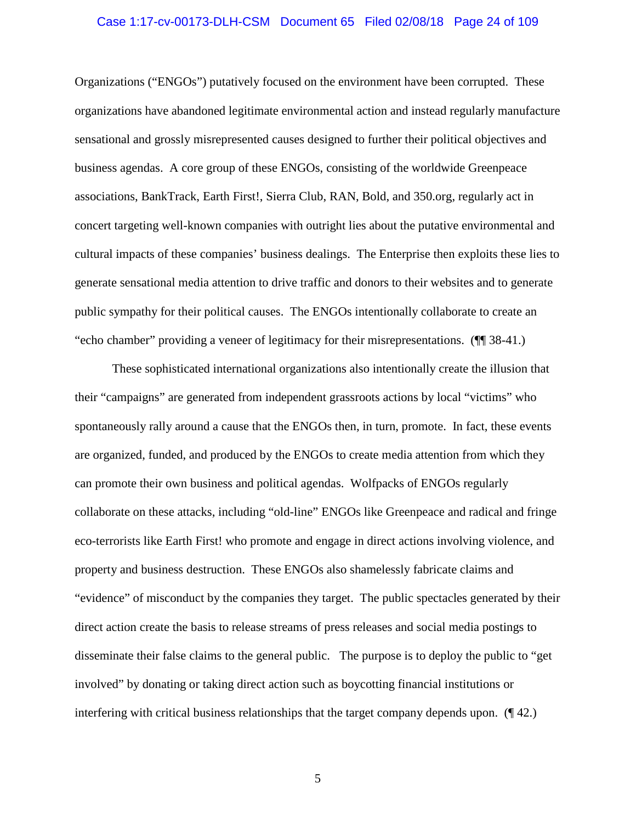#### Case 1:17-cv-00173-DLH-CSM Document 65 Filed 02/08/18 Page 24 of 109

Organizations ("ENGOs") putatively focused on the environment have been corrupted. These organizations have abandoned legitimate environmental action and instead regularly manufacture sensational and grossly misrepresented causes designed to further their political objectives and business agendas. A core group of these ENGOs, consisting of the worldwide Greenpeace associations, BankTrack, Earth First!, Sierra Club, RAN, Bold, and 350.org, regularly act in concert targeting well-known companies with outright lies about the putative environmental and cultural impacts of these companies' business dealings. The Enterprise then exploits these lies to generate sensational media attention to drive traffic and donors to their websites and to generate public sympathy for their political causes. The ENGOs intentionally collaborate to create an "echo chamber" providing a veneer of legitimacy for their misrepresentations. (¶¶ 38-41.)

These sophisticated international organizations also intentionally create the illusion that their "campaigns" are generated from independent grassroots actions by local "victims" who spontaneously rally around a cause that the ENGOs then, in turn, promote. In fact, these events are organized, funded, and produced by the ENGOs to create media attention from which they can promote their own business and political agendas. Wolfpacks of ENGOs regularly collaborate on these attacks, including "old-line" ENGOs like Greenpeace and radical and fringe eco-terrorists like Earth First! who promote and engage in direct actions involving violence, and property and business destruction. These ENGOs also shamelessly fabricate claims and "evidence" of misconduct by the companies they target. The public spectacles generated by their direct action create the basis to release streams of press releases and social media postings to disseminate their false claims to the general public. The purpose is to deploy the public to "get involved" by donating or taking direct action such as boycotting financial institutions or interfering with critical business relationships that the target company depends upon. (¶ 42.)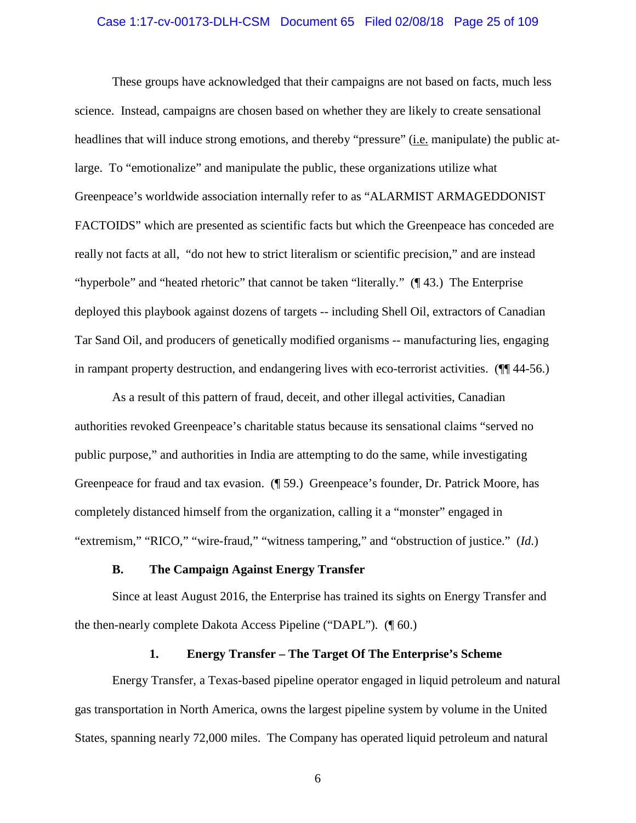#### Case 1:17-cv-00173-DLH-CSM Document 65 Filed 02/08/18 Page 25 of 109

These groups have acknowledged that their campaigns are not based on facts, much less science. Instead, campaigns are chosen based on whether they are likely to create sensational headlines that will induce strong emotions, and thereby "pressure" (i.e. manipulate) the public atlarge. To "emotionalize" and manipulate the public, these organizations utilize what Greenpeace's worldwide association internally refer to as "ALARMIST ARMAGEDDONIST FACTOIDS" which are presented as scientific facts but which the Greenpeace has conceded are really not facts at all, "do not hew to strict literalism or scientific precision," and are instead "hyperbole" and "heated rhetoric" that cannot be taken "literally." (¶ 43.) The Enterprise deployed this playbook against dozens of targets -- including Shell Oil, extractors of Canadian Tar Sand Oil, and producers of genetically modified organisms -- manufacturing lies, engaging in rampant property destruction, and endangering lives with eco-terrorist activities. (¶¶ 44-56.)

As a result of this pattern of fraud, deceit, and other illegal activities, Canadian authorities revoked Greenpeace's charitable status because its sensational claims "served no public purpose," and authorities in India are attempting to do the same, while investigating Greenpeace for fraud and tax evasion. (¶ 59.) Greenpeace's founder, Dr. Patrick Moore, has completely distanced himself from the organization, calling it a "monster" engaged in "extremism," "RICO," "wire-fraud," "witness tampering," and "obstruction of justice." (*Id*.)

#### **B. The Campaign Against Energy Transfer**

Since at least August 2016, the Enterprise has trained its sights on Energy Transfer and the then-nearly complete Dakota Access Pipeline ("DAPL"). (¶ 60.)

#### **1. Energy Transfer – The Target Of The Enterprise's Scheme**

Energy Transfer, a Texas-based pipeline operator engaged in liquid petroleum and natural gas transportation in North America, owns the largest pipeline system by volume in the United States, spanning nearly 72,000 miles. The Company has operated liquid petroleum and natural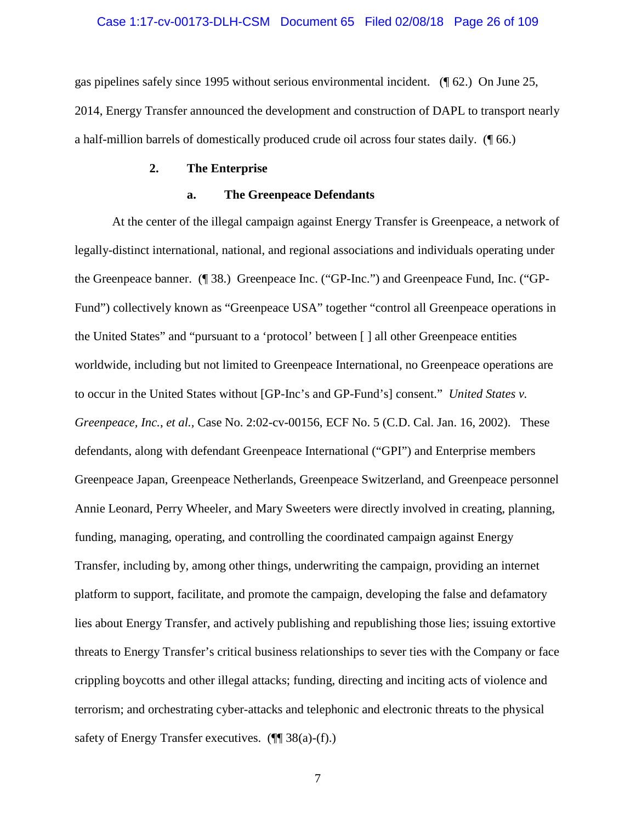#### Case 1:17-cv-00173-DLH-CSM Document 65 Filed 02/08/18 Page 26 of 109

gas pipelines safely since 1995 without serious environmental incident. (¶ 62.) On June 25, 2014, Energy Transfer announced the development and construction of DAPL to transport nearly a half-million barrels of domestically produced crude oil across four states daily. (¶ 66.)

#### **2. The Enterprise**

#### **a. The Greenpeace Defendants**

At the center of the illegal campaign against Energy Transfer is Greenpeace, a network of legally-distinct international, national, and regional associations and individuals operating under the Greenpeace banner. (¶ 38.) Greenpeace Inc. ("GP-Inc.") and Greenpeace Fund, Inc. ("GP-Fund") collectively known as "Greenpeace USA" together "control all Greenpeace operations in the United States" and "pursuant to a 'protocol' between [ ] all other Greenpeace entities worldwide, including but not limited to Greenpeace International, no Greenpeace operations are to occur in the United States without [GP-Inc's and GP-Fund's] consent." *United States v. Greenpeace, Inc.*, *et al.,* Case No. 2:02-cv-00156, ECF No. 5 (C.D. Cal. Jan. 16, 2002). These defendants, along with defendant Greenpeace International ("GPI") and Enterprise members Greenpeace Japan, Greenpeace Netherlands, Greenpeace Switzerland, and Greenpeace personnel Annie Leonard, Perry Wheeler, and Mary Sweeters were directly involved in creating, planning, funding, managing, operating, and controlling the coordinated campaign against Energy Transfer, including by, among other things, underwriting the campaign, providing an internet platform to support, facilitate, and promote the campaign, developing the false and defamatory lies about Energy Transfer, and actively publishing and republishing those lies; issuing extortive threats to Energy Transfer's critical business relationships to sever ties with the Company or face crippling boycotts and other illegal attacks; funding, directing and inciting acts of violence and terrorism; and orchestrating cyber-attacks and telephonic and electronic threats to the physical safety of Energy Transfer executives.  $(\P\P 38(a)-(f))$ .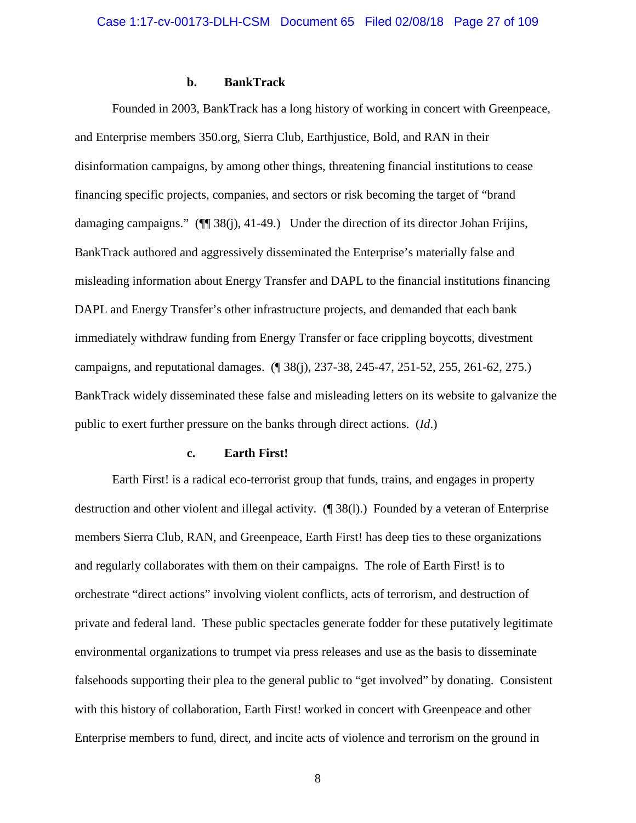#### **b. BankTrack**

Founded in 2003, BankTrack has a long history of working in concert with Greenpeace, and Enterprise members 350.org, Sierra Club, Earthjustice, Bold, and RAN in their disinformation campaigns, by among other things, threatening financial institutions to cease financing specific projects, companies, and sectors or risk becoming the target of "brand damaging campaigns." ( $\P$  38(j), 41-49.) Under the direction of its director Johan Frijins, BankTrack authored and aggressively disseminated the Enterprise's materially false and misleading information about Energy Transfer and DAPL to the financial institutions financing DAPL and Energy Transfer's other infrastructure projects, and demanded that each bank immediately withdraw funding from Energy Transfer or face crippling boycotts, divestment campaigns, and reputational damages. (¶ 38(j), 237-38, 245-47, 251-52, 255, 261-62, 275.) BankTrack widely disseminated these false and misleading letters on its website to galvanize the public to exert further pressure on the banks through direct actions. (*Id*.)

#### **c. Earth First!**

Earth First! is a radical eco-terrorist group that funds, trains, and engages in property destruction and other violent and illegal activity. (¶ 38(l).) Founded by a veteran of Enterprise members Sierra Club, RAN, and Greenpeace, Earth First! has deep ties to these organizations and regularly collaborates with them on their campaigns. The role of Earth First! is to orchestrate "direct actions" involving violent conflicts, acts of terrorism, and destruction of private and federal land. These public spectacles generate fodder for these putatively legitimate environmental organizations to trumpet via press releases and use as the basis to disseminate falsehoods supporting their plea to the general public to "get involved" by donating. Consistent with this history of collaboration, Earth First! worked in concert with Greenpeace and other Enterprise members to fund, direct, and incite acts of violence and terrorism on the ground in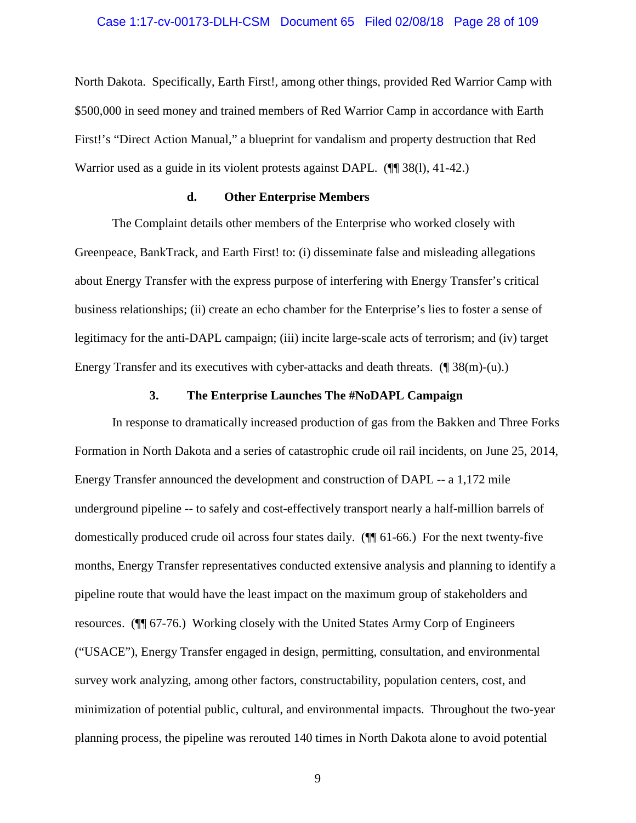#### Case 1:17-cv-00173-DLH-CSM Document 65 Filed 02/08/18 Page 28 of 109

North Dakota. Specifically, Earth First!, among other things, provided Red Warrior Camp with \$500,000 in seed money and trained members of Red Warrior Camp in accordance with Earth First!'s "Direct Action Manual," a blueprint for vandalism and property destruction that Red Warrior used as a guide in its violent protests against DAPL. (¶¶ 38(1), 41-42.)

#### **d. Other Enterprise Members**

The Complaint details other members of the Enterprise who worked closely with Greenpeace, BankTrack, and Earth First! to: (i) disseminate false and misleading allegations about Energy Transfer with the express purpose of interfering with Energy Transfer's critical business relationships; (ii) create an echo chamber for the Enterprise's lies to foster a sense of legitimacy for the anti-DAPL campaign; (iii) incite large-scale acts of terrorism; and (iv) target Energy Transfer and its executives with cyber-attacks and death threats. (¶ 38(m)-(u).)

#### **3. The Enterprise Launches The #NoDAPL Campaign**

In response to dramatically increased production of gas from the Bakken and Three Forks Formation in North Dakota and a series of catastrophic crude oil rail incidents, on June 25, 2014, Energy Transfer announced the development and construction of DAPL -- a 1,172 mile underground pipeline -- to safely and cost-effectively transport nearly a half-million barrels of domestically produced crude oil across four states daily. (¶¶ 61-66.) For the next twenty-five months, Energy Transfer representatives conducted extensive analysis and planning to identify a pipeline route that would have the least impact on the maximum group of stakeholders and resources. (¶¶ 67-76.) Working closely with the United States Army Corp of Engineers ("USACE"), Energy Transfer engaged in design, permitting, consultation, and environmental survey work analyzing, among other factors, constructability, population centers, cost, and minimization of potential public, cultural, and environmental impacts. Throughout the two-year planning process, the pipeline was rerouted 140 times in North Dakota alone to avoid potential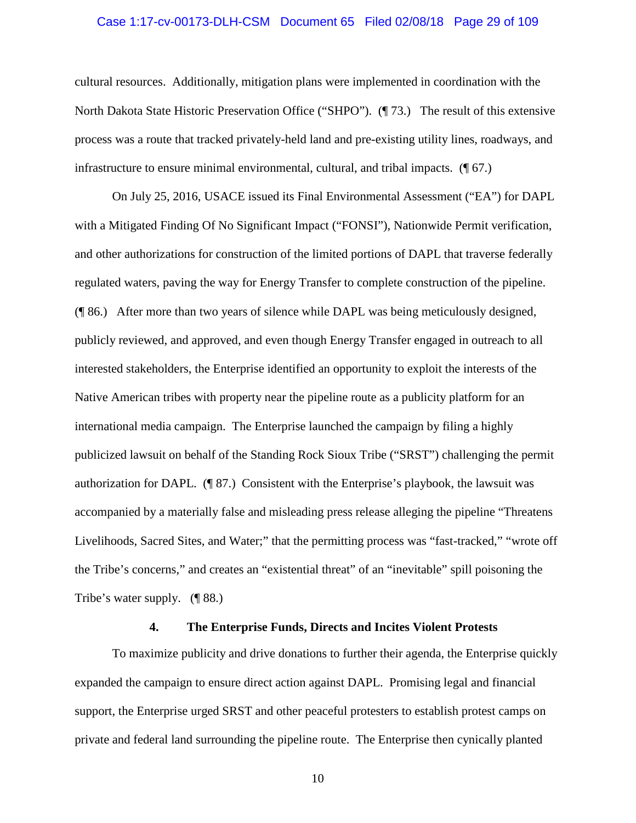#### Case 1:17-cv-00173-DLH-CSM Document 65 Filed 02/08/18 Page 29 of 109

cultural resources. Additionally, mitigation plans were implemented in coordination with the North Dakota State Historic Preservation Office ("SHPO"). (¶ 73.) The result of this extensive process was a route that tracked privately-held land and pre-existing utility lines, roadways, and infrastructure to ensure minimal environmental, cultural, and tribal impacts. (¶ 67.)

On July 25, 2016, USACE issued its Final Environmental Assessment ("EA") for DAPL with a Mitigated Finding Of No Significant Impact ("FONSI"), Nationwide Permit verification, and other authorizations for construction of the limited portions of DAPL that traverse federally regulated waters, paving the way for Energy Transfer to complete construction of the pipeline. (¶ 86.) After more than two years of silence while DAPL was being meticulously designed, publicly reviewed, and approved, and even though Energy Transfer engaged in outreach to all interested stakeholders, the Enterprise identified an opportunity to exploit the interests of the Native American tribes with property near the pipeline route as a publicity platform for an international media campaign. The Enterprise launched the campaign by filing a highly publicized lawsuit on behalf of the Standing Rock Sioux Tribe ("SRST") challenging the permit authorization for DAPL. (¶ 87.) Consistent with the Enterprise's playbook, the lawsuit was accompanied by a materially false and misleading press release alleging the pipeline "Threatens Livelihoods, Sacred Sites, and Water;" that the permitting process was "fast-tracked," "wrote off the Tribe's concerns," and creates an "existential threat" of an "inevitable" spill poisoning the Tribe's water supply. (¶ 88.)

#### **4. The Enterprise Funds, Directs and Incites Violent Protests**

To maximize publicity and drive donations to further their agenda, the Enterprise quickly expanded the campaign to ensure direct action against DAPL. Promising legal and financial support, the Enterprise urged SRST and other peaceful protesters to establish protest camps on private and federal land surrounding the pipeline route. The Enterprise then cynically planted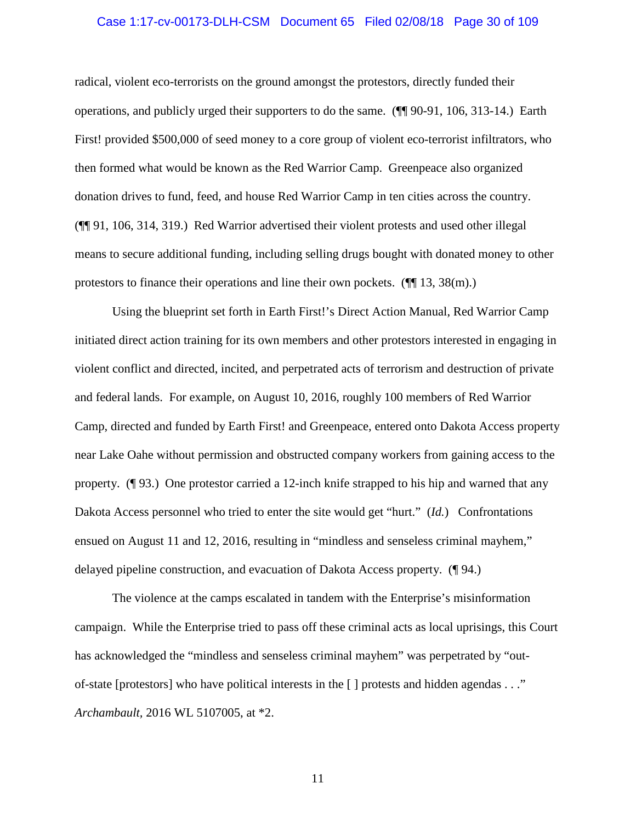#### Case 1:17-cv-00173-DLH-CSM Document 65 Filed 02/08/18 Page 30 of 109

radical, violent eco-terrorists on the ground amongst the protestors, directly funded their operations, and publicly urged their supporters to do the same. (¶¶ 90-91, 106, 313-14.) Earth First! provided \$500,000 of seed money to a core group of violent eco-terrorist infiltrators, who then formed what would be known as the Red Warrior Camp. Greenpeace also organized donation drives to fund, feed, and house Red Warrior Camp in ten cities across the country. (¶¶ 91, 106, 314, 319.) Red Warrior advertised their violent protests and used other illegal means to secure additional funding, including selling drugs bought with donated money to other protestors to finance their operations and line their own pockets.  $(\P\P 13, 38(m))$ .

Using the blueprint set forth in Earth First!'s Direct Action Manual, Red Warrior Camp initiated direct action training for its own members and other protestors interested in engaging in violent conflict and directed, incited, and perpetrated acts of terrorism and destruction of private and federal lands. For example, on August 10, 2016, roughly 100 members of Red Warrior Camp, directed and funded by Earth First! and Greenpeace, entered onto Dakota Access property near Lake Oahe without permission and obstructed company workers from gaining access to the property. (¶ 93.) One protestor carried a 12-inch knife strapped to his hip and warned that any Dakota Access personnel who tried to enter the site would get "hurt." (*Id.*) Confrontations ensued on August 11 and 12, 2016, resulting in "mindless and senseless criminal mayhem," delayed pipeline construction, and evacuation of Dakota Access property. (¶ 94.)

The violence at the camps escalated in tandem with the Enterprise's misinformation campaign. While the Enterprise tried to pass off these criminal acts as local uprisings, this Court has acknowledged the "mindless and senseless criminal mayhem" was perpetrated by "outof-state [protestors] who have political interests in the [ ] protests and hidden agendas . . ." *Archambault,* 2016 WL 5107005, at \*2.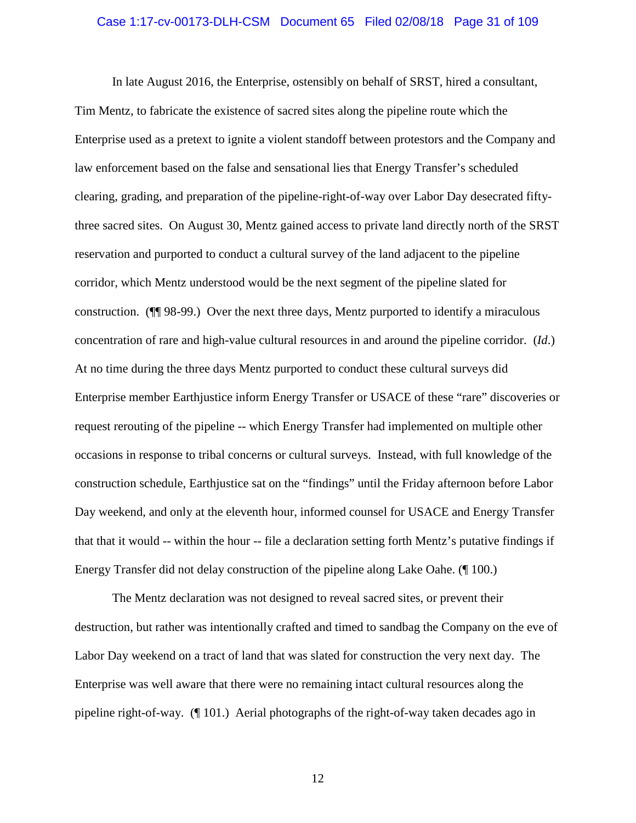#### Case 1:17-cv-00173-DLH-CSM Document 65 Filed 02/08/18 Page 31 of 109

In late August 2016, the Enterprise, ostensibly on behalf of SRST, hired a consultant, Tim Mentz, to fabricate the existence of sacred sites along the pipeline route which the Enterprise used as a pretext to ignite a violent standoff between protestors and the Company and law enforcement based on the false and sensational lies that Energy Transfer's scheduled clearing, grading, and preparation of the pipeline-right-of-way over Labor Day desecrated fiftythree sacred sites. On August 30, Mentz gained access to private land directly north of the SRST reservation and purported to conduct a cultural survey of the land adjacent to the pipeline corridor, which Mentz understood would be the next segment of the pipeline slated for construction. (¶¶ 98-99.) Over the next three days, Mentz purported to identify a miraculous concentration of rare and high-value cultural resources in and around the pipeline corridor. (*Id*.) At no time during the three days Mentz purported to conduct these cultural surveys did Enterprise member Earthjustice inform Energy Transfer or USACE of these "rare" discoveries or request rerouting of the pipeline -- which Energy Transfer had implemented on multiple other occasions in response to tribal concerns or cultural surveys. Instead, with full knowledge of the construction schedule, Earthjustice sat on the "findings" until the Friday afternoon before Labor Day weekend, and only at the eleventh hour, informed counsel for USACE and Energy Transfer that that it would -- within the hour -- file a declaration setting forth Mentz's putative findings if Energy Transfer did not delay construction of the pipeline along Lake Oahe. (¶ 100.)

The Mentz declaration was not designed to reveal sacred sites, or prevent their destruction, but rather was intentionally crafted and timed to sandbag the Company on the eve of Labor Day weekend on a tract of land that was slated for construction the very next day. The Enterprise was well aware that there were no remaining intact cultural resources along the pipeline right-of-way. (¶ 101.) Aerial photographs of the right-of-way taken decades ago in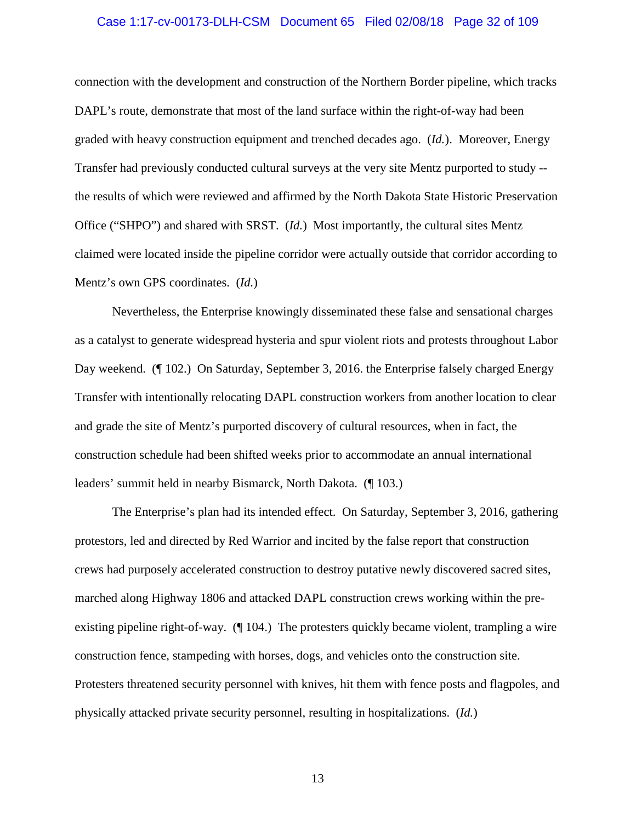#### Case 1:17-cv-00173-DLH-CSM Document 65 Filed 02/08/18 Page 32 of 109

connection with the development and construction of the Northern Border pipeline, which tracks DAPL's route, demonstrate that most of the land surface within the right-of-way had been graded with heavy construction equipment and trenched decades ago. (*Id.*). Moreover, Energy Transfer had previously conducted cultural surveys at the very site Mentz purported to study - the results of which were reviewed and affirmed by the North Dakota State Historic Preservation Office ("SHPO") and shared with SRST. (*Id.*) Most importantly, the cultural sites Mentz claimed were located inside the pipeline corridor were actually outside that corridor according to Mentz's own GPS coordinates. (*Id.*)

Nevertheless, the Enterprise knowingly disseminated these false and sensational charges as a catalyst to generate widespread hysteria and spur violent riots and protests throughout Labor Day weekend. (¶ 102.) On Saturday, September 3, 2016. the Enterprise falsely charged Energy Transfer with intentionally relocating DAPL construction workers from another location to clear and grade the site of Mentz's purported discovery of cultural resources, when in fact, the construction schedule had been shifted weeks prior to accommodate an annual international leaders' summit held in nearby Bismarck, North Dakota. (¶ 103.)

The Enterprise's plan had its intended effect. On Saturday, September 3, 2016, gathering protestors, led and directed by Red Warrior and incited by the false report that construction crews had purposely accelerated construction to destroy putative newly discovered sacred sites, marched along Highway 1806 and attacked DAPL construction crews working within the preexisting pipeline right-of-way. (¶ 104.) The protesters quickly became violent, trampling a wire construction fence, stampeding with horses, dogs, and vehicles onto the construction site. Protesters threatened security personnel with knives, hit them with fence posts and flagpoles, and physically attacked private security personnel, resulting in hospitalizations. (*Id.*)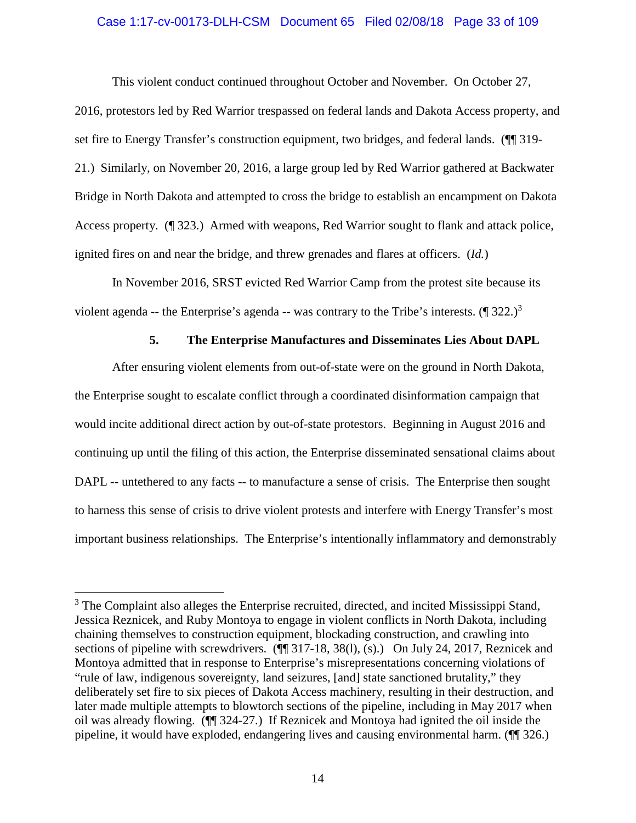#### Case 1:17-cv-00173-DLH-CSM Document 65 Filed 02/08/18 Page 33 of 109

This violent conduct continued throughout October and November. On October 27, 2016, protestors led by Red Warrior trespassed on federal lands and Dakota Access property, and set fire to Energy Transfer's construction equipment, two bridges, and federal lands. ( $\P$ ] 319-21.) Similarly, on November 20, 2016, a large group led by Red Warrior gathered at Backwater Bridge in North Dakota and attempted to cross the bridge to establish an encampment on Dakota Access property. (¶ 323.) Armed with weapons, Red Warrior sought to flank and attack police, ignited fires on and near the bridge, and threw grenades and flares at officers. (*Id.*)

In November 2016, SRST evicted Red Warrior Camp from the protest site because its violent agenda -- the Enterprise's agenda -- was contrary to the Tribe's interests.  $(\P 322.)^3$ 

## **5. The Enterprise Manufactures and Disseminates Lies About DAPL**

After ensuring violent elements from out-of-state were on the ground in North Dakota, the Enterprise sought to escalate conflict through a coordinated disinformation campaign that would incite additional direct action by out-of-state protestors. Beginning in August 2016 and continuing up until the filing of this action, the Enterprise disseminated sensational claims about DAPL -- untethered to any facts -- to manufacture a sense of crisis. The Enterprise then sought to harness this sense of crisis to drive violent protests and interfere with Energy Transfer's most important business relationships. The Enterprise's intentionally inflammatory and demonstrably

<sup>&</sup>lt;sup>3</sup> The Complaint also alleges the Enterprise recruited, directed, and incited Mississippi Stand, Jessica Reznicek, and Ruby Montoya to engage in violent conflicts in North Dakota, including chaining themselves to construction equipment, blockading construction, and crawling into sections of pipeline with screwdrivers. ( $\P$  317-18, 38(1), (s).) On July 24, 2017, Reznicek and Montoya admitted that in response to Enterprise's misrepresentations concerning violations of "rule of law, indigenous sovereignty, land seizures, [and] state sanctioned brutality," they deliberately set fire to six pieces of Dakota Access machinery, resulting in their destruction, and later made multiple attempts to blowtorch sections of the pipeline, including in May 2017 when oil was already flowing. (¶¶ 324-27.) If Reznicek and Montoya had ignited the oil inside the pipeline, it would have exploded, endangering lives and causing environmental harm. (¶¶ 326.)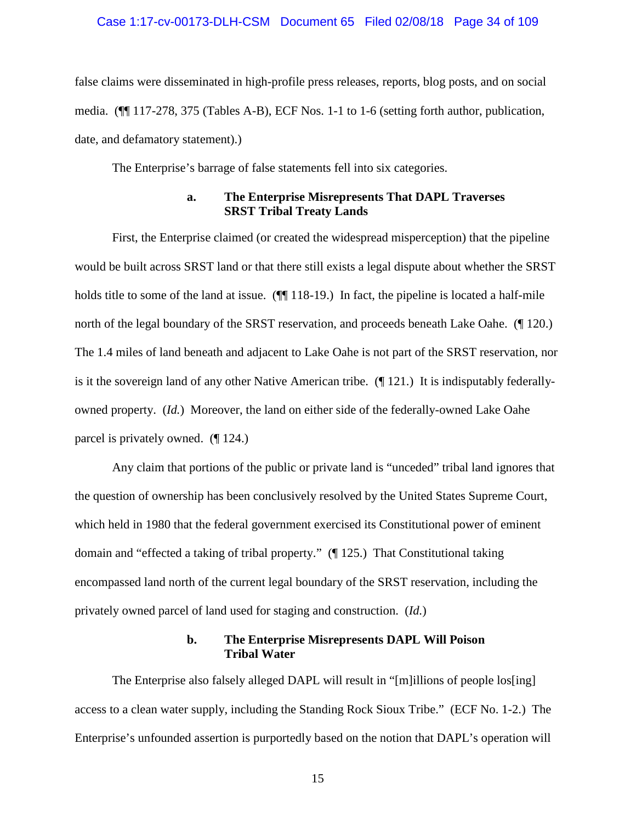#### Case 1:17-cv-00173-DLH-CSM Document 65 Filed 02/08/18 Page 34 of 109

false claims were disseminated in high-profile press releases, reports, blog posts, and on social media. (¶¶ 117-278, 375 (Tables A-B), ECF Nos. 1-1 to 1-6 (setting forth author, publication, date, and defamatory statement).)

The Enterprise's barrage of false statements fell into six categories.

#### **a. The Enterprise Misrepresents That DAPL Traverses SRST Tribal Treaty Lands**

First, the Enterprise claimed (or created the widespread misperception) that the pipeline would be built across SRST land or that there still exists a legal dispute about whether the SRST holds title to some of the land at issue. ( $\P$ [118-19.) In fact, the pipeline is located a half-mile north of the legal boundary of the SRST reservation, and proceeds beneath Lake Oahe. (¶ 120.) The 1.4 miles of land beneath and adjacent to Lake Oahe is not part of the SRST reservation, nor is it the sovereign land of any other Native American tribe. (¶ 121.) It is indisputably federallyowned property. (*Id.*) Moreover, the land on either side of the federally-owned Lake Oahe parcel is privately owned. (¶ 124.)

Any claim that portions of the public or private land is "unceded" tribal land ignores that the question of ownership has been conclusively resolved by the United States Supreme Court, which held in 1980 that the federal government exercised its Constitutional power of eminent domain and "effected a taking of tribal property." (¶ 125.) That Constitutional taking encompassed land north of the current legal boundary of the SRST reservation, including the privately owned parcel of land used for staging and construction. (*Id.*)

#### **b. The Enterprise Misrepresents DAPL Will Poison Tribal Water**

The Enterprise also falsely alleged DAPL will result in "[m]illions of people los[ing] access to a clean water supply, including the Standing Rock Sioux Tribe." (ECF No. 1-2.) The Enterprise's unfounded assertion is purportedly based on the notion that DAPL's operation will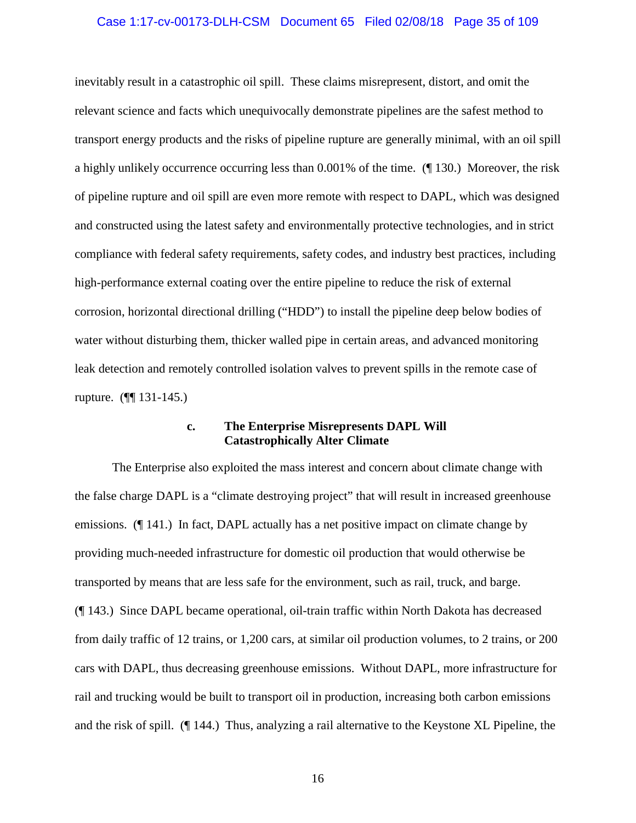#### Case 1:17-cv-00173-DLH-CSM Document 65 Filed 02/08/18 Page 35 of 109

inevitably result in a catastrophic oil spill. These claims misrepresent, distort, and omit the relevant science and facts which unequivocally demonstrate pipelines are the safest method to transport energy products and the risks of pipeline rupture are generally minimal, with an oil spill a highly unlikely occurrence occurring less than 0.001% of the time. (¶ 130.) Moreover, the risk of pipeline rupture and oil spill are even more remote with respect to DAPL, which was designed and constructed using the latest safety and environmentally protective technologies, and in strict compliance with federal safety requirements, safety codes, and industry best practices, including high-performance external coating over the entire pipeline to reduce the risk of external corrosion, horizontal directional drilling ("HDD") to install the pipeline deep below bodies of water without disturbing them, thicker walled pipe in certain areas, and advanced monitoring leak detection and remotely controlled isolation valves to prevent spills in the remote case of rupture. (¶¶ 131-145.)

### **c. The Enterprise Misrepresents DAPL Will Catastrophically Alter Climate**

The Enterprise also exploited the mass interest and concern about climate change with the false charge DAPL is a "climate destroying project" that will result in increased greenhouse emissions. (¶ 141.) In fact, DAPL actually has a net positive impact on climate change by providing much-needed infrastructure for domestic oil production that would otherwise be transported by means that are less safe for the environment, such as rail, truck, and barge. (¶ 143.) Since DAPL became operational, oil-train traffic within North Dakota has decreased from daily traffic of 12 trains, or 1,200 cars, at similar oil production volumes, to 2 trains, or 200 cars with DAPL, thus decreasing greenhouse emissions. Without DAPL, more infrastructure for rail and trucking would be built to transport oil in production, increasing both carbon emissions and the risk of spill. (¶ 144.) Thus, analyzing a rail alternative to the Keystone XL Pipeline, the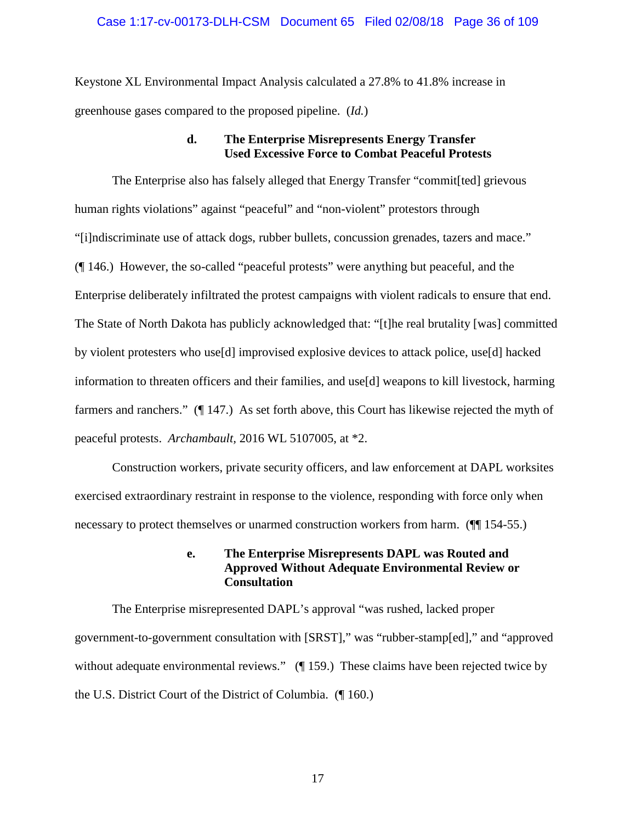#### Case 1:17-cv-00173-DLH-CSM Document 65 Filed 02/08/18 Page 36 of 109

Keystone XL Environmental Impact Analysis calculated a 27.8% to 41.8% increase in greenhouse gases compared to the proposed pipeline. (*Id.*)

### **d. The Enterprise Misrepresents Energy Transfer Used Excessive Force to Combat Peaceful Protests**

The Enterprise also has falsely alleged that Energy Transfer "commit[ted] grievous human rights violations" against "peaceful" and "non-violent" protestors through "[i]ndiscriminate use of attack dogs, rubber bullets, concussion grenades, tazers and mace." (¶ 146.) However, the so-called "peaceful protests" were anything but peaceful, and the Enterprise deliberately infiltrated the protest campaigns with violent radicals to ensure that end. The State of North Dakota has publicly acknowledged that: "[t]he real brutality [was] committed by violent protesters who use[d] improvised explosive devices to attack police, use[d] hacked information to threaten officers and their families, and use[d] weapons to kill livestock, harming farmers and ranchers." (¶ 147.) As set forth above, this Court has likewise rejected the myth of peaceful protests. *Archambault,* 2016 WL 5107005, at \*2.

Construction workers, private security officers, and law enforcement at DAPL worksites exercised extraordinary restraint in response to the violence, responding with force only when necessary to protect themselves or unarmed construction workers from harm. (¶¶ 154-55.)

### **e. The Enterprise Misrepresents DAPL was Routed and Approved Without Adequate Environmental Review or Consultation**

The Enterprise misrepresented DAPL's approval "was rushed, lacked proper government-to-government consultation with [SRST]," was "rubber-stamp[ed]," and "approved without adequate environmental reviews." (¶ 159.) These claims have been rejected twice by the U.S. District Court of the District of Columbia. (¶ 160.)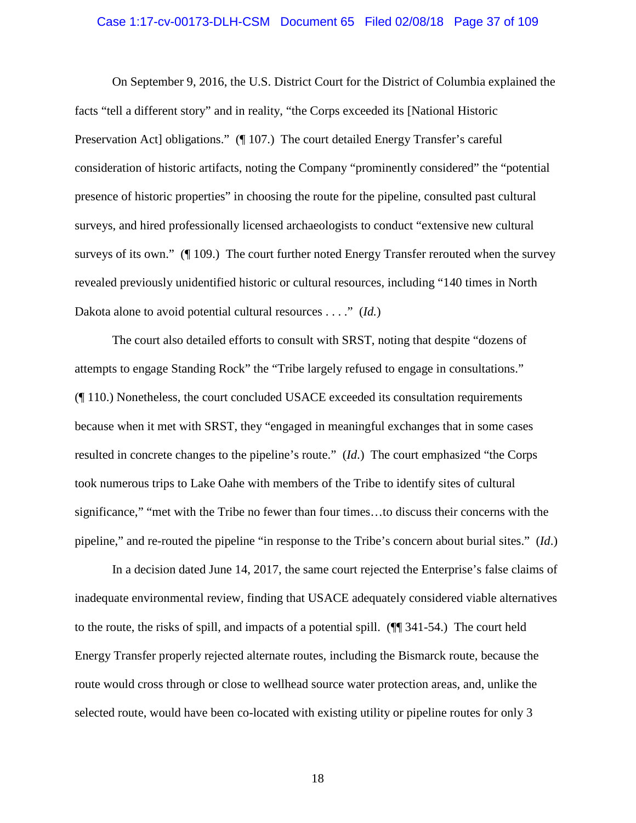### Case 1:17-cv-00173-DLH-CSM Document 65 Filed 02/08/18 Page 37 of 109

On September 9, 2016, the U.S. District Court for the District of Columbia explained the facts "tell a different story" and in reality, "the Corps exceeded its [National Historic Preservation Act] obligations." (¶ 107.) The court detailed Energy Transfer's careful consideration of historic artifacts, noting the Company "prominently considered" the "potential presence of historic properties" in choosing the route for the pipeline, consulted past cultural surveys, and hired professionally licensed archaeologists to conduct "extensive new cultural surveys of its own." (¶ 109.) The court further noted Energy Transfer rerouted when the survey revealed previously unidentified historic or cultural resources, including "140 times in North Dakota alone to avoid potential cultural resources . . . ." (*Id.*)

The court also detailed efforts to consult with SRST, noting that despite "dozens of attempts to engage Standing Rock" the "Tribe largely refused to engage in consultations." (¶ 110.) Nonetheless, the court concluded USACE exceeded its consultation requirements because when it met with SRST, they "engaged in meaningful exchanges that in some cases resulted in concrete changes to the pipeline's route." (*Id*.) The court emphasized "the Corps took numerous trips to Lake Oahe with members of the Tribe to identify sites of cultural significance," "met with the Tribe no fewer than four times…to discuss their concerns with the pipeline," and re-routed the pipeline "in response to the Tribe's concern about burial sites." (*Id*.)

In a decision dated June 14, 2017, the same court rejected the Enterprise's false claims of inadequate environmental review, finding that USACE adequately considered viable alternatives to the route, the risks of spill, and impacts of a potential spill. (¶¶ 341-54.) The court held Energy Transfer properly rejected alternate routes, including the Bismarck route, because the route would cross through or close to wellhead source water protection areas, and, unlike the selected route, would have been co-located with existing utility or pipeline routes for only 3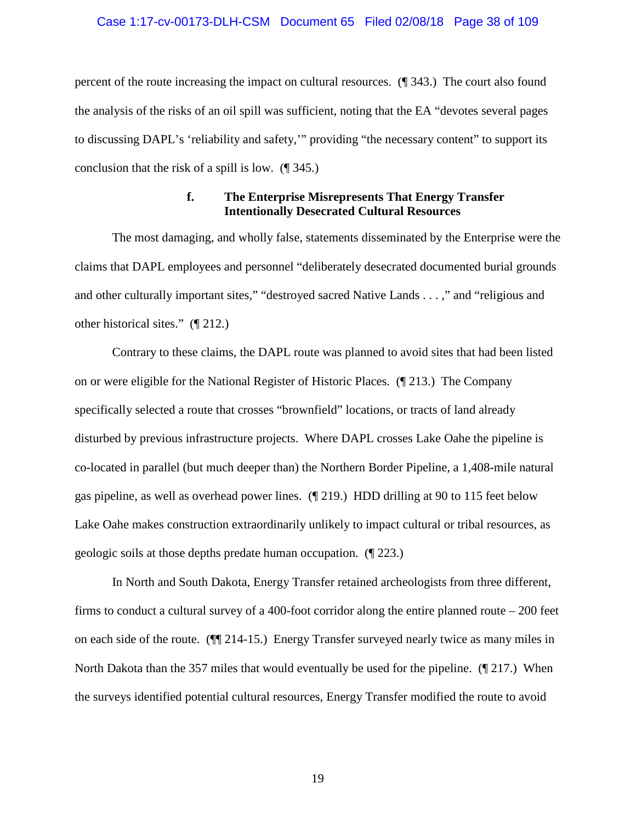### Case 1:17-cv-00173-DLH-CSM Document 65 Filed 02/08/18 Page 38 of 109

percent of the route increasing the impact on cultural resources. (¶ 343.) The court also found the analysis of the risks of an oil spill was sufficient, noting that the EA "devotes several pages to discussing DAPL's 'reliability and safety,'" providing "the necessary content" to support its conclusion that the risk of a spill is low. (¶ 345.)

### **f. The Enterprise Misrepresents That Energy Transfer Intentionally Desecrated Cultural Resources**

The most damaging, and wholly false, statements disseminated by the Enterprise were the claims that DAPL employees and personnel "deliberately desecrated documented burial grounds and other culturally important sites," "destroyed sacred Native Lands . . . ," and "religious and other historical sites." (¶ 212.)

Contrary to these claims, the DAPL route was planned to avoid sites that had been listed on or were eligible for the National Register of Historic Places. (¶ 213.) The Company specifically selected a route that crosses "brownfield" locations, or tracts of land already disturbed by previous infrastructure projects. Where DAPL crosses Lake Oahe the pipeline is co-located in parallel (but much deeper than) the Northern Border Pipeline, a 1,408-mile natural gas pipeline, as well as overhead power lines. (¶ 219.) HDD drilling at 90 to 115 feet below Lake Oahe makes construction extraordinarily unlikely to impact cultural or tribal resources, as geologic soils at those depths predate human occupation. (¶ 223.)

In North and South Dakota, Energy Transfer retained archeologists from three different, firms to conduct a cultural survey of a 400-foot corridor along the entire planned route – 200 feet on each side of the route. (¶¶ 214-15.) Energy Transfer surveyed nearly twice as many miles in North Dakota than the 357 miles that would eventually be used for the pipeline. (¶ 217.) When the surveys identified potential cultural resources, Energy Transfer modified the route to avoid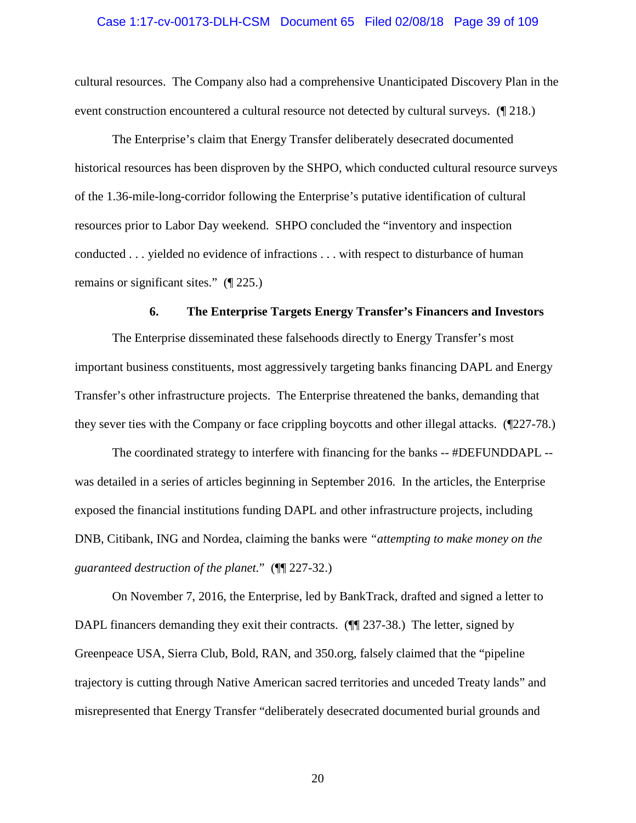### Case 1:17-cv-00173-DLH-CSM Document 65 Filed 02/08/18 Page 39 of 109

cultural resources. The Company also had a comprehensive Unanticipated Discovery Plan in the event construction encountered a cultural resource not detected by cultural surveys. (¶ 218.)

The Enterprise's claim that Energy Transfer deliberately desecrated documented historical resources has been disproven by the SHPO, which conducted cultural resource surveys of the 1.36-mile-long-corridor following the Enterprise's putative identification of cultural resources prior to Labor Day weekend. SHPO concluded the "inventory and inspection conducted . . . yielded no evidence of infractions . . . with respect to disturbance of human remains or significant sites." (¶ 225.)

#### **6. The Enterprise Targets Energy Transfer's Financers and Investors**

The Enterprise disseminated these falsehoods directly to Energy Transfer's most important business constituents, most aggressively targeting banks financing DAPL and Energy Transfer's other infrastructure projects. The Enterprise threatened the banks, demanding that they sever ties with the Company or face crippling boycotts and other illegal attacks. (¶227-78.)

The coordinated strategy to interfere with financing for the banks -- #DEFUNDDAPL - was detailed in a series of articles beginning in September 2016. In the articles, the Enterprise exposed the financial institutions funding DAPL and other infrastructure projects, including DNB, Citibank, ING and Nordea, claiming the banks were *"attempting to make money on the guaranteed destruction of the planet.*" (¶¶ 227-32.)

On November 7, 2016, the Enterprise, led by BankTrack, drafted and signed a letter to DAPL financers demanding they exit their contracts. ( $\P$  237-38.) The letter, signed by Greenpeace USA, Sierra Club, Bold, RAN, and 350.org, falsely claimed that the "pipeline trajectory is cutting through Native American sacred territories and unceded Treaty lands" and misrepresented that Energy Transfer "deliberately desecrated documented burial grounds and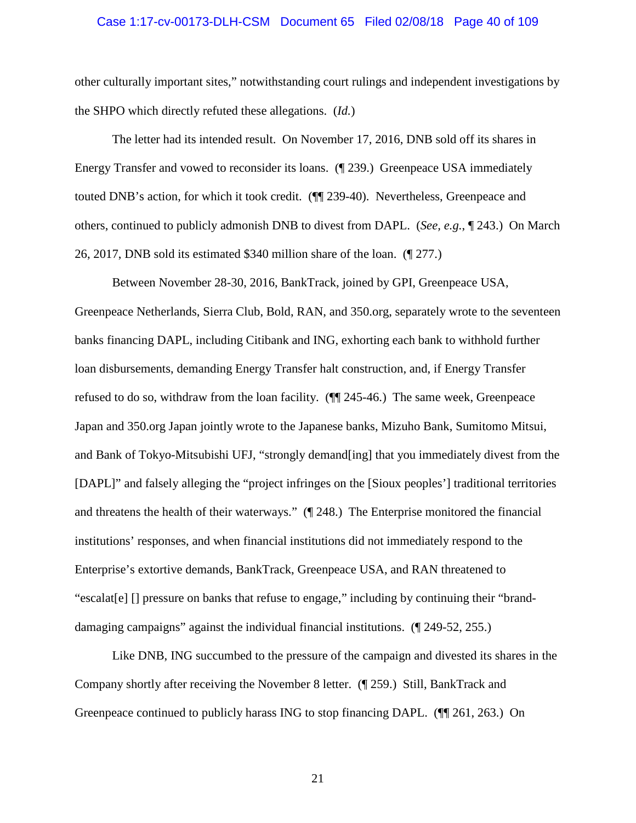### Case 1:17-cv-00173-DLH-CSM Document 65 Filed 02/08/18 Page 40 of 109

other culturally important sites," notwithstanding court rulings and independent investigations by the SHPO which directly refuted these allegations. (*Id.*)

The letter had its intended result. On November 17, 2016, DNB sold off its shares in Energy Transfer and vowed to reconsider its loans. (¶ 239.) Greenpeace USA immediately touted DNB's action, for which it took credit. (¶¶ 239-40). Nevertheless, Greenpeace and others, continued to publicly admonish DNB to divest from DAPL. (*See, e.g.*, ¶ 243.) On March 26, 2017, DNB sold its estimated \$340 million share of the loan. (¶ 277.)

Between November 28-30, 2016, BankTrack, joined by GPI, Greenpeace USA, Greenpeace Netherlands, Sierra Club, Bold, RAN, and 350.org, separately wrote to the seventeen banks financing DAPL, including Citibank and ING, exhorting each bank to withhold further loan disbursements, demanding Energy Transfer halt construction, and, if Energy Transfer refused to do so, withdraw from the loan facility. (¶¶ 245-46.) The same week, Greenpeace Japan and 350.org Japan jointly wrote to the Japanese banks, Mizuho Bank, Sumitomo Mitsui, and Bank of Tokyo-Mitsubishi UFJ, "strongly demand[ing] that you immediately divest from the [DAPL]" and falsely alleging the "project infringes on the [Sioux peoples'] traditional territories and threatens the health of their waterways." (¶ 248.) The Enterprise monitored the financial institutions' responses, and when financial institutions did not immediately respond to the Enterprise's extortive demands, BankTrack, Greenpeace USA, and RAN threatened to "escalat[e] [] pressure on banks that refuse to engage," including by continuing their "branddamaging campaigns" against the individual financial institutions. (¶ 249-52, 255.)

Like DNB, ING succumbed to the pressure of the campaign and divested its shares in the Company shortly after receiving the November 8 letter. (¶ 259.) Still, BankTrack and Greenpeace continued to publicly harass ING to stop financing DAPL. (¶¶ 261, 263.) On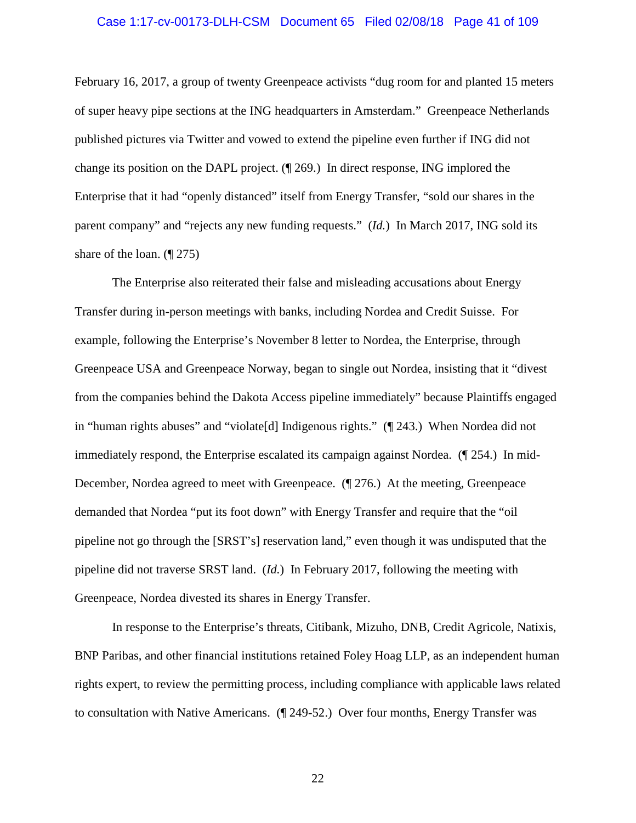#### Case 1:17-cv-00173-DLH-CSM Document 65 Filed 02/08/18 Page 41 of 109

February 16, 2017, a group of twenty Greenpeace activists "dug room for and planted 15 meters of super heavy pipe sections at the ING headquarters in Amsterdam." Greenpeace Netherlands published pictures via Twitter and vowed to extend the pipeline even further if ING did not change its position on the DAPL project. (¶ 269.) In direct response, ING implored the Enterprise that it had "openly distanced" itself from Energy Transfer, "sold our shares in the parent company" and "rejects any new funding requests." (*Id.*) In March 2017, ING sold its share of the loan. (¶ 275)

The Enterprise also reiterated their false and misleading accusations about Energy Transfer during in-person meetings with banks, including Nordea and Credit Suisse. For example, following the Enterprise's November 8 letter to Nordea, the Enterprise, through Greenpeace USA and Greenpeace Norway, began to single out Nordea, insisting that it "divest from the companies behind the Dakota Access pipeline immediately" because Plaintiffs engaged in "human rights abuses" and "violate[d] Indigenous rights." (¶ 243.) When Nordea did not immediately respond, the Enterprise escalated its campaign against Nordea. (¶ 254.) In mid-December, Nordea agreed to meet with Greenpeace. (¶ 276.) At the meeting, Greenpeace demanded that Nordea "put its foot down" with Energy Transfer and require that the "oil pipeline not go through the [SRST's] reservation land," even though it was undisputed that the pipeline did not traverse SRST land. (*Id.*) In February 2017, following the meeting with Greenpeace, Nordea divested its shares in Energy Transfer.

In response to the Enterprise's threats, Citibank, Mizuho, DNB, Credit Agricole, Natixis, BNP Paribas, and other financial institutions retained Foley Hoag LLP, as an independent human rights expert, to review the permitting process, including compliance with applicable laws related to consultation with Native Americans. (¶ 249-52.) Over four months, Energy Transfer was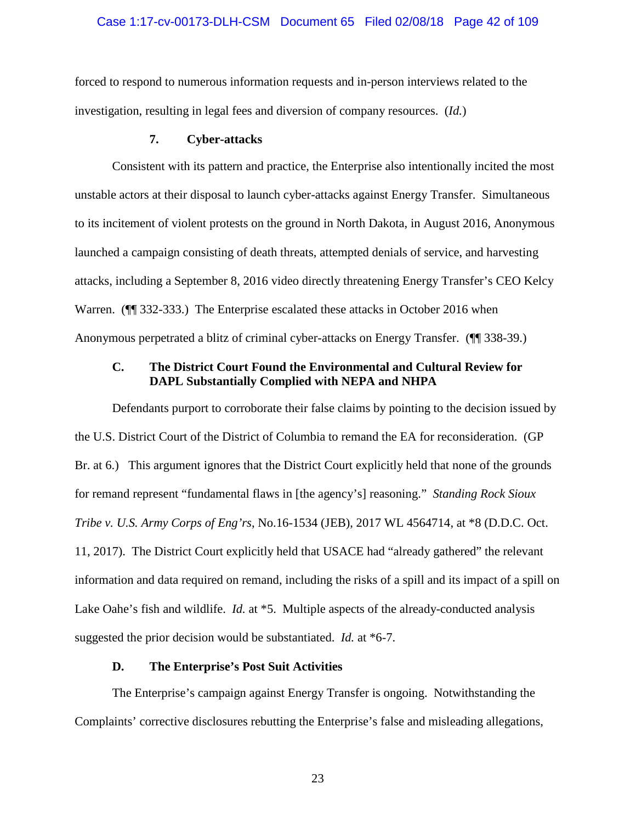### Case 1:17-cv-00173-DLH-CSM Document 65 Filed 02/08/18 Page 42 of 109

forced to respond to numerous information requests and in-person interviews related to the investigation, resulting in legal fees and diversion of company resources. (*Id.*)

### **7. Cyber-attacks**

Consistent with its pattern and practice, the Enterprise also intentionally incited the most unstable actors at their disposal to launch cyber-attacks against Energy Transfer. Simultaneous to its incitement of violent protests on the ground in North Dakota, in August 2016, Anonymous launched a campaign consisting of death threats, attempted denials of service, and harvesting attacks, including a September 8, 2016 video directly threatening Energy Transfer's CEO Kelcy Warren. (¶¶ 332-333.) The Enterprise escalated these attacks in October 2016 when Anonymous perpetrated a blitz of criminal cyber-attacks on Energy Transfer. (¶¶ 338-39.)

# **C. The District Court Found the Environmental and Cultural Review for DAPL Substantially Complied with NEPA and NHPA**

Defendants purport to corroborate their false claims by pointing to the decision issued by the U.S. District Court of the District of Columbia to remand the EA for reconsideration. (GP Br. at 6.) This argument ignores that the District Court explicitly held that none of the grounds for remand represent "fundamental flaws in [the agency's] reasoning." *Standing Rock Sioux Tribe v. U.S. Army Corps of Eng'rs*, No.16-1534 (JEB), 2017 WL 4564714, at \*8 (D.D.C. Oct. 11, 2017). The District Court explicitly held that USACE had "already gathered" the relevant information and data required on remand, including the risks of a spill and its impact of a spill on Lake Oahe's fish and wildlife. *Id.* at \*5. Multiple aspects of the already-conducted analysis suggested the prior decision would be substantiated. *Id.* at \*6-7.

## **D. The Enterprise's Post Suit Activities**

The Enterprise's campaign against Energy Transfer is ongoing. Notwithstanding the Complaints' corrective disclosures rebutting the Enterprise's false and misleading allegations,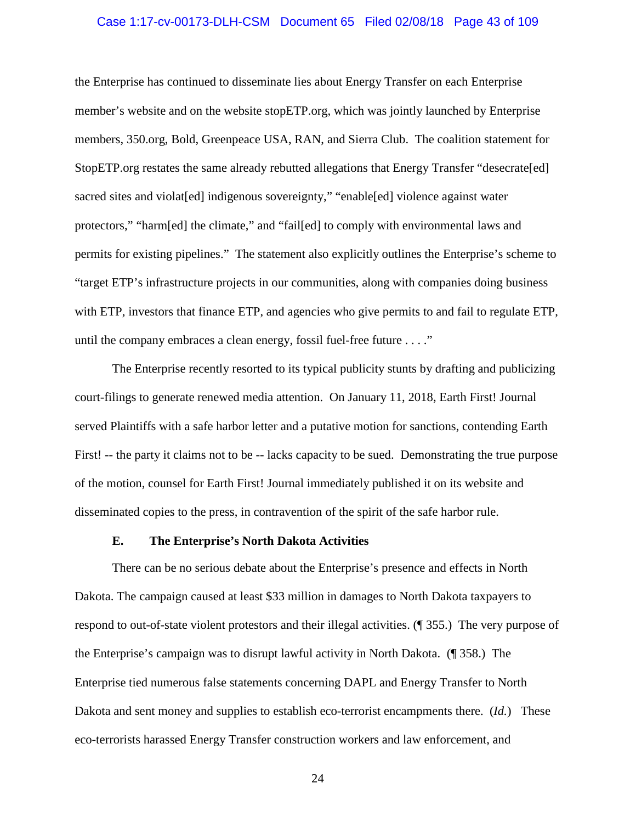### Case 1:17-cv-00173-DLH-CSM Document 65 Filed 02/08/18 Page 43 of 109

the Enterprise has continued to disseminate lies about Energy Transfer on each Enterprise member's website and on the website stopETP.org, which was jointly launched by Enterprise members, 350.org, Bold, Greenpeace USA, RAN, and Sierra Club. The coalition statement for StopETP.org restates the same already rebutted allegations that Energy Transfer "desecrate[ed] sacred sites and violat [ed] indigenous sovereignty," "enable [ed] violence against water protectors," "harm[ed] the climate," and "fail[ed] to comply with environmental laws and permits for existing pipelines." The statement also explicitly outlines the Enterprise's scheme to "target ETP's infrastructure projects in our communities, along with companies doing business with ETP, investors that finance ETP, and agencies who give permits to and fail to regulate ETP, until the company embraces a clean energy, fossil fuel-free future . . . ."

The Enterprise recently resorted to its typical publicity stunts by drafting and publicizing court-filings to generate renewed media attention. On January 11, 2018, Earth First! Journal served Plaintiffs with a safe harbor letter and a putative motion for sanctions, contending Earth First! -- the party it claims not to be -- lacks capacity to be sued. Demonstrating the true purpose of the motion, counsel for Earth First! Journal immediately published it on its website and disseminated copies to the press, in contravention of the spirit of the safe harbor rule.

#### **E. The Enterprise's North Dakota Activities**

There can be no serious debate about the Enterprise's presence and effects in North Dakota. The campaign caused at least \$33 million in damages to North Dakota taxpayers to respond to out-of-state violent protestors and their illegal activities. (¶ 355.) The very purpose of the Enterprise's campaign was to disrupt lawful activity in North Dakota. (¶ 358.) The Enterprise tied numerous false statements concerning DAPL and Energy Transfer to North Dakota and sent money and supplies to establish eco-terrorist encampments there. (*Id.*) These eco-terrorists harassed Energy Transfer construction workers and law enforcement, and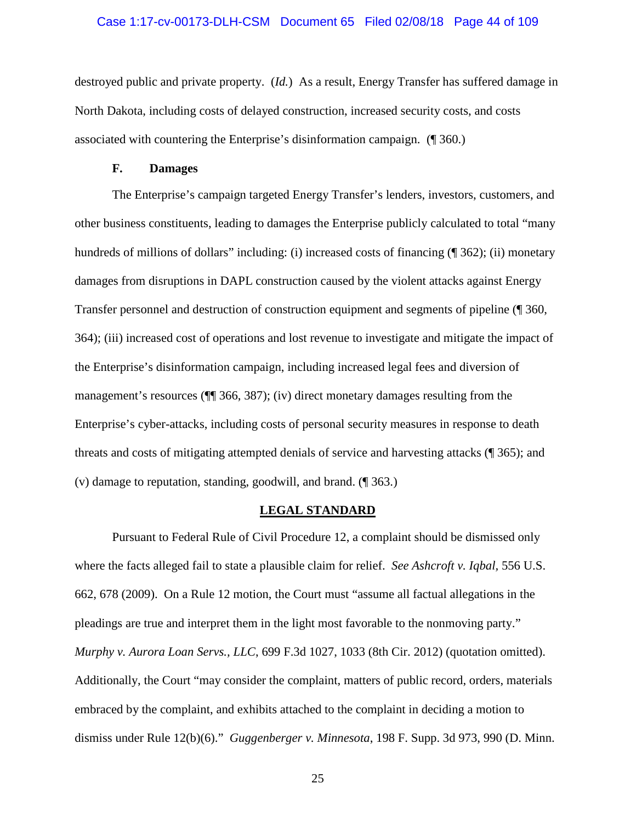### Case 1:17-cv-00173-DLH-CSM Document 65 Filed 02/08/18 Page 44 of 109

destroyed public and private property. (*Id.*) As a result, Energy Transfer has suffered damage in North Dakota, including costs of delayed construction, increased security costs, and costs associated with countering the Enterprise's disinformation campaign. (¶ 360.)

### **F. Damages**

The Enterprise's campaign targeted Energy Transfer's lenders, investors, customers, and other business constituents, leading to damages the Enterprise publicly calculated to total "many hundreds of millions of dollars" including: (i) increased costs of financing (¶ 362); (ii) monetary damages from disruptions in DAPL construction caused by the violent attacks against Energy Transfer personnel and destruction of construction equipment and segments of pipeline (¶ 360, 364); (iii) increased cost of operations and lost revenue to investigate and mitigate the impact of the Enterprise's disinformation campaign, including increased legal fees and diversion of management's resources (¶¶ 366, 387); (iv) direct monetary damages resulting from the Enterprise's cyber-attacks, including costs of personal security measures in response to death threats and costs of mitigating attempted denials of service and harvesting attacks (¶ 365); and (v) damage to reputation, standing, goodwill, and brand. (¶ 363.)

### **LEGAL STANDARD**

Pursuant to Federal Rule of Civil Procedure 12, a complaint should be dismissed only where the facts alleged fail to state a plausible claim for relief. *See Ashcroft v. Iqbal,* 556 U.S. 662, 678 (2009). On a Rule 12 motion, the Court must "assume all factual allegations in the pleadings are true and interpret them in the light most favorable to the nonmoving party." *Murphy v. Aurora Loan Servs., LLC*, 699 F.3d 1027, 1033 (8th Cir. 2012) (quotation omitted). Additionally, the Court "may consider the complaint, matters of public record, orders, materials embraced by the complaint, and exhibits attached to the complaint in deciding a motion to dismiss under Rule 12(b)(6)." *Guggenberger v. Minnesota*, 198 F. Supp. 3d 973, 990 (D. Minn.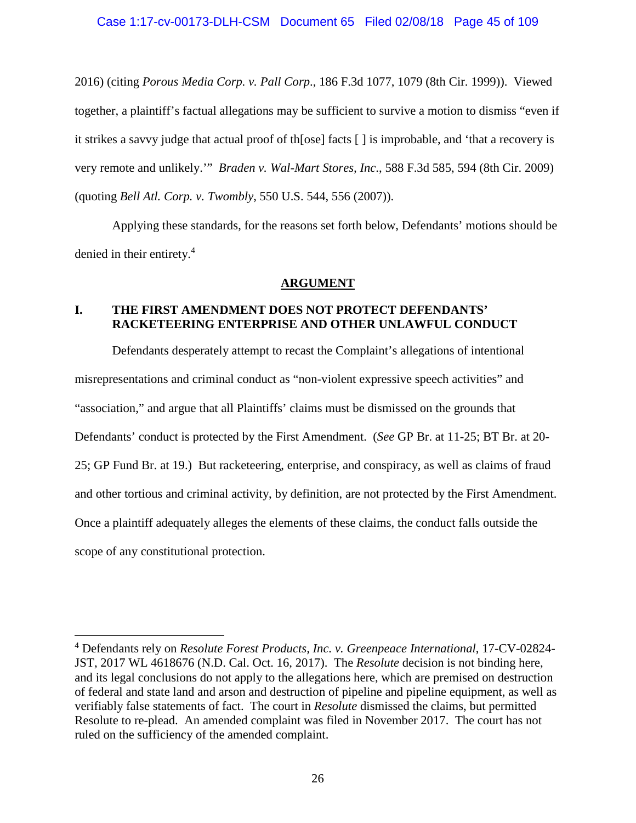2016) (citing *Porous Media Corp. v. Pall Corp*., 186 F.3d 1077, 1079 (8th Cir. 1999)). Viewed together, a plaintiff's factual allegations may be sufficient to survive a motion to dismiss "even if it strikes a savvy judge that actual proof of th[ose] facts [ ] is improbable, and 'that a recovery is very remote and unlikely.'" *Braden v. Wal-Mart Stores, Inc*., 588 F.3d 585, 594 (8th Cir. 2009) (quoting *Bell Atl. Corp. v. Twombly*, 550 U.S. 544, 556 (2007)).

Applying these standards, for the reasons set forth below, Defendants' motions should be denied in their entirety.<sup>4</sup>

# **ARGUMENT**

# **I. THE FIRST AMENDMENT DOES NOT PROTECT DEFENDANTS' RACKETEERING ENTERPRISE AND OTHER UNLAWFUL CONDUCT**

Defendants desperately attempt to recast the Complaint's allegations of intentional misrepresentations and criminal conduct as "non-violent expressive speech activities" and "association," and argue that all Plaintiffs' claims must be dismissed on the grounds that Defendants' conduct is protected by the First Amendment. (*See* GP Br. at 11-25; BT Br. at 20- 25; GP Fund Br. at 19.) But racketeering, enterprise, and conspiracy, as well as claims of fraud and other tortious and criminal activity, by definition, are not protected by the First Amendment. Once a plaintiff adequately alleges the elements of these claims, the conduct falls outside the scope of any constitutional protection.

<sup>4</sup> Defendants rely on *Resolute Forest Products, Inc. v. Greenpeace International*, 17-CV-02824- JST, 2017 WL 4618676 (N.D. Cal. Oct. 16, 2017). The *Resolute* decision is not binding here, and its legal conclusions do not apply to the allegations here, which are premised on destruction of federal and state land and arson and destruction of pipeline and pipeline equipment, as well as verifiably false statements of fact. The court in *Resolute* dismissed the claims, but permitted Resolute to re-plead. An amended complaint was filed in November 2017. The court has not ruled on the sufficiency of the amended complaint.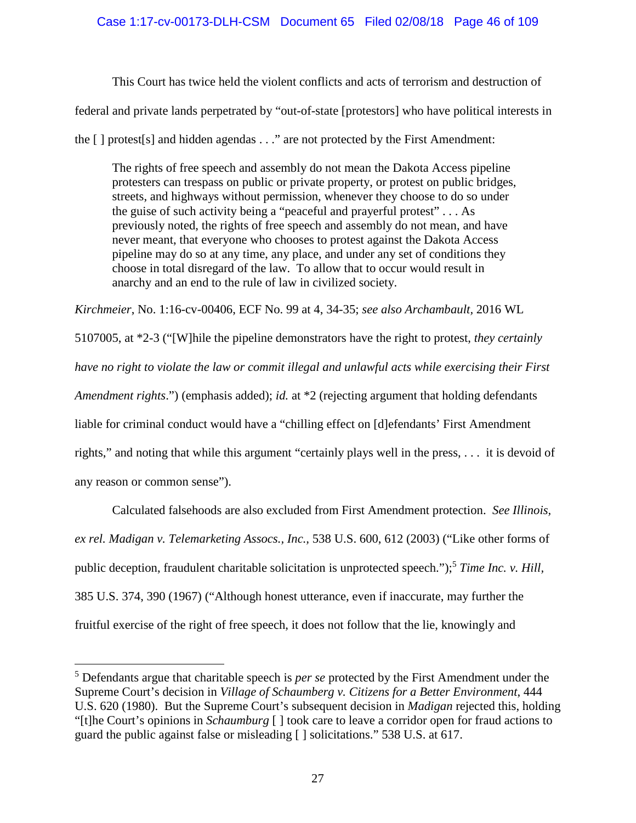# Case 1:17-cv-00173-DLH-CSM Document 65 Filed 02/08/18 Page 46 of 109

This Court has twice held the violent conflicts and acts of terrorism and destruction of

federal and private lands perpetrated by "out-of-state [protestors] who have political interests in

the [ ] protest[s] and hidden agendas . . ." are not protected by the First Amendment:

The rights of free speech and assembly do not mean the Dakota Access pipeline protesters can trespass on public or private property, or protest on public bridges, streets, and highways without permission, whenever they choose to do so under the guise of such activity being a "peaceful and prayerful protest" . . . As previously noted, the rights of free speech and assembly do not mean, and have never meant, that everyone who chooses to protest against the Dakota Access pipeline may do so at any time, any place, and under any set of conditions they choose in total disregard of the law. To allow that to occur would result in anarchy and an end to the rule of law in civilized society.

*Kirchmeier*, No. 1:16-cv-00406, ECF No. 99 at 4, 34-35; *see also Archambault,* 2016 WL

5107005, at \*2-3 ("[W]hile the pipeline demonstrators have the right to protest, *they certainly have no right to violate the law or commit illegal and unlawful acts while exercising their First Amendment rights*.") (emphasis added); *id.* at \*2 (rejecting argument that holding defendants liable for criminal conduct would have a "chilling effect on [d]efendants' First Amendment rights," and noting that while this argument "certainly plays well in the press, . . . it is devoid of

any reason or common sense").

Calculated falsehoods are also excluded from First Amendment protection. *See Illinois, ex rel. Madigan v. Telemarketing Assocs., Inc.,* 538 U.S. 600, 612 (2003) ("Like other forms of public deception, fraudulent charitable solicitation is unprotected speech.");<sup>5</sup> *Time Inc. v. Hill,* 385 U.S. 374, 390 (1967) ("Although honest utterance, even if inaccurate, may further the fruitful exercise of the right of free speech, it does not follow that the lie, knowingly and

<sup>5</sup> Defendants argue that charitable speech is *per se* protected by the First Amendment under the Supreme Court's decision in *Village of Schaumberg v. Citizens for a Better Environment*, 444 U.S. 620 (1980). But the Supreme Court's subsequent decision in *Madigan* rejected this, holding "[t]he Court's opinions in *Schaumburg* [ ] took care to leave a corridor open for fraud actions to guard the public against false or misleading [ ] solicitations." 538 U.S. at 617.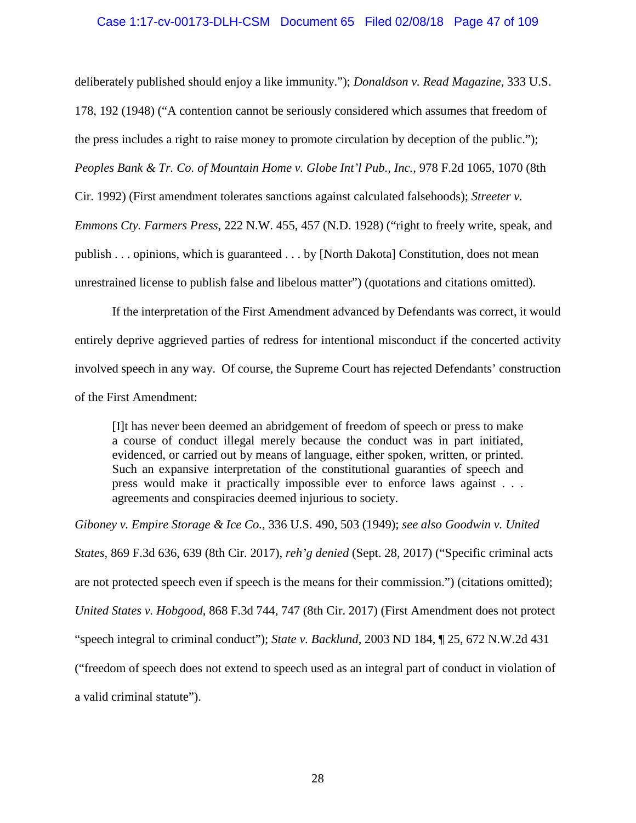### Case 1:17-cv-00173-DLH-CSM Document 65 Filed 02/08/18 Page 47 of 109

deliberately published should enjoy a like immunity."); *Donaldson v. Read Magazine*, 333 U.S.

178, 192 (1948) ("A contention cannot be seriously considered which assumes that freedom of

the press includes a right to raise money to promote circulation by deception of the public.");

*Peoples Bank & Tr. Co. of Mountain Home v. Globe Int'l Pub., Inc.*, 978 F.2d 1065, 1070 (8th

Cir. 1992) (First amendment tolerates sanctions against calculated falsehoods); *Streeter v.*

*Emmons Cty. Farmers Press*, 222 N.W. 455, 457 (N.D. 1928) ("right to freely write, speak, and publish . . . opinions, which is guaranteed . . . by [North Dakota] Constitution, does not mean unrestrained license to publish false and libelous matter") (quotations and citations omitted).

If the interpretation of the First Amendment advanced by Defendants was correct, it would entirely deprive aggrieved parties of redress for intentional misconduct if the concerted activity involved speech in any way. Of course, the Supreme Court has rejected Defendants' construction of the First Amendment:

[I]t has never been deemed an abridgement of freedom of speech or press to make a course of conduct illegal merely because the conduct was in part initiated, evidenced, or carried out by means of language, either spoken, written, or printed. Such an expansive interpretation of the constitutional guaranties of speech and press would make it practically impossible ever to enforce laws against . . . agreements and conspiracies deemed injurious to society.

*Giboney v. Empire Storage & Ice Co.*, 336 U.S. 490, 503 (1949); *see also Goodwin v. United States*, 869 F.3d 636, 639 (8th Cir. 2017), *reh'g denied* (Sept. 28, 2017) ("Specific criminal acts are not protected speech even if speech is the means for their commission.") (citations omitted); *United States v. Hobgood*, 868 F.3d 744, 747 (8th Cir. 2017) (First Amendment does not protect "speech integral to criminal conduct"); *State v. Backlund*, 2003 ND 184, ¶ 25, 672 N.W.2d 431 ("freedom of speech does not extend to speech used as an integral part of conduct in violation of a valid criminal statute").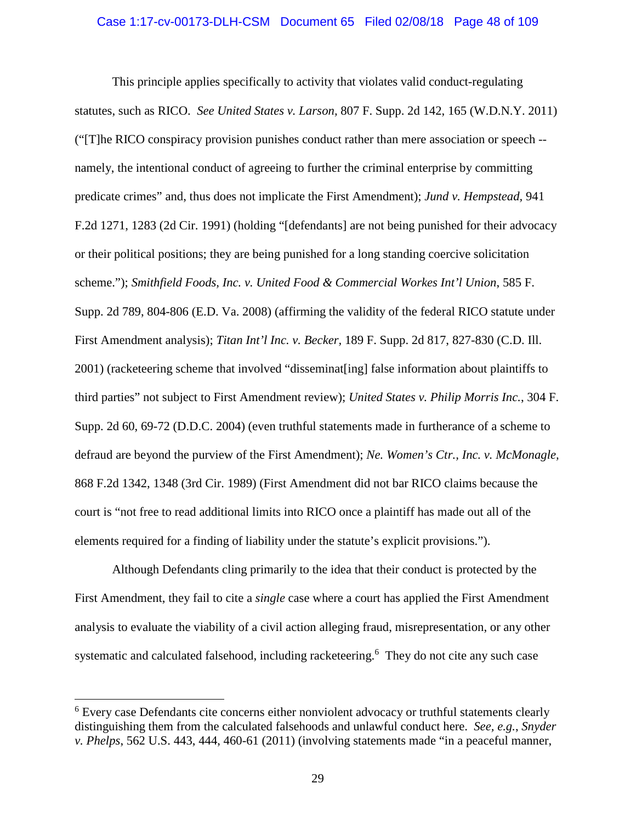This principle applies specifically to activity that violates valid conduct-regulating statutes, such as RICO. *See United States v. Larson,* 807 F. Supp. 2d 142, 165 (W.D.N.Y. 2011) ("[T]he RICO conspiracy provision punishes conduct rather than mere association or speech - namely, the intentional conduct of agreeing to further the criminal enterprise by committing predicate crimes" and, thus does not implicate the First Amendment); *Jund v. Hempstead,* 941 F.2d 1271, 1283 (2d Cir. 1991) (holding "[defendants] are not being punished for their advocacy or their political positions; they are being punished for a long standing coercive solicitation scheme."); *Smithfield Foods, Inc. v. United Food & Commercial Workes Int'l Union*, 585 F. Supp. 2d 789, 804-806 (E.D. Va. 2008) (affirming the validity of the federal RICO statute under First Amendment analysis); *Titan Int'l Inc. v. Becker,* 189 F. Supp. 2d 817, 827-830 (C.D. Ill. 2001) (racketeering scheme that involved "disseminat[ing] false information about plaintiffs to third parties" not subject to First Amendment review); *United States v. Philip Morris Inc.*, 304 F. Supp. 2d 60, 69-72 (D.D.C. 2004) (even truthful statements made in furtherance of a scheme to defraud are beyond the purview of the First Amendment); *Ne. Women's Ctr., Inc. v. McMonagle,* 868 F.2d 1342, 1348 (3rd Cir. 1989) (First Amendment did not bar RICO claims because the court is "not free to read additional limits into RICO once a plaintiff has made out all of the elements required for a finding of liability under the statute's explicit provisions.").

Although Defendants cling primarily to the idea that their conduct is protected by the First Amendment, they fail to cite a *single* case where a court has applied the First Amendment analysis to evaluate the viability of a civil action alleging fraud, misrepresentation, or any other systematic and calculated falsehood, including racketeering.<sup>6</sup> They do not cite any such case

<sup>&</sup>lt;sup>6</sup> Every case Defendants cite concerns either nonviolent advocacy or truthful statements clearly distinguishing them from the calculated falsehoods and unlawful conduct here. *See, e.g.*, *Snyder v. Phelps*, 562 U.S. 443, 444, 460-61 (2011) (involving statements made "in a peaceful manner,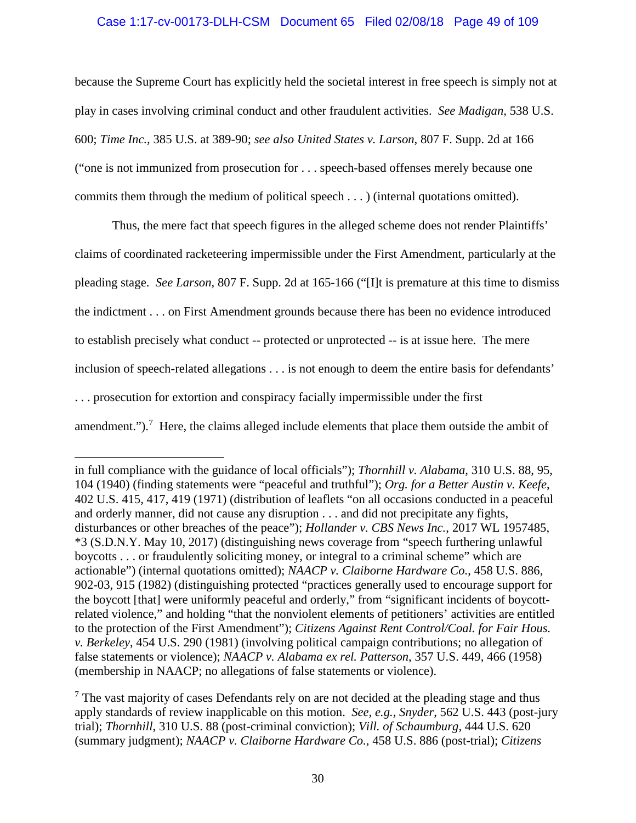### Case 1:17-cv-00173-DLH-CSM Document 65 Filed 02/08/18 Page 49 of 109

because the Supreme Court has explicitly held the societal interest in free speech is simply not at play in cases involving criminal conduct and other fraudulent activities. *See Madigan,* 538 U.S. 600; *Time Inc.,* 385 U.S. at 389-90; *see also United States v. Larson*, 807 F. Supp. 2d at 166 ("one is not immunized from prosecution for . . . speech-based offenses merely because one commits them through the medium of political speech . . . ) (internal quotations omitted).

Thus, the mere fact that speech figures in the alleged scheme does not render Plaintiffs' claims of coordinated racketeering impermissible under the First Amendment, particularly at the pleading stage. *See Larson,* 807 F. Supp. 2d at 165-166 ("[I]t is premature at this time to dismiss the indictment . . . on First Amendment grounds because there has been no evidence introduced to establish precisely what conduct -- protected or unprotected -- is at issue here. The mere inclusion of speech-related allegations . . . is not enough to deem the entire basis for defendants' . . . prosecution for extortion and conspiracy facially impermissible under the first amendment.").<sup>7</sup> Here, the claims alleged include elements that place them outside the ambit of

in full compliance with the guidance of local officials"); *Thornhill v. Alabama*, 310 U.S. 88, 95, 104 (1940) (finding statements were "peaceful and truthful"); *Org. for a Better Austin v. Keefe*, 402 U.S. 415, 417, 419 (1971) (distribution of leaflets "on all occasions conducted in a peaceful and orderly manner, did not cause any disruption . . . and did not precipitate any fights, disturbances or other breaches of the peace"); *Hollander v. CBS News Inc.*, 2017 WL 1957485, \*3 (S.D.N.Y. May 10, 2017) (distinguishing news coverage from "speech furthering unlawful boycotts . . . or fraudulently soliciting money, or integral to a criminal scheme" which are actionable") (internal quotations omitted); *NAACP v. Claiborne Hardware Co.*, 458 U.S. 886, 902-03, 915 (1982) (distinguishing protected "practices generally used to encourage support for the boycott [that] were uniformly peaceful and orderly," from "significant incidents of boycottrelated violence," and holding "that the nonviolent elements of petitioners' activities are entitled to the protection of the First Amendment"); *Citizens Against Rent Control/Coal. for Fair Hous. v. Berkeley*, 454 U.S. 290 (1981) (involving political campaign contributions; no allegation of false statements or violence); *NAACP v. Alabama ex rel. Patterson*, 357 U.S. 449, 466 (1958) (membership in NAACP; no allegations of false statements or violence).

 $<sup>7</sup>$  The vast majority of cases Defendants rely on are not decided at the pleading stage and thus</sup> apply standards of review inapplicable on this motion. *See, e.g., Snyder*, 562 U.S. 443 (post-jury trial); *Thornhill*, 310 U.S. 88 (post-criminal conviction); *Vill. of Schaumburg,* 444 U.S. 620 (summary judgment); *NAACP v. Claiborne Hardware Co.*, 458 U.S. 886 (post-trial); *Citizens*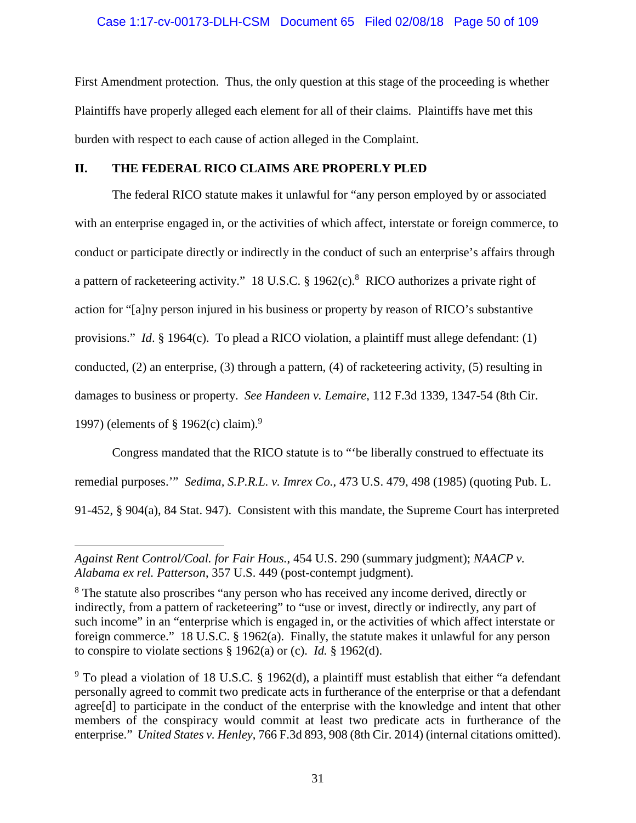First Amendment protection. Thus, the only question at this stage of the proceeding is whether Plaintiffs have properly alleged each element for all of their claims. Plaintiffs have met this burden with respect to each cause of action alleged in the Complaint.

# **II. THE FEDERAL RICO CLAIMS ARE PROPERLY PLED**

The federal RICO statute makes it unlawful for "any person employed by or associated with an enterprise engaged in, or the activities of which affect, interstate or foreign commerce, to conduct or participate directly or indirectly in the conduct of such an enterprise's affairs through a pattern of racketeering activity." 18 U.S.C. § 1962(c).<sup>8</sup> RICO authorizes a private right of action for "[a]ny person injured in his business or property by reason of RICO's substantive provisions." *Id*. § 1964(c). To plead a RICO violation, a plaintiff must allege defendant: (1) conducted, (2) an enterprise, (3) through a pattern, (4) of racketeering activity, (5) resulting in damages to business or property. *See Handeen v. Lemaire*, 112 F.3d 1339, 1347-54 (8th Cir. 1997) (elements of § 1962(c) claim).<sup>9</sup>

Congress mandated that the RICO statute is to "'be liberally construed to effectuate its remedial purposes.'" *Sedima, S.P.R.L. v. Imrex Co.*, 473 U.S. 479, 498 (1985) (quoting Pub. L. 91-452, § 904(a), 84 Stat. 947). Consistent with this mandate, the Supreme Court has interpreted

*Against Rent Control/Coal. for Fair Hous.*, 454 U.S. 290 (summary judgment); *NAACP v. Alabama ex rel. Patterson*, 357 U.S. 449 (post-contempt judgment).

<sup>8</sup> The statute also proscribes "any person who has received any income derived, directly or indirectly, from a pattern of racketeering" to "use or invest, directly or indirectly, any part of such income" in an "enterprise which is engaged in, or the activities of which affect interstate or foreign commerce." 18 U.S.C. § 1962(a). Finally, the statute makes it unlawful for any person to conspire to violate sections § 1962(a) or (c). *Id.* § 1962(d).

 $9$  To plead a violation of 18 U.S.C. § 1962(d), a plaintiff must establish that either "a defendant" personally agreed to commit two predicate acts in furtherance of the enterprise or that a defendant agree[d] to participate in the conduct of the enterprise with the knowledge and intent that other members of the conspiracy would commit at least two predicate acts in furtherance of the enterprise." *United States v. Henley*, 766 F.3d 893, 908 (8th Cir. 2014) (internal citations omitted).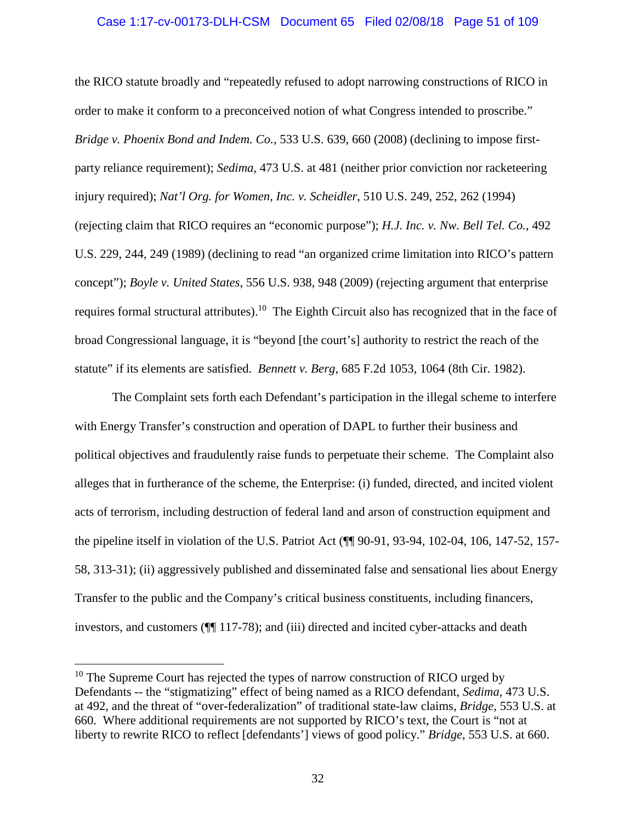### Case 1:17-cv-00173-DLH-CSM Document 65 Filed 02/08/18 Page 51 of 109

the RICO statute broadly and "repeatedly refused to adopt narrowing constructions of RICO in order to make it conform to a preconceived notion of what Congress intended to proscribe." *Bridge v. Phoenix Bond and Indem. Co.*, 533 U.S. 639, 660 (2008) (declining to impose firstparty reliance requirement); *Sedima*, 473 U.S. at 481 (neither prior conviction nor racketeering injury required); *Nat'l Org. for Women, Inc. v. Scheidler*, 510 U.S. 249, 252, 262 (1994) (rejecting claim that RICO requires an "economic purpose"); *H.J. Inc. v. Nw. Bell Tel. Co.*, 492 U.S. 229, 244, 249 (1989) (declining to read "an organized crime limitation into RICO's pattern concept"); *Boyle v. United States*, 556 U.S. 938, 948 (2009) (rejecting argument that enterprise requires formal structural attributes).<sup>10</sup> The Eighth Circuit also has recognized that in the face of broad Congressional language, it is "beyond [the court's] authority to restrict the reach of the statute" if its elements are satisfied. *Bennett v. Berg*, 685 F.2d 1053, 1064 (8th Cir. 1982).

The Complaint sets forth each Defendant's participation in the illegal scheme to interfere with Energy Transfer's construction and operation of DAPL to further their business and political objectives and fraudulently raise funds to perpetuate their scheme. The Complaint also alleges that in furtherance of the scheme, the Enterprise: (i) funded, directed, and incited violent acts of terrorism, including destruction of federal land and arson of construction equipment and the pipeline itself in violation of the U.S. Patriot Act (¶¶ 90-91, 93-94, 102-04, 106, 147-52, 157- 58, 313-31); (ii) aggressively published and disseminated false and sensational lies about Energy Transfer to the public and the Company's critical business constituents, including financers, investors, and customers (¶¶ 117-78); and (iii) directed and incited cyber-attacks and death

 $10$  The Supreme Court has rejected the types of narrow construction of RICO urged by Defendants -- the "stigmatizing" effect of being named as a RICO defendant, *Sedima*, 473 U.S. at 492, and the threat of "over-federalization" of traditional state-law claims, *Bridge*, 553 U.S. at 660. Where additional requirements are not supported by RICO's text, the Court is "not at liberty to rewrite RICO to reflect [defendants'] views of good policy." *Bridge*, 553 U.S. at 660.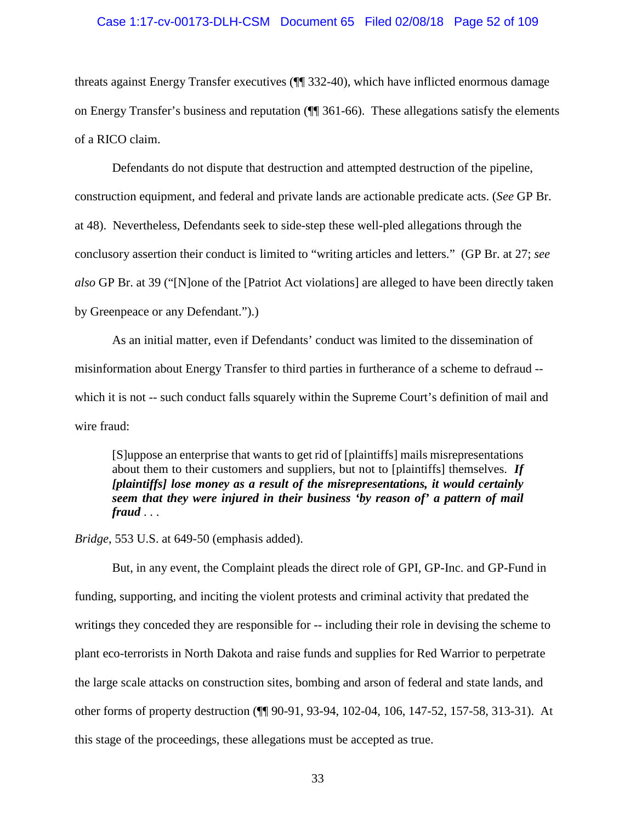### Case 1:17-cv-00173-DLH-CSM Document 65 Filed 02/08/18 Page 52 of 109

threats against Energy Transfer executives (¶¶ 332-40), which have inflicted enormous damage on Energy Transfer's business and reputation (¶¶ 361-66). These allegations satisfy the elements of a RICO claim.

Defendants do not dispute that destruction and attempted destruction of the pipeline, construction equipment, and federal and private lands are actionable predicate acts. (*See* GP Br. at 48). Nevertheless, Defendants seek to side-step these well-pled allegations through the conclusory assertion their conduct is limited to "writing articles and letters." (GP Br. at 27; *see also* GP Br. at 39 ("[N]one of the [Patriot Act violations] are alleged to have been directly taken by Greenpeace or any Defendant.").)

As an initial matter, even if Defendants' conduct was limited to the dissemination of misinformation about Energy Transfer to third parties in furtherance of a scheme to defraud - which it is not -- such conduct falls squarely within the Supreme Court's definition of mail and wire fraud:

[S]uppose an enterprise that wants to get rid of [plaintiffs] mails misrepresentations about them to their customers and suppliers, but not to [plaintiffs] themselves. *If [plaintiffs] lose money as a result of the misrepresentations, it would certainly seem that they were injured in their business 'by reason of' a pattern of mail fraud* . . .

*Bridge*, 553 U.S. at 649-50 (emphasis added).

But, in any event, the Complaint pleads the direct role of GPI, GP-Inc. and GP-Fund in funding, supporting, and inciting the violent protests and criminal activity that predated the writings they conceded they are responsible for -- including their role in devising the scheme to plant eco-terrorists in North Dakota and raise funds and supplies for Red Warrior to perpetrate the large scale attacks on construction sites, bombing and arson of federal and state lands, and other forms of property destruction (¶¶ 90-91, 93-94, 102-04, 106, 147-52, 157-58, 313-31). At this stage of the proceedings, these allegations must be accepted as true.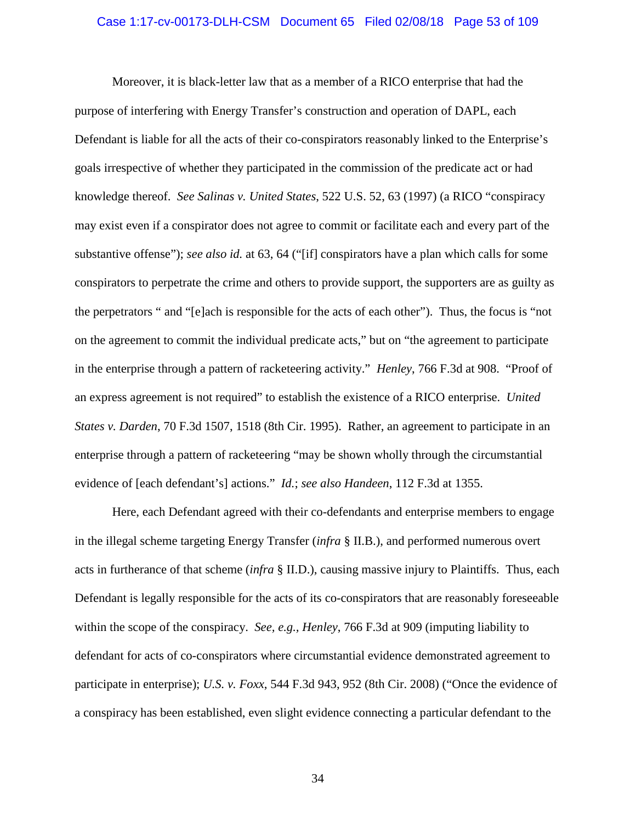#### Case 1:17-cv-00173-DLH-CSM Document 65 Filed 02/08/18 Page 53 of 109

Moreover, it is black-letter law that as a member of a RICO enterprise that had the purpose of interfering with Energy Transfer's construction and operation of DAPL, each Defendant is liable for all the acts of their co-conspirators reasonably linked to the Enterprise's goals irrespective of whether they participated in the commission of the predicate act or had knowledge thereof. *See Salinas v. United States*, 522 U.S. 52, 63 (1997) (a RICO "conspiracy may exist even if a conspirator does not agree to commit or facilitate each and every part of the substantive offense"); *see also id.* at 63, 64 ("[if] conspirators have a plan which calls for some conspirators to perpetrate the crime and others to provide support, the supporters are as guilty as the perpetrators " and "[e]ach is responsible for the acts of each other"). Thus, the focus is "not on the agreement to commit the individual predicate acts," but on "the agreement to participate in the enterprise through a pattern of racketeering activity." *Henley*, 766 F.3d at 908. "Proof of an express agreement is not required" to establish the existence of a RICO enterprise. *United States v. Darden*, 70 F.3d 1507, 1518 (8th Cir. 1995). Rather, an agreement to participate in an enterprise through a pattern of racketeering "may be shown wholly through the circumstantial evidence of [each defendant's] actions." *Id.*; *see also Handeen*, 112 F.3d at 1355.

Here, each Defendant agreed with their co-defendants and enterprise members to engage in the illegal scheme targeting Energy Transfer (*infra* § II.B.), and performed numerous overt acts in furtherance of that scheme (*infra* § II.D.), causing massive injury to Plaintiffs. Thus, each Defendant is legally responsible for the acts of its co-conspirators that are reasonably foreseeable within the scope of the conspiracy. *See, e.g., Henley*, 766 F.3d at 909 (imputing liability to defendant for acts of co-conspirators where circumstantial evidence demonstrated agreement to participate in enterprise); *U.S. v. Foxx*, 544 F.3d 943, 952 (8th Cir. 2008) ("Once the evidence of a conspiracy has been established, even slight evidence connecting a particular defendant to the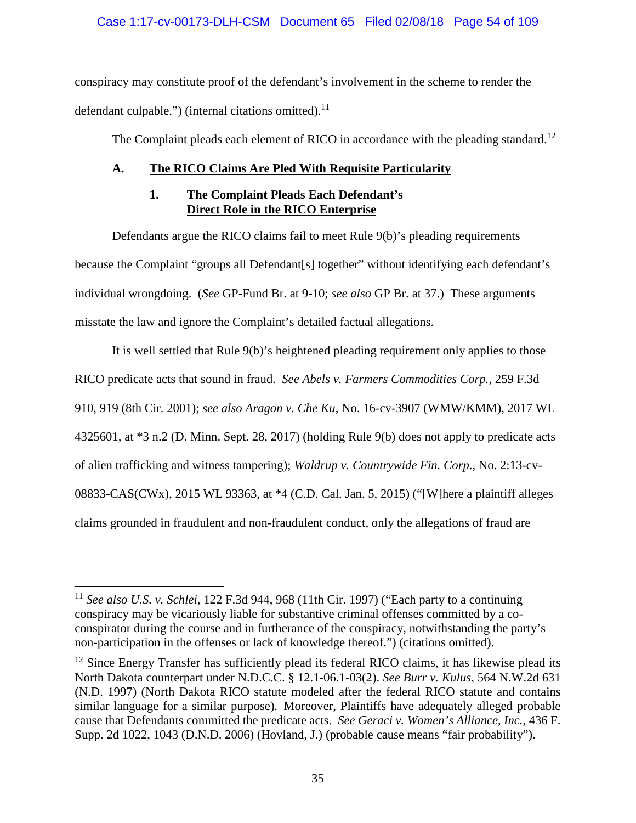# Case 1:17-cv-00173-DLH-CSM Document 65 Filed 02/08/18 Page 54 of 109

conspiracy may constitute proof of the defendant's involvement in the scheme to render the defendant culpable.") (internal citations omitted). $^{11}$ 

The Complaint pleads each element of RICO in accordance with the pleading standard.<sup>12</sup>

# **A. The RICO Claims Are Pled With Requisite Particularity**

# **1. The Complaint Pleads Each Defendant's Direct Role in the RICO Enterprise**

Defendants argue the RICO claims fail to meet Rule 9(b)'s pleading requirements because the Complaint "groups all Defendant[s] together" without identifying each defendant's individual wrongdoing. (*See* GP-Fund Br. at 9-10; *see also* GP Br. at 37.) These arguments misstate the law and ignore the Complaint's detailed factual allegations.

It is well settled that Rule 9(b)'s heightened pleading requirement only applies to those RICO predicate acts that sound in fraud. *See Abels v. Farmers Commodities Corp.*, 259 F.3d 910, 919 (8th Cir. 2001); *see also Aragon v. Che Ku*, No. 16-cv-3907 (WMW/KMM), 2017 WL 4325601, at \*3 n.2 (D. Minn. Sept. 28, 2017) (holding Rule 9(b) does not apply to predicate acts of alien trafficking and witness tampering); *Waldrup v. Countrywide Fin. Corp*., No. 2:13-cv-08833-CAS(CWx), 2015 WL 93363, at \*4 (C.D. Cal. Jan. 5, 2015) ("[W]here a plaintiff alleges claims grounded in fraudulent and non-fraudulent conduct, only the allegations of fraud are

<sup>11</sup> *See also U.S. v. Schlei*, 122 F.3d 944, 968 (11th Cir. 1997) ("Each party to a continuing conspiracy may be vicariously liable for substantive criminal offenses committed by a coconspirator during the course and in furtherance of the conspiracy, notwithstanding the party's non-participation in the offenses or lack of knowledge thereof.") (citations omitted).

 $12$  Since Energy Transfer has sufficiently plead its federal RICO claims, it has likewise plead its North Dakota counterpart under N.D.C.C. § 12.1-06.1-03(2). *See Burr v. Kulus*, 564 N.W.2d 631 (N.D. 1997) (North Dakota RICO statute modeled after the federal RICO statute and contains similar language for a similar purpose). Moreover, Plaintiffs have adequately alleged probable cause that Defendants committed the predicate acts. *See Geraci v. Women's Alliance, Inc.*, 436 F. Supp. 2d 1022, 1043 (D.N.D. 2006) (Hovland, J.) (probable cause means "fair probability").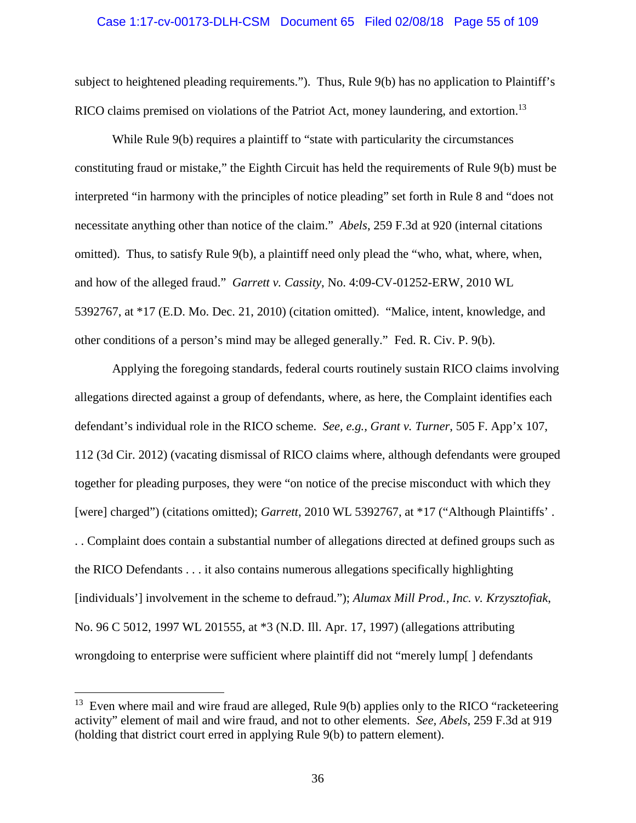### Case 1:17-cv-00173-DLH-CSM Document 65 Filed 02/08/18 Page 55 of 109

subject to heightened pleading requirements."). Thus, Rule 9(b) has no application to Plaintiff's RICO claims premised on violations of the Patriot Act, money laundering, and extortion.<sup>13</sup>

While Rule 9(b) requires a plaintiff to "state with particularity the circumstances" constituting fraud or mistake," the Eighth Circuit has held the requirements of Rule 9(b) must be interpreted "in harmony with the principles of notice pleading" set forth in Rule 8 and "does not necessitate anything other than notice of the claim." *Abels*, 259 F.3d at 920 (internal citations omitted). Thus, to satisfy Rule 9(b), a plaintiff need only plead the "who, what, where, when, and how of the alleged fraud." *Garrett v. Cassity*, No. 4:09-CV-01252-ERW, 2010 WL 5392767, at \*17 (E.D. Mo. Dec. 21, 2010) (citation omitted). "Malice, intent, knowledge, and other conditions of a person's mind may be alleged generally." Fed. R. Civ. P. 9(b).

Applying the foregoing standards, federal courts routinely sustain RICO claims involving allegations directed against a group of defendants, where, as here, the Complaint identifies each defendant's individual role in the RICO scheme. *See, e.g., Grant v. Turner*, 505 F. App'x 107, 112 (3d Cir. 2012) (vacating dismissal of RICO claims where, although defendants were grouped together for pleading purposes, they were "on notice of the precise misconduct with which they [were] charged") (citations omitted); *Garrett*, 2010 WL 5392767, at \*17 ("Although Plaintiffs'. . . Complaint does contain a substantial number of allegations directed at defined groups such as the RICO Defendants . . . it also contains numerous allegations specifically highlighting [individuals'] involvement in the scheme to defraud."); *Alumax Mill Prod., Inc. v. Krzysztofiak*, No. 96 C 5012, 1997 WL 201555, at \*3 (N.D. Ill. Apr. 17, 1997) (allegations attributing wrongdoing to enterprise were sufficient where plaintiff did not "merely lump[ ] defendants

 $13$  Even where mail and wire fraud are alleged, Rule 9(b) applies only to the RICO "racketeering activity" element of mail and wire fraud, and not to other elements. *See, Abels*, 259 F.3d at 919 (holding that district court erred in applying Rule 9(b) to pattern element).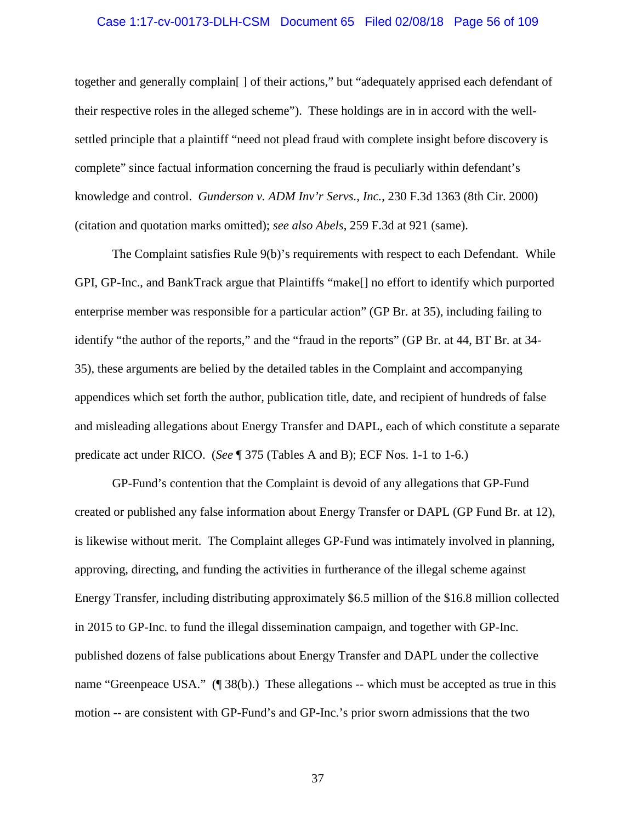### Case 1:17-cv-00173-DLH-CSM Document 65 Filed 02/08/18 Page 56 of 109

together and generally complain[ ] of their actions," but "adequately apprised each defendant of their respective roles in the alleged scheme"). These holdings are in in accord with the wellsettled principle that a plaintiff "need not plead fraud with complete insight before discovery is complete" since factual information concerning the fraud is peculiarly within defendant's knowledge and control. *Gunderson v. ADM Inv'r Servs., Inc.*, 230 F.3d 1363 (8th Cir. 2000) (citation and quotation marks omitted); *see also Abels*, 259 F.3d at 921 (same).

The Complaint satisfies Rule 9(b)'s requirements with respect to each Defendant. While GPI, GP-Inc., and BankTrack argue that Plaintiffs "make[] no effort to identify which purported enterprise member was responsible for a particular action" (GP Br. at 35), including failing to identify "the author of the reports," and the "fraud in the reports" (GP Br. at 44, BT Br. at 34- 35), these arguments are belied by the detailed tables in the Complaint and accompanying appendices which set forth the author, publication title, date, and recipient of hundreds of false and misleading allegations about Energy Transfer and DAPL, each of which constitute a separate predicate act under RICO. (*See* ¶ 375 (Tables A and B); ECF Nos. 1-1 to 1-6.)

GP-Fund's contention that the Complaint is devoid of any allegations that GP-Fund created or published any false information about Energy Transfer or DAPL (GP Fund Br. at 12), is likewise without merit. The Complaint alleges GP-Fund was intimately involved in planning, approving, directing, and funding the activities in furtherance of the illegal scheme against Energy Transfer, including distributing approximately \$6.5 million of the \$16.8 million collected in 2015 to GP-Inc. to fund the illegal dissemination campaign, and together with GP-Inc. published dozens of false publications about Energy Transfer and DAPL under the collective name "Greenpeace USA." (¶ 38(b).) These allegations -- which must be accepted as true in this motion -- are consistent with GP-Fund's and GP-Inc.'s prior sworn admissions that the two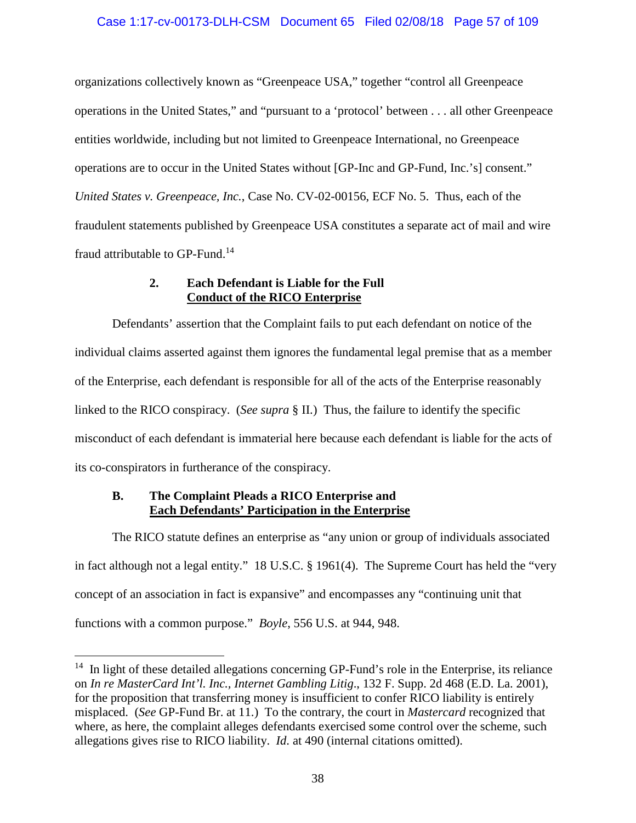## Case 1:17-cv-00173-DLH-CSM Document 65 Filed 02/08/18 Page 57 of 109

organizations collectively known as "Greenpeace USA," together "control all Greenpeace operations in the United States," and "pursuant to a 'protocol' between . . . all other Greenpeace entities worldwide, including but not limited to Greenpeace International, no Greenpeace operations are to occur in the United States without [GP-Inc and GP-Fund, Inc.'s] consent." *United States v. Greenpeace, Inc.*, Case No. CV-02-00156, ECF No. 5. Thus, each of the fraudulent statements published by Greenpeace USA constitutes a separate act of mail and wire fraud attributable to GP-Fund.<sup>14</sup>

# **2. Each Defendant is Liable for the Full Conduct of the RICO Enterprise**

Defendants' assertion that the Complaint fails to put each defendant on notice of the individual claims asserted against them ignores the fundamental legal premise that as a member of the Enterprise, each defendant is responsible for all of the acts of the Enterprise reasonably linked to the RICO conspiracy. (*See supra* § II.) Thus, the failure to identify the specific misconduct of each defendant is immaterial here because each defendant is liable for the acts of its co-conspirators in furtherance of the conspiracy.

## **B. The Complaint Pleads a RICO Enterprise and Each Defendants' Participation in the Enterprise**

The RICO statute defines an enterprise as "any union or group of individuals associated in fact although not a legal entity." 18 U.S.C. § 1961(4). The Supreme Court has held the "very concept of an association in fact is expansive" and encompasses any "continuing unit that functions with a common purpose." *Boyle*, 556 U.S. at 944, 948.

<sup>&</sup>lt;sup>14</sup> In light of these detailed allegations concerning GP-Fund's role in the Enterprise, its reliance on *In re MasterCard Int'l. Inc., Internet Gambling Litig*., 132 F. Supp. 2d 468 (E.D. La. 2001), for the proposition that transferring money is insufficient to confer RICO liability is entirely misplaced. (*See* GP-Fund Br. at 11.) To the contrary, the court in *Mastercard* recognized that where, as here, the complaint alleges defendants exercised some control over the scheme, such allegations gives rise to RICO liability. *Id*. at 490 (internal citations omitted).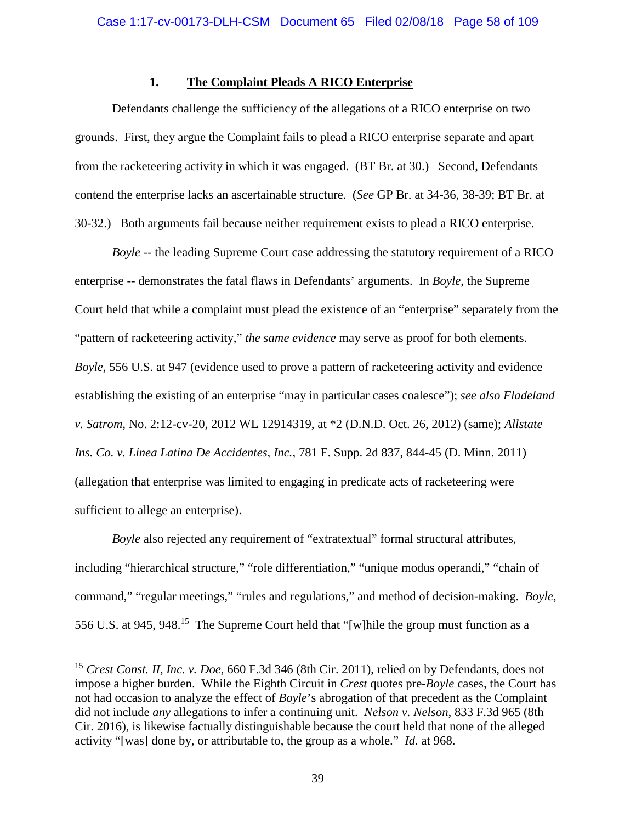## **1. The Complaint Pleads A RICO Enterprise**

Defendants challenge the sufficiency of the allegations of a RICO enterprise on two grounds. First, they argue the Complaint fails to plead a RICO enterprise separate and apart from the racketeering activity in which it was engaged. (BT Br. at 30.) Second, Defendants contend the enterprise lacks an ascertainable structure. (*See* GP Br. at 34-36, 38-39; BT Br. at 30-32.) Both arguments fail because neither requirement exists to plead a RICO enterprise.

*Boyle* -- the leading Supreme Court case addressing the statutory requirement of a RICO enterprise -- demonstrates the fatal flaws in Defendants' arguments. In *Boyle*, the Supreme Court held that while a complaint must plead the existence of an "enterprise" separately from the "pattern of racketeering activity," *the same evidence* may serve as proof for both elements. *Boyle*, 556 U.S. at 947 (evidence used to prove a pattern of racketeering activity and evidence establishing the existing of an enterprise "may in particular cases coalesce"); *see also Fladeland v. Satrom*, No. 2:12-cv-20, 2012 WL 12914319, at \*2 (D.N.D. Oct. 26, 2012) (same); *Allstate Ins. Co. v. Linea Latina De Accidentes, Inc.*, 781 F. Supp. 2d 837, 844-45 (D. Minn. 2011) (allegation that enterprise was limited to engaging in predicate acts of racketeering were sufficient to allege an enterprise).

*Boyle* also rejected any requirement of "extratextual" formal structural attributes, including "hierarchical structure," "role differentiation," "unique modus operandi," "chain of command," "regular meetings," "rules and regulations," and method of decision-making. *Boyle*, 556 U.S. at 945, 948.<sup>15</sup> The Supreme Court held that "[w] hile the group must function as a

<sup>15</sup> *Crest Const. II, Inc. v. Doe*, 660 F.3d 346 (8th Cir. 2011), relied on by Defendants, does not impose a higher burden. While the Eighth Circuit in *Crest* quotes pre-*Boyle* cases, the Court has not had occasion to analyze the effect of *Boyle*'s abrogation of that precedent as the Complaint did not include *any* allegations to infer a continuing unit. *Nelson v. Nelson*, 833 F.3d 965 (8th Cir. 2016), is likewise factually distinguishable because the court held that none of the alleged activity "[was] done by, or attributable to, the group as a whole." *Id.* at 968.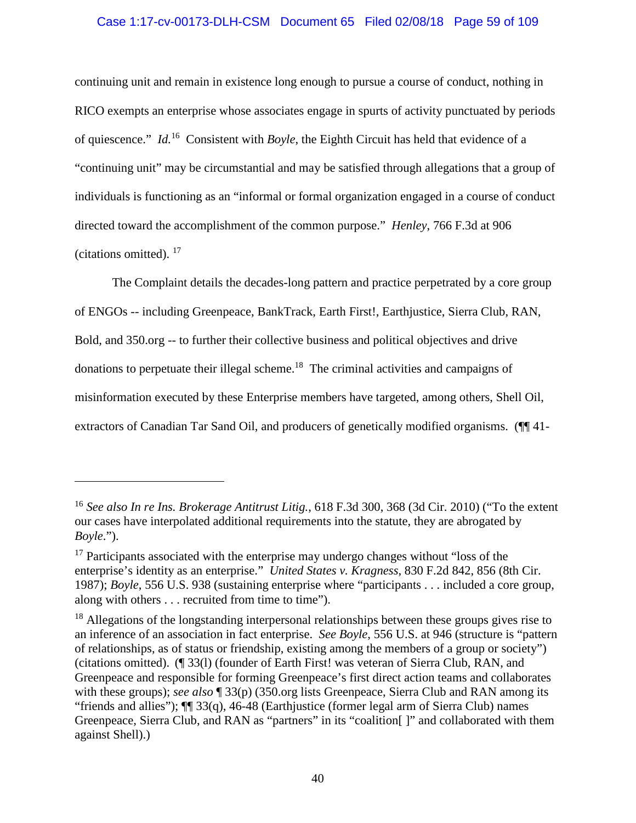## Case 1:17-cv-00173-DLH-CSM Document 65 Filed 02/08/18 Page 59 of 109

continuing unit and remain in existence long enough to pursue a course of conduct, nothing in RICO exempts an enterprise whose associates engage in spurts of activity punctuated by periods of quiescence." *Id.*<sup>16</sup> Consistent with *Boyle*, the Eighth Circuit has held that evidence of a "continuing unit" may be circumstantial and may be satisfied through allegations that a group of individuals is functioning as an "informal or formal organization engaged in a course of conduct directed toward the accomplishment of the common purpose." *Henley*, 766 F.3d at 906 (citations omitted). <sup>17</sup>

The Complaint details the decades-long pattern and practice perpetrated by a core group of ENGOs -- including Greenpeace, BankTrack, Earth First!, Earthjustice, Sierra Club, RAN, Bold, and 350.org -- to further their collective business and political objectives and drive donations to perpetuate their illegal scheme.<sup>18</sup> The criminal activities and campaigns of misinformation executed by these Enterprise members have targeted, among others, Shell Oil, extractors of Canadian Tar Sand Oil, and producers of genetically modified organisms. (¶ 41-

<sup>16</sup> *See also In re Ins. Brokerage Antitrust Litig.*, 618 F.3d 300, 368 (3d Cir. 2010) ("To the extent our cases have interpolated additional requirements into the statute, they are abrogated by *Boyle*.").

<sup>&</sup>lt;sup>17</sup> Participants associated with the enterprise may undergo changes without "loss of the enterprise's identity as an enterprise." *United States v. Kragness*, 830 F.2d 842, 856 (8th Cir. 1987); *Boyle*, 556 U.S. 938 (sustaining enterprise where "participants . . . included a core group, along with others . . . recruited from time to time").

<sup>&</sup>lt;sup>18</sup> Allegations of the longstanding interpersonal relationships between these groups gives rise to an inference of an association in fact enterprise. *See Boyle*, 556 U.S. at 946 (structure is "pattern of relationships, as of status or friendship, existing among the members of a group or society") (citations omitted). (¶ 33(l) (founder of Earth First! was veteran of Sierra Club, RAN, and Greenpeace and responsible for forming Greenpeace's first direct action teams and collaborates with these groups); *see also* ¶ 33(p) (350.org lists Greenpeace, Sierra Club and RAN among its "friends and allies"); ¶¶ 33(q), 46-48 (Earthjustice (former legal arm of Sierra Club) names Greenpeace, Sierra Club, and RAN as "partners" in its "coalition | " and collaborated with them against Shell).)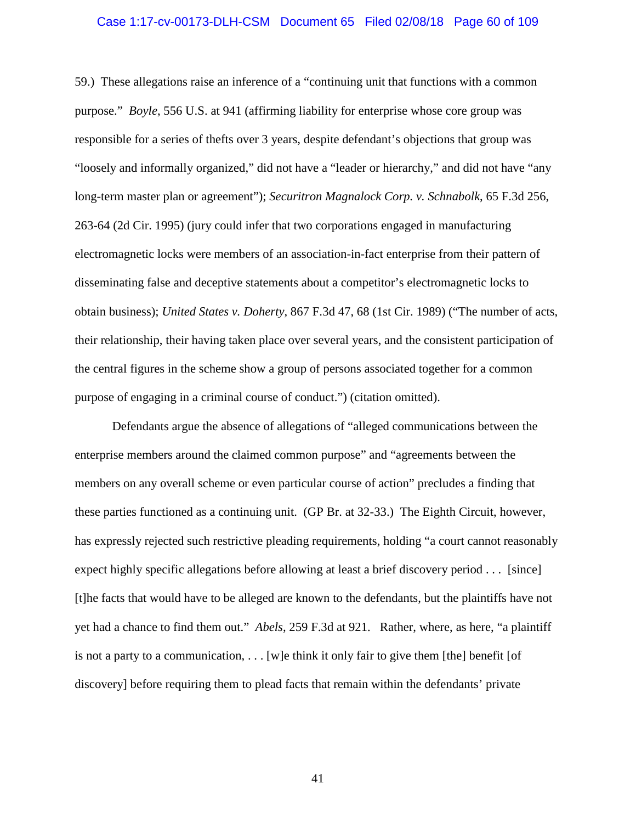#### Case 1:17-cv-00173-DLH-CSM Document 65 Filed 02/08/18 Page 60 of 109

59.) These allegations raise an inference of a "continuing unit that functions with a common purpose." *Boyle*, 556 U.S. at 941 (affirming liability for enterprise whose core group was responsible for a series of thefts over 3 years, despite defendant's objections that group was "loosely and informally organized," did not have a "leader or hierarchy," and did not have "any long-term master plan or agreement"); *Securitron Magnalock Corp. v. Schnabolk*, 65 F.3d 256, 263-64 (2d Cir. 1995) (jury could infer that two corporations engaged in manufacturing electromagnetic locks were members of an association-in-fact enterprise from their pattern of disseminating false and deceptive statements about a competitor's electromagnetic locks to obtain business); *United States v. Doherty*, 867 F.3d 47, 68 (1st Cir. 1989) ("The number of acts, their relationship, their having taken place over several years, and the consistent participation of the central figures in the scheme show a group of persons associated together for a common purpose of engaging in a criminal course of conduct.") (citation omitted).

Defendants argue the absence of allegations of "alleged communications between the enterprise members around the claimed common purpose" and "agreements between the members on any overall scheme or even particular course of action" precludes a finding that these parties functioned as a continuing unit. (GP Br. at 32-33.) The Eighth Circuit, however, has expressly rejected such restrictive pleading requirements, holding "a court cannot reasonably expect highly specific allegations before allowing at least a brief discovery period . . . [since] [t]he facts that would have to be alleged are known to the defendants, but the plaintiffs have not yet had a chance to find them out." *Abels*, 259 F.3d at 921. Rather, where, as here, "a plaintiff is not a party to a communication,  $\ldots$  [w]e think it only fair to give them [the] benefit [of discovery] before requiring them to plead facts that remain within the defendants' private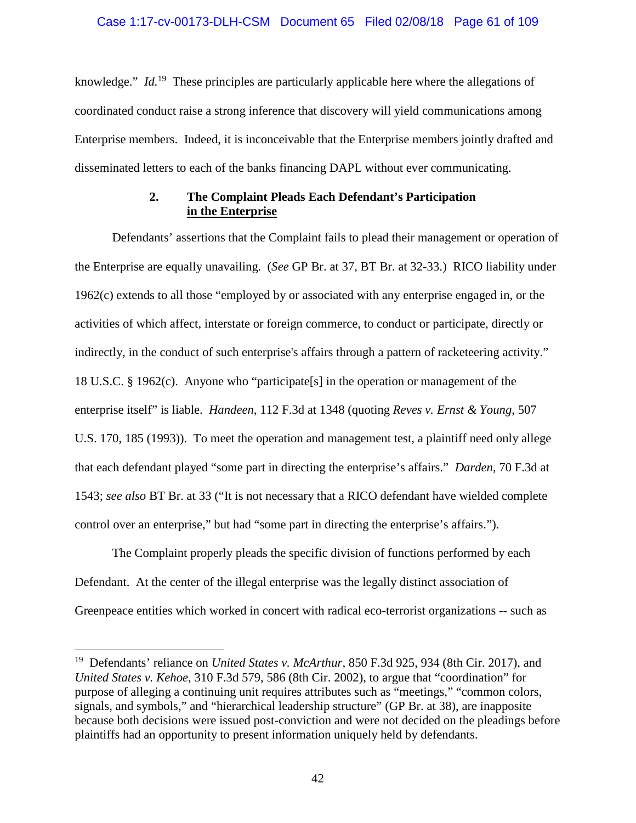knowledge." *Id.*<sup>19</sup> These principles are particularly applicable here where the allegations of coordinated conduct raise a strong inference that discovery will yield communications among Enterprise members. Indeed, it is inconceivable that the Enterprise members jointly drafted and disseminated letters to each of the banks financing DAPL without ever communicating.

# **2. The Complaint Pleads Each Defendant's Participation in the Enterprise**

Defendants' assertions that the Complaint fails to plead their management or operation of the Enterprise are equally unavailing. (*See* GP Br. at 37, BT Br. at 32-33.) RICO liability under 1962(c) extends to all those "employed by or associated with any enterprise engaged in, or the activities of which affect, interstate or foreign commerce, to conduct or participate, directly or indirectly, in the conduct of such enterprise's affairs through a pattern of racketeering activity." 18 U.S.C. § 1962(c). Anyone who "participate[s] in the operation or management of the enterprise itself" is liable. *Handeen*, 112 F.3d at 1348 (quoting *Reves v. Ernst & Young*, 507 U.S. 170, 185 (1993)). To meet the operation and management test, a plaintiff need only allege that each defendant played "some part in directing the enterprise's affairs." *Darden*, 70 F.3d at 1543; *see also* BT Br. at 33 ("It is not necessary that a RICO defendant have wielded complete control over an enterprise," but had "some part in directing the enterprise's affairs.").

The Complaint properly pleads the specific division of functions performed by each Defendant. At the center of the illegal enterprise was the legally distinct association of Greenpeace entities which worked in concert with radical eco-terrorist organizations -- such as

<sup>19</sup> Defendants' reliance on *United States v. McArthur*, 850 F.3d 925, 934 (8th Cir. 2017), and *United States v. Kehoe*, 310 F.3d 579, 586 (8th Cir. 2002), to argue that "coordination" for purpose of alleging a continuing unit requires attributes such as "meetings," "common colors, signals, and symbols," and "hierarchical leadership structure" (GP Br. at 38), are inapposite because both decisions were issued post-conviction and were not decided on the pleadings before plaintiffs had an opportunity to present information uniquely held by defendants.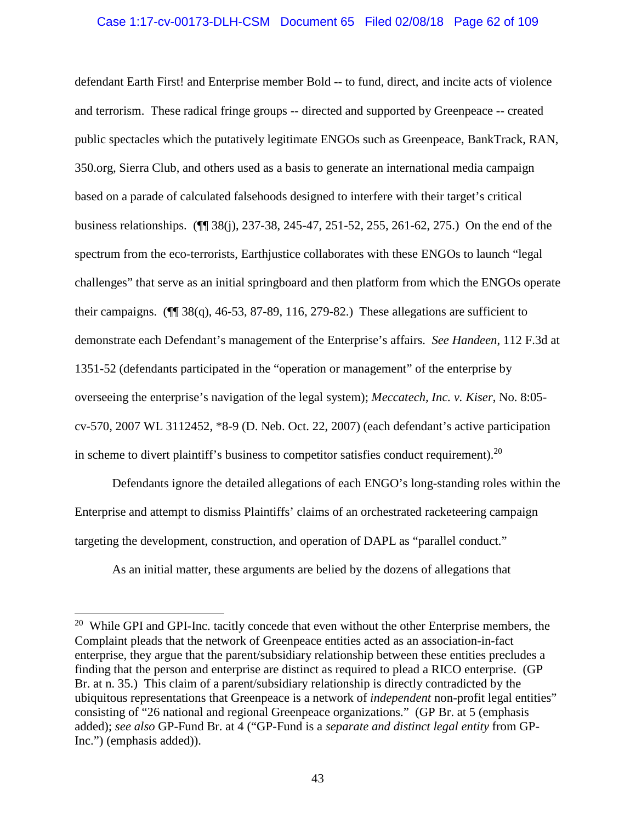### Case 1:17-cv-00173-DLH-CSM Document 65 Filed 02/08/18 Page 62 of 109

defendant Earth First! and Enterprise member Bold -- to fund, direct, and incite acts of violence and terrorism. These radical fringe groups -- directed and supported by Greenpeace -- created public spectacles which the putatively legitimate ENGOs such as Greenpeace, BankTrack, RAN, 350.org, Sierra Club, and others used as a basis to generate an international media campaign based on a parade of calculated falsehoods designed to interfere with their target's critical business relationships. (¶¶ 38(j), 237-38, 245-47, 251-52, 255, 261-62, 275.) On the end of the spectrum from the eco-terrorists, Earthjustice collaborates with these ENGOs to launch "legal challenges" that serve as an initial springboard and then platform from which the ENGOs operate their campaigns. ( $\P$  38(q), 46-53, 87-89, 116, 279-82.) These allegations are sufficient to demonstrate each Defendant's management of the Enterprise's affairs. *See Handeen*, 112 F.3d at 1351-52 (defendants participated in the "operation or management" of the enterprise by overseeing the enterprise's navigation of the legal system); *Meccatech, Inc. v. Kiser*, No. 8:05 cv-570, 2007 WL 3112452, \*8-9 (D. Neb. Oct. 22, 2007) (each defendant's active participation in scheme to divert plaintiff's business to competitor satisfies conduct requirement).<sup>20</sup>

Defendants ignore the detailed allegations of each ENGO's long-standing roles within the Enterprise and attempt to dismiss Plaintiffs' claims of an orchestrated racketeering campaign targeting the development, construction, and operation of DAPL as "parallel conduct."

As an initial matter, these arguments are belied by the dozens of allegations that

 $20$  While GPI and GPI-Inc. tacitly concede that even without the other Enterprise members, the Complaint pleads that the network of Greenpeace entities acted as an association-in-fact enterprise, they argue that the parent/subsidiary relationship between these entities precludes a finding that the person and enterprise are distinct as required to plead a RICO enterprise. (GP Br. at n. 35.) This claim of a parent/subsidiary relationship is directly contradicted by the ubiquitous representations that Greenpeace is a network of *independent* non-profit legal entities" consisting of "26 national and regional Greenpeace organizations." (GP Br. at 5 (emphasis added); *see also* GP-Fund Br. at 4 ("GP-Fund is a *separate and distinct legal entity* from GP-Inc.") (emphasis added)).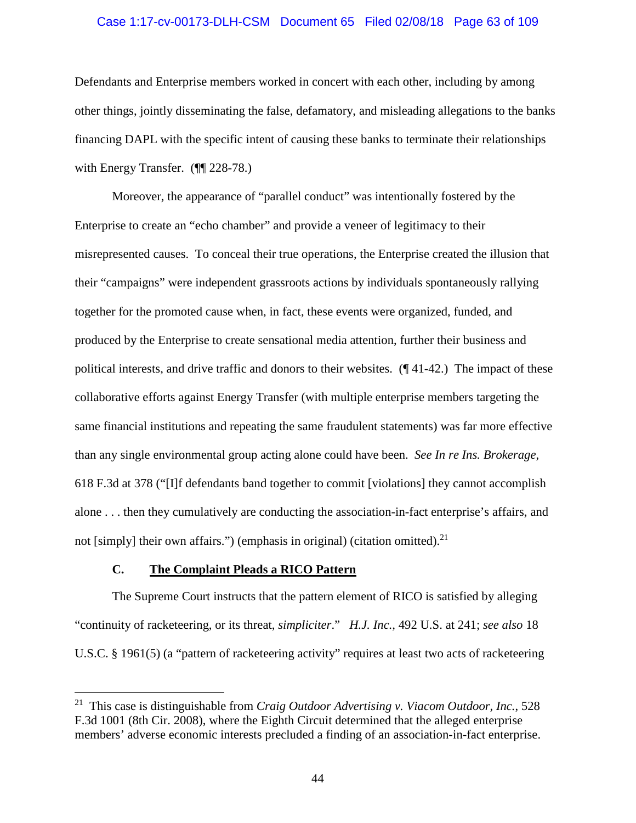# Case 1:17-cv-00173-DLH-CSM Document 65 Filed 02/08/18 Page 63 of 109

Defendants and Enterprise members worked in concert with each other, including by among other things, jointly disseminating the false, defamatory, and misleading allegations to the banks financing DAPL with the specific intent of causing these banks to terminate their relationships with Energy Transfer. (TV 228-78.)

Moreover, the appearance of "parallel conduct" was intentionally fostered by the Enterprise to create an "echo chamber" and provide a veneer of legitimacy to their misrepresented causes. To conceal their true operations, the Enterprise created the illusion that their "campaigns" were independent grassroots actions by individuals spontaneously rallying together for the promoted cause when, in fact, these events were organized, funded, and produced by the Enterprise to create sensational media attention, further their business and political interests, and drive traffic and donors to their websites. (¶ 41-42.) The impact of these collaborative efforts against Energy Transfer (with multiple enterprise members targeting the same financial institutions and repeating the same fraudulent statements) was far more effective than any single environmental group acting alone could have been. *See In re Ins. Brokerage*, 618 F.3d at 378 ("[I]f defendants band together to commit [violations] they cannot accomplish alone . . . then they cumulatively are conducting the association-in-fact enterprise's affairs, and not [simply] their own affairs.") (emphasis in original) (citation omitted).<sup>21</sup>

# **C. The Complaint Pleads a RICO Pattern**

The Supreme Court instructs that the pattern element of RICO is satisfied by alleging "continuity of racketeering, or its threat, *simpliciter*." *H.J. Inc.,* 492 U.S. at 241; *see also* 18 U.S.C. § 1961(5) (a "pattern of racketeering activity" requires at least two acts of racketeering

<sup>21</sup> This case is distinguishable from *Craig Outdoor Advertising v. Viacom Outdoor, Inc.*, 528 F.3d 1001 (8th Cir. 2008), where the Eighth Circuit determined that the alleged enterprise members' adverse economic interests precluded a finding of an association-in-fact enterprise.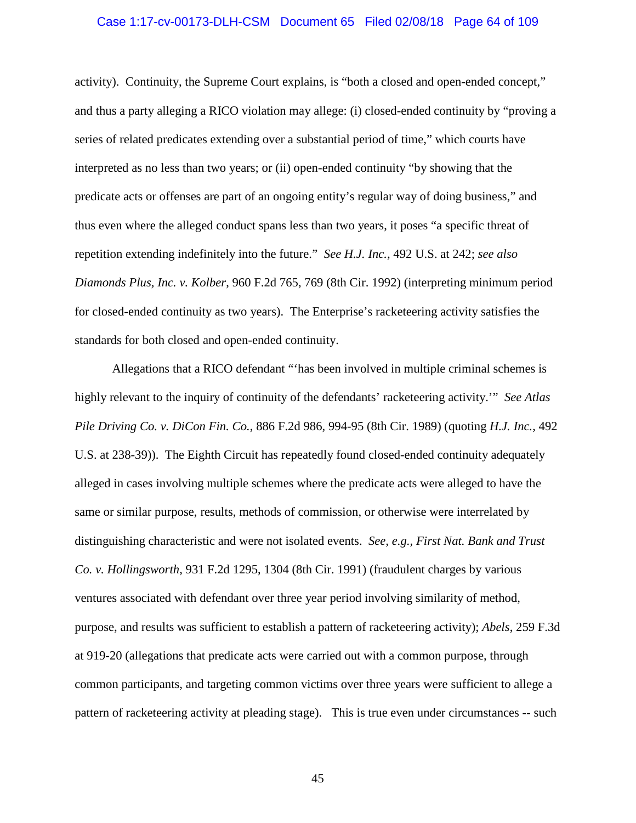### Case 1:17-cv-00173-DLH-CSM Document 65 Filed 02/08/18 Page 64 of 109

activity). Continuity, the Supreme Court explains, is "both a closed and open-ended concept," and thus a party alleging a RICO violation may allege: (i) closed-ended continuity by "proving a series of related predicates extending over a substantial period of time," which courts have interpreted as no less than two years; or (ii) open-ended continuity "by showing that the predicate acts or offenses are part of an ongoing entity's regular way of doing business," and thus even where the alleged conduct spans less than two years, it poses "a specific threat of repetition extending indefinitely into the future." *See H.J. Inc.,* 492 U.S. at 242; *see also Diamonds Plus, Inc. v. Kolber*, 960 F.2d 765, 769 (8th Cir. 1992) (interpreting minimum period for closed-ended continuity as two years). The Enterprise's racketeering activity satisfies the standards for both closed and open-ended continuity.

Allegations that a RICO defendant "'has been involved in multiple criminal schemes is highly relevant to the inquiry of continuity of the defendants' racketeering activity.'" *See Atlas Pile Driving Co. v. DiCon Fin. Co.*, 886 F.2d 986, 994-95 (8th Cir. 1989) (quoting *H.J. Inc.*, 492 U.S. at 238-39)). The Eighth Circuit has repeatedly found closed-ended continuity adequately alleged in cases involving multiple schemes where the predicate acts were alleged to have the same or similar purpose, results, methods of commission, or otherwise were interrelated by distinguishing characteristic and were not isolated events. *See, e.g., First Nat. Bank and Trust Co. v. Hollingsworth*, 931 F.2d 1295, 1304 (8th Cir. 1991) (fraudulent charges by various ventures associated with defendant over three year period involving similarity of method, purpose, and results was sufficient to establish a pattern of racketeering activity); *Abels*, 259 F.3d at 919-20 (allegations that predicate acts were carried out with a common purpose, through common participants, and targeting common victims over three years were sufficient to allege a pattern of racketeering activity at pleading stage). This is true even under circumstances -- such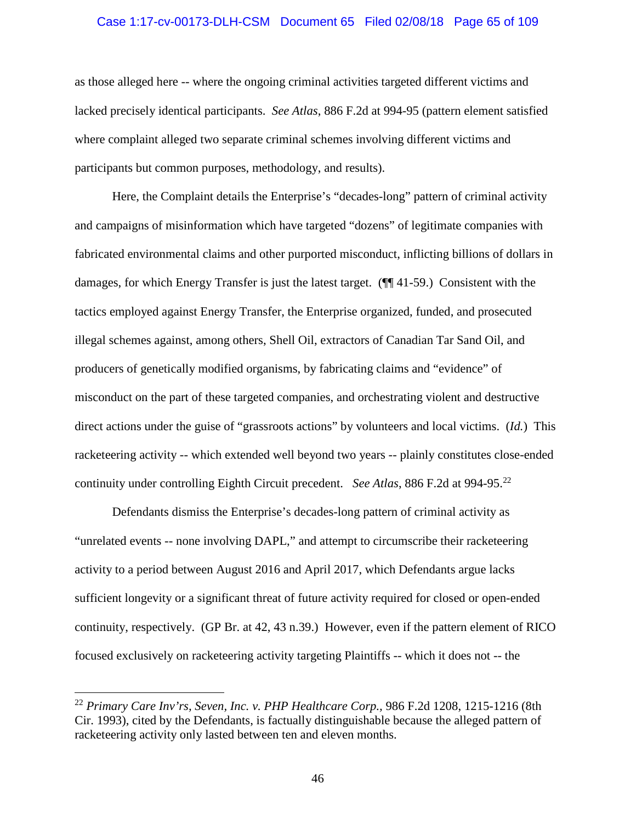### Case 1:17-cv-00173-DLH-CSM Document 65 Filed 02/08/18 Page 65 of 109

as those alleged here -- where the ongoing criminal activities targeted different victims and lacked precisely identical participants. *See Atlas*, 886 F.2d at 994-95 (pattern element satisfied where complaint alleged two separate criminal schemes involving different victims and participants but common purposes, methodology, and results).

Here, the Complaint details the Enterprise's "decades-long" pattern of criminal activity and campaigns of misinformation which have targeted "dozens" of legitimate companies with fabricated environmental claims and other purported misconduct, inflicting billions of dollars in damages, for which Energy Transfer is just the latest target. (¶¶ 41-59.) Consistent with the tactics employed against Energy Transfer, the Enterprise organized, funded, and prosecuted illegal schemes against, among others, Shell Oil, extractors of Canadian Tar Sand Oil, and producers of genetically modified organisms, by fabricating claims and "evidence" of misconduct on the part of these targeted companies, and orchestrating violent and destructive direct actions under the guise of "grassroots actions" by volunteers and local victims. (*Id.*) This racketeering activity -- which extended well beyond two years -- plainly constitutes close-ended continuity under controlling Eighth Circuit precedent. *See Atlas*, 886 F.2d at 994-95.<sup>22</sup>

Defendants dismiss the Enterprise's decades-long pattern of criminal activity as "unrelated events -- none involving DAPL," and attempt to circumscribe their racketeering activity to a period between August 2016 and April 2017, which Defendants argue lacks sufficient longevity or a significant threat of future activity required for closed or open-ended continuity, respectively. (GP Br. at 42, 43 n.39.) However, even if the pattern element of RICO focused exclusively on racketeering activity targeting Plaintiffs -- which it does not -- the

<sup>22</sup> *Primary Care Inv'rs, Seven, Inc. v. PHP Healthcare Corp.,* 986 F.2d 1208, 1215-1216 (8th Cir. 1993), cited by the Defendants, is factually distinguishable because the alleged pattern of racketeering activity only lasted between ten and eleven months.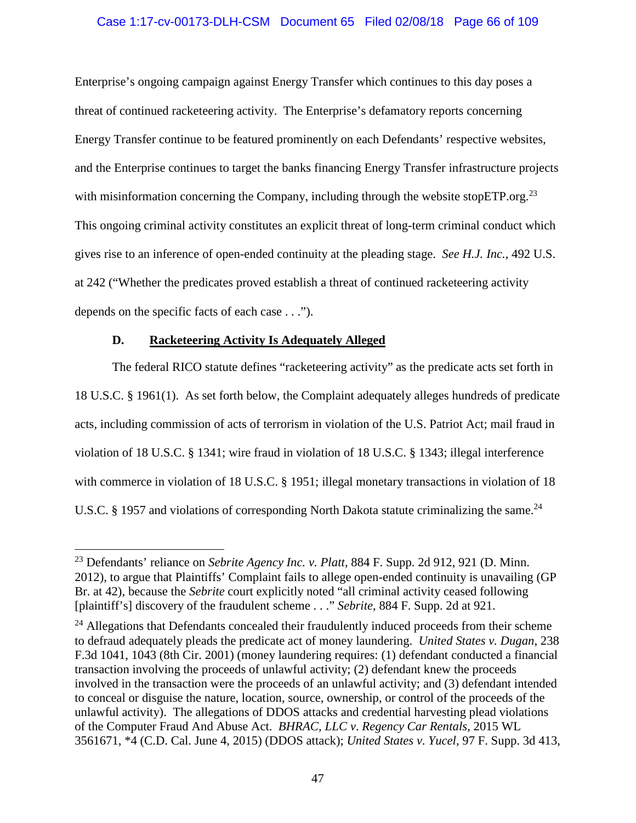## Case 1:17-cv-00173-DLH-CSM Document 65 Filed 02/08/18 Page 66 of 109

Enterprise's ongoing campaign against Energy Transfer which continues to this day poses a threat of continued racketeering activity. The Enterprise's defamatory reports concerning Energy Transfer continue to be featured prominently on each Defendants' respective websites, and the Enterprise continues to target the banks financing Energy Transfer infrastructure projects with misinformation concerning the Company, including through the website stop $ETP.org<sup>23</sup>$ This ongoing criminal activity constitutes an explicit threat of long-term criminal conduct which gives rise to an inference of open-ended continuity at the pleading stage. *See H.J. Inc.*, 492 U.S. at 242 ("Whether the predicates proved establish a threat of continued racketeering activity depends on the specific facts of each case . . .").

### **D. Racketeering Activity Is Adequately Alleged**

The federal RICO statute defines "racketeering activity" as the predicate acts set forth in 18 U.S.C. § 1961(1). As set forth below, the Complaint adequately alleges hundreds of predicate acts, including commission of acts of terrorism in violation of the U.S. Patriot Act; mail fraud in violation of 18 U.S.C. § 1341; wire fraud in violation of 18 U.S.C. § 1343; illegal interference with commerce in violation of 18 U.S.C. § 1951; illegal monetary transactions in violation of 18 U.S.C. § 1957 and violations of corresponding North Dakota statute criminalizing the same.<sup>24</sup>

<sup>23</sup> Defendants' reliance on *Sebrite Agency Inc. v. Platt*, 884 F. Supp. 2d 912, 921 (D. Minn. 2012), to argue that Plaintiffs' Complaint fails to allege open-ended continuity is unavailing (GP Br. at 42), because the *Sebrite* court explicitly noted "all criminal activity ceased following [plaintiff's] discovery of the fraudulent scheme . . ." *Sebrite*, 884 F. Supp. 2d at 921.

 $24$  Allegations that Defendants concealed their fraudulently induced proceeds from their scheme to defraud adequately pleads the predicate act of money laundering. *United States v. Dugan*, 238 F.3d 1041, 1043 (8th Cir. 2001) (money laundering requires: (1) defendant conducted a financial transaction involving the proceeds of unlawful activity; (2) defendant knew the proceeds involved in the transaction were the proceeds of an unlawful activity; and (3) defendant intended to conceal or disguise the nature, location, source, ownership, or control of the proceeds of the unlawful activity). The allegations of DDOS attacks and credential harvesting plead violations of the Computer Fraud And Abuse Act. *BHRAC, LLC v*. *Regency Car Rentals*, 2015 WL 3561671, \*4 (C.D. Cal. June 4, 2015) (DDOS attack); *United States v*. *Yucel*, 97 F. Supp. 3d 413,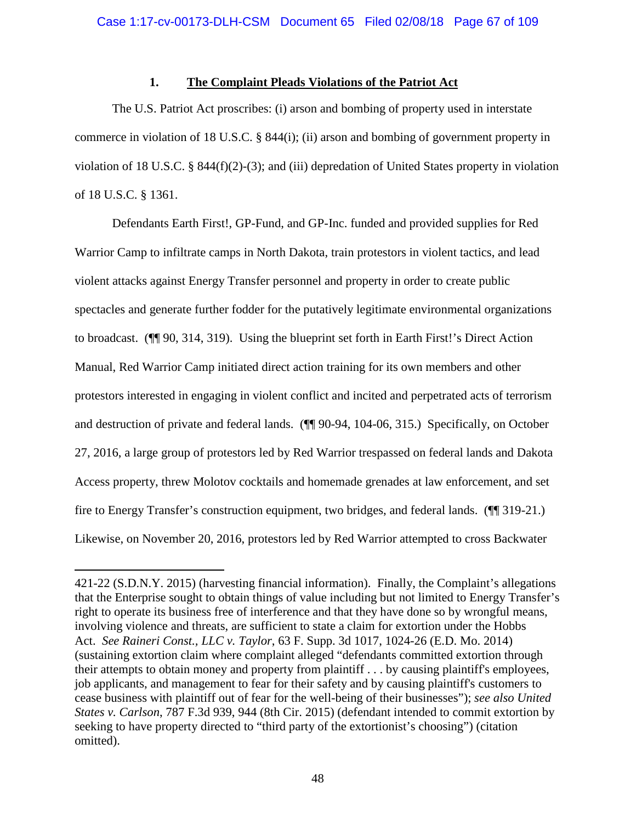## **1. The Complaint Pleads Violations of the Patriot Act**

The U.S. Patriot Act proscribes: (i) arson and bombing of property used in interstate commerce in violation of 18 U.S.C. § 844(i); (ii) arson and bombing of government property in violation of 18 U.S.C. § 844(f)(2)-(3); and (iii) depredation of United States property in violation of 18 U.S.C. § 1361.

Defendants Earth First!, GP-Fund, and GP-Inc. funded and provided supplies for Red Warrior Camp to infiltrate camps in North Dakota, train protestors in violent tactics, and lead violent attacks against Energy Transfer personnel and property in order to create public spectacles and generate further fodder for the putatively legitimate environmental organizations to broadcast. (¶¶ 90, 314, 319). Using the blueprint set forth in Earth First!'s Direct Action Manual, Red Warrior Camp initiated direct action training for its own members and other protestors interested in engaging in violent conflict and incited and perpetrated acts of terrorism and destruction of private and federal lands. (¶¶ 90-94, 104-06, 315.) Specifically, on October 27, 2016, a large group of protestors led by Red Warrior trespassed on federal lands and Dakota Access property, threw Molotov cocktails and homemade grenades at law enforcement, and set fire to Energy Transfer's construction equipment, two bridges, and federal lands. (¶¶ 319-21.) Likewise, on November 20, 2016, protestors led by Red Warrior attempted to cross Backwater

<sup>421-22 (</sup>S.D.N.Y. 2015) (harvesting financial information). Finally, the Complaint's allegations that the Enterprise sought to obtain things of value including but not limited to Energy Transfer's right to operate its business free of interference and that they have done so by wrongful means, involving violence and threats, are sufficient to state a claim for extortion under the Hobbs Act. *See Raineri Const., LLC v. Taylor*, 63 F. Supp. 3d 1017, 1024-26 (E.D. Mo. 2014) (sustaining extortion claim where complaint alleged "defendants committed extortion through their attempts to obtain money and property from plaintiff . . . by causing plaintiff's employees, job applicants, and management to fear for their safety and by causing plaintiff's customers to cease business with plaintiff out of fear for the well-being of their businesses"); *see also United States v. Carlson*, 787 F.3d 939, 944 (8th Cir. 2015) (defendant intended to commit extortion by seeking to have property directed to "third party of the extortionist's choosing") (citation omitted).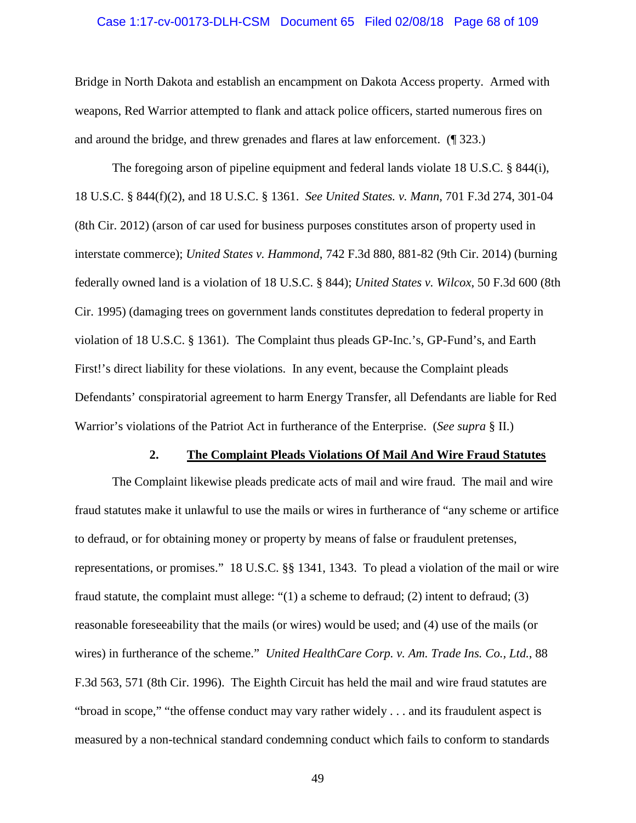### Case 1:17-cv-00173-DLH-CSM Document 65 Filed 02/08/18 Page 68 of 109

Bridge in North Dakota and establish an encampment on Dakota Access property. Armed with weapons, Red Warrior attempted to flank and attack police officers, started numerous fires on and around the bridge, and threw grenades and flares at law enforcement. (¶ 323.)

The foregoing arson of pipeline equipment and federal lands violate 18 U.S.C. § 844(i), 18 U.S.C. § 844(f)(2), and 18 U.S.C. § 1361. *See United States. v. Mann*, 701 F.3d 274, 301-04 (8th Cir. 2012) (arson of car used for business purposes constitutes arson of property used in interstate commerce); *United States v. Hammond*, 742 F.3d 880, 881-82 (9th Cir. 2014) (burning federally owned land is a violation of 18 U.S.C. § 844); *United States v. Wilcox*, 50 F.3d 600 (8th Cir. 1995) (damaging trees on government lands constitutes depredation to federal property in violation of 18 U.S.C. § 1361). The Complaint thus pleads GP-Inc.'s, GP-Fund's, and Earth First!'s direct liability for these violations. In any event, because the Complaint pleads Defendants' conspiratorial agreement to harm Energy Transfer, all Defendants are liable for Red Warrior's violations of the Patriot Act in furtherance of the Enterprise. (*See supra* § II.)

#### **2. The Complaint Pleads Violations Of Mail And Wire Fraud Statutes**

The Complaint likewise pleads predicate acts of mail and wire fraud. The mail and wire fraud statutes make it unlawful to use the mails or wires in furtherance of "any scheme or artifice to defraud, or for obtaining money or property by means of false or fraudulent pretenses, representations, or promises." 18 U.S.C. §§ 1341, 1343. To plead a violation of the mail or wire fraud statute, the complaint must allege: "(1) a scheme to defraud; (2) intent to defraud; (3) reasonable foreseeability that the mails (or wires) would be used; and (4) use of the mails (or wires) in furtherance of the scheme." *United HealthCare Corp. v. Am. Trade Ins. Co., Ltd.*, 88 F.3d 563, 571 (8th Cir. 1996). The Eighth Circuit has held the mail and wire fraud statutes are "broad in scope," "the offense conduct may vary rather widely . . . and its fraudulent aspect is measured by a non-technical standard condemning conduct which fails to conform to standards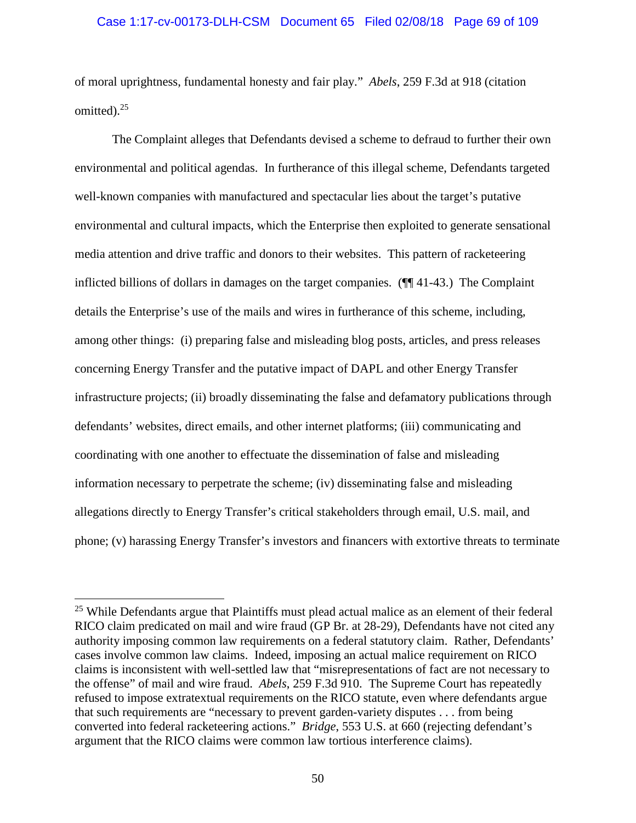### Case 1:17-cv-00173-DLH-CSM Document 65 Filed 02/08/18 Page 69 of 109

of moral uprightness, fundamental honesty and fair play." *Abels*, 259 F.3d at 918 (citation omitted).<sup>25</sup>

The Complaint alleges that Defendants devised a scheme to defraud to further their own environmental and political agendas. In furtherance of this illegal scheme, Defendants targeted well-known companies with manufactured and spectacular lies about the target's putative environmental and cultural impacts, which the Enterprise then exploited to generate sensational media attention and drive traffic and donors to their websites. This pattern of racketeering inflicted billions of dollars in damages on the target companies. (¶¶ 41-43.) The Complaint details the Enterprise's use of the mails and wires in furtherance of this scheme, including, among other things: (i) preparing false and misleading blog posts, articles, and press releases concerning Energy Transfer and the putative impact of DAPL and other Energy Transfer infrastructure projects; (ii) broadly disseminating the false and defamatory publications through defendants' websites, direct emails, and other internet platforms; (iii) communicating and coordinating with one another to effectuate the dissemination of false and misleading information necessary to perpetrate the scheme; (iv) disseminating false and misleading allegations directly to Energy Transfer's critical stakeholders through email, U.S. mail, and phone; (v) harassing Energy Transfer's investors and financers with extortive threats to terminate

<sup>&</sup>lt;sup>25</sup> While Defendants argue that Plaintiffs must plead actual malice as an element of their federal RICO claim predicated on mail and wire fraud (GP Br. at 28-29), Defendants have not cited any authority imposing common law requirements on a federal statutory claim. Rather, Defendants' cases involve common law claims. Indeed, imposing an actual malice requirement on RICO claims is inconsistent with well-settled law that "misrepresentations of fact are not necessary to the offense" of mail and wire fraud. *Abels*, 259 F.3d 910. The Supreme Court has repeatedly refused to impose extratextual requirements on the RICO statute, even where defendants argue that such requirements are "necessary to prevent garden-variety disputes . . . from being converted into federal racketeering actions." *Bridge*, 553 U.S. at 660 (rejecting defendant's argument that the RICO claims were common law tortious interference claims).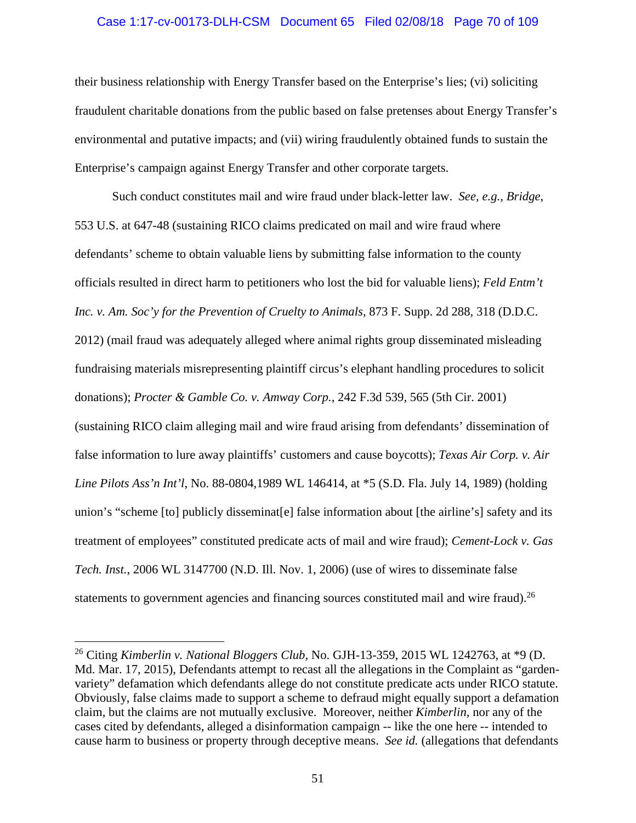### Case 1:17-cv-00173-DLH-CSM Document 65 Filed 02/08/18 Page 70 of 109

their business relationship with Energy Transfer based on the Enterprise's lies; (vi) soliciting fraudulent charitable donations from the public based on false pretenses about Energy Transfer's environmental and putative impacts; and (vii) wiring fraudulently obtained funds to sustain the Enterprise's campaign against Energy Transfer and other corporate targets.

Such conduct constitutes mail and wire fraud under black-letter law. *See, e.g., Bridge*, 553 U.S. at 647-48 (sustaining RICO claims predicated on mail and wire fraud where defendants' scheme to obtain valuable liens by submitting false information to the county officials resulted in direct harm to petitioners who lost the bid for valuable liens); *Feld Entm't Inc. v. Am. Soc'y for the Prevention of Cruelty to Animals*, 873 F. Supp. 2d 288, 318 (D.D.C. 2012) (mail fraud was adequately alleged where animal rights group disseminated misleading fundraising materials misrepresenting plaintiff circus's elephant handling procedures to solicit donations); *Procter & Gamble Co. v. Amway Corp.*, 242 F.3d 539, 565 (5th Cir. 2001) (sustaining RICO claim alleging mail and wire fraud arising from defendants' dissemination of false information to lure away plaintiffs' customers and cause boycotts); *Texas Air Corp. v. Air Line Pilots Ass'n Int'l*, No. 88-0804,1989 WL 146414, at \*5 (S.D. Fla. July 14, 1989) (holding union's "scheme [to] publicly disseminat[e] false information about [the airline's] safety and its treatment of employees" constituted predicate acts of mail and wire fraud); *Cement-Lock v. Gas Tech. Inst.*, 2006 WL 3147700 (N.D. Ill. Nov. 1, 2006) (use of wires to disseminate false statements to government agencies and financing sources constituted mail and wire fraud).<sup>26</sup>

<sup>26</sup> Citing *Kimberlin v. National Bloggers Club,* No. GJH-13-359, 2015 WL 1242763, at \*9 (D. Md. Mar. 17, 2015), Defendants attempt to recast all the allegations in the Complaint as "gardenvariety" defamation which defendants allege do not constitute predicate acts under RICO statute. Obviously, false claims made to support a scheme to defraud might equally support a defamation claim, but the claims are not mutually exclusive. Moreover, neither *Kimberlin*, nor any of the cases cited by defendants, alleged a disinformation campaign -- like the one here -- intended to cause harm to business or property through deceptive means. *See id.* (allegations that defendants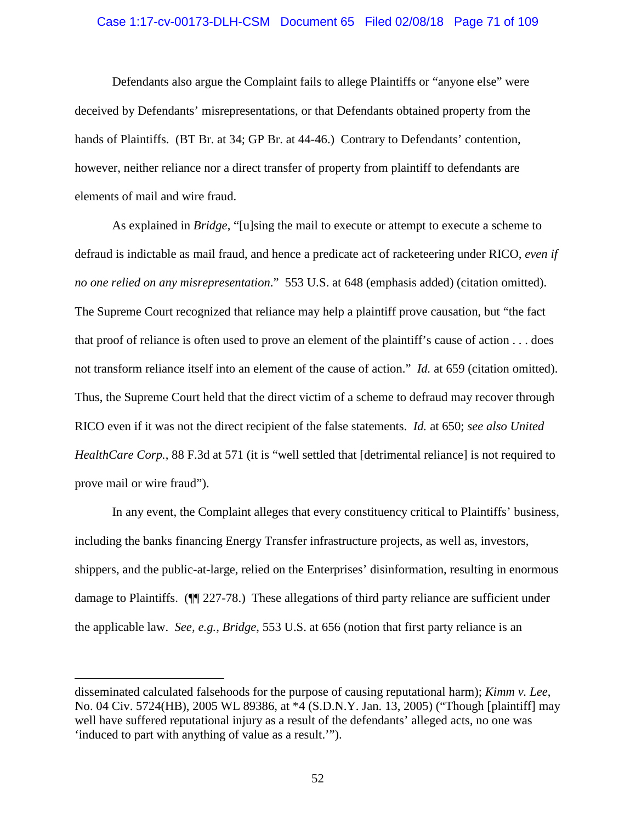# Case 1:17-cv-00173-DLH-CSM Document 65 Filed 02/08/18 Page 71 of 109

Defendants also argue the Complaint fails to allege Plaintiffs or "anyone else" were deceived by Defendants' misrepresentations, or that Defendants obtained property from the hands of Plaintiffs. (BT Br. at 34; GP Br. at 44-46.) Contrary to Defendants' contention, however, neither reliance nor a direct transfer of property from plaintiff to defendants are elements of mail and wire fraud.

As explained in *Bridge*, "[u]sing the mail to execute or attempt to execute a scheme to defraud is indictable as mail fraud, and hence a predicate act of racketeering under RICO, *even if no one relied on any misrepresentation*." 553 U.S. at 648 (emphasis added) (citation omitted). The Supreme Court recognized that reliance may help a plaintiff prove causation, but "the fact that proof of reliance is often used to prove an element of the plaintiff's cause of action . . . does not transform reliance itself into an element of the cause of action." *Id.* at 659 (citation omitted). Thus, the Supreme Court held that the direct victim of a scheme to defraud may recover through RICO even if it was not the direct recipient of the false statements. *Id.* at 650; *see also United HealthCare Corp.*, 88 F.3d at 571 (it is "well settled that [detrimental reliance] is not required to prove mail or wire fraud").

In any event, the Complaint alleges that every constituency critical to Plaintiffs' business, including the banks financing Energy Transfer infrastructure projects, as well as, investors, shippers, and the public-at-large, relied on the Enterprises' disinformation, resulting in enormous damage to Plaintiffs. (¶¶ 227-78.) These allegations of third party reliance are sufficient under the applicable law. *See, e.g., Bridge*, 553 U.S. at 656 (notion that first party reliance is an

disseminated calculated falsehoods for the purpose of causing reputational harm); *Kimm v. Lee*, No. 04 Civ. 5724(HB), 2005 WL 89386, at \*4 (S.D.N.Y. Jan. 13, 2005) ("Though [plaintiff] may well have suffered reputational injury as a result of the defendants' alleged acts, no one was 'induced to part with anything of value as a result.'").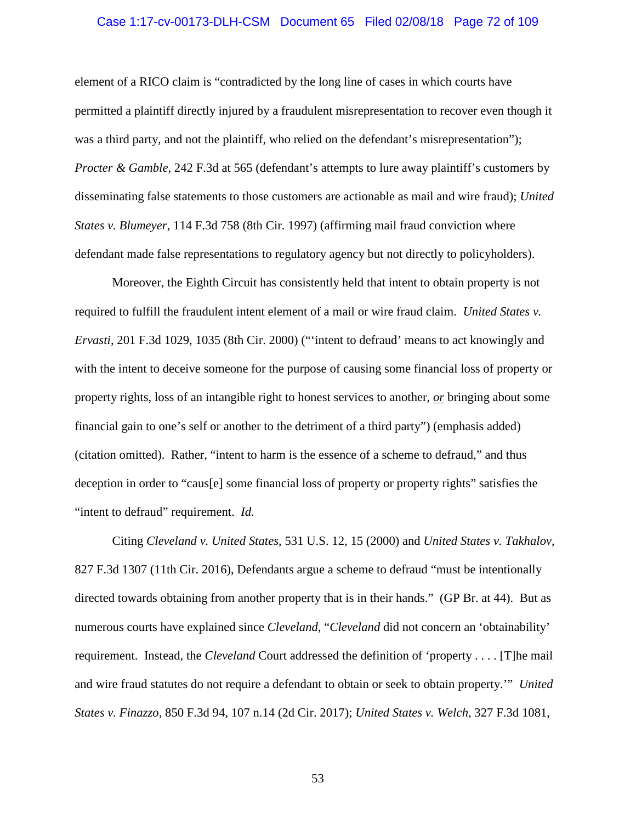#### Case 1:17-cv-00173-DLH-CSM Document 65 Filed 02/08/18 Page 72 of 109

element of a RICO claim is "contradicted by the long line of cases in which courts have permitted a plaintiff directly injured by a fraudulent misrepresentation to recover even though it was a third party, and not the plaintiff, who relied on the defendant's misrepresentation"); *Procter & Gamble*, 242 F.3d at 565 (defendant's attempts to lure away plaintiff's customers by disseminating false statements to those customers are actionable as mail and wire fraud); *United States v. Blumeyer*, 114 F.3d 758 (8th Cir. 1997) (affirming mail fraud conviction where defendant made false representations to regulatory agency but not directly to policyholders).

Moreover, the Eighth Circuit has consistently held that intent to obtain property is not required to fulfill the fraudulent intent element of a mail or wire fraud claim. *United States v. Ervasti*, 201 F.3d 1029, 1035 (8th Cir. 2000) ("'intent to defraud' means to act knowingly and with the intent to deceive someone for the purpose of causing some financial loss of property or property rights, loss of an intangible right to honest services to another, *or* bringing about some financial gain to one's self or another to the detriment of a third party") (emphasis added) (citation omitted). Rather, "intent to harm is the essence of a scheme to defraud," and thus deception in order to "caus[e] some financial loss of property or property rights" satisfies the "intent to defraud" requirement. *Id.*

Citing *Cleveland v. United States*, 531 U.S. 12, 15 (2000) and *United States v. Takhalov*, 827 F.3d 1307 (11th Cir. 2016), Defendants argue a scheme to defraud "must be intentionally directed towards obtaining from another property that is in their hands." (GP Br. at 44). But as numerous courts have explained since *Cleveland*, "*Cleveland* did not concern an 'obtainability' requirement. Instead, the *Cleveland* Court addressed the definition of 'property . . . . [T]he mail and wire fraud statutes do not require a defendant to obtain or seek to obtain property.'" *United States v. Finazzo*, 850 F.3d 94, 107 n.14 (2d Cir. 2017); *United States v. Welch*, 327 F.3d 1081,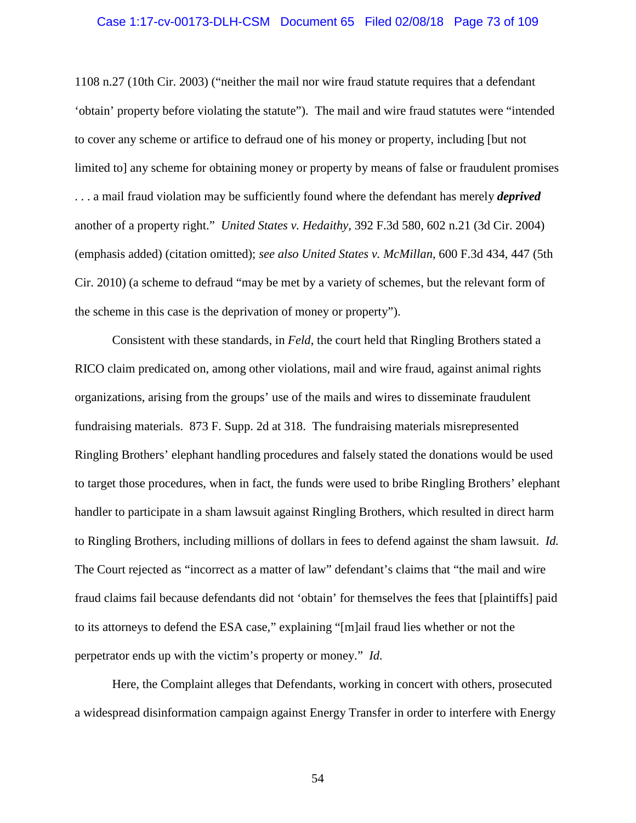#### Case 1:17-cv-00173-DLH-CSM Document 65 Filed 02/08/18 Page 73 of 109

1108 n.27 (10th Cir. 2003) ("neither the mail nor wire fraud statute requires that a defendant 'obtain' property before violating the statute"). The mail and wire fraud statutes were "intended to cover any scheme or artifice to defraud one of his money or property, including [but not limited to] any scheme for obtaining money or property by means of false or fraudulent promises . . . a mail fraud violation may be sufficiently found where the defendant has merely *deprived* another of a property right." *United States v. Hedaithy*, 392 F.3d 580, 602 n.21 (3d Cir. 2004) (emphasis added) (citation omitted); *see also United States v. McMillan*, 600 F.3d 434, 447 (5th Cir. 2010) (a scheme to defraud "may be met by a variety of schemes, but the relevant form of the scheme in this case is the deprivation of money or property").

Consistent with these standards, in *Feld*, the court held that Ringling Brothers stated a RICO claim predicated on, among other violations, mail and wire fraud, against animal rights organizations, arising from the groups' use of the mails and wires to disseminate fraudulent fundraising materials. 873 F. Supp. 2d at 318. The fundraising materials misrepresented Ringling Brothers' elephant handling procedures and falsely stated the donations would be used to target those procedures, when in fact, the funds were used to bribe Ringling Brothers' elephant handler to participate in a sham lawsuit against Ringling Brothers, which resulted in direct harm to Ringling Brothers, including millions of dollars in fees to defend against the sham lawsuit. *Id.* The Court rejected as "incorrect as a matter of law" defendant's claims that "the mail and wire fraud claims fail because defendants did not 'obtain' for themselves the fees that [plaintiffs] paid to its attorneys to defend the ESA case," explaining "[m]ail fraud lies whether or not the perpetrator ends up with the victim's property or money." *Id.*

Here, the Complaint alleges that Defendants, working in concert with others, prosecuted a widespread disinformation campaign against Energy Transfer in order to interfere with Energy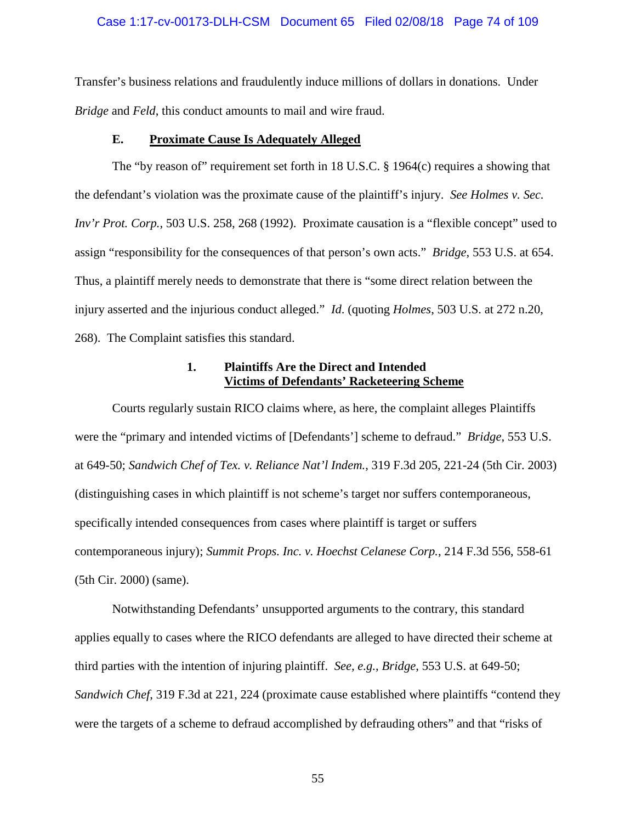#### Case 1:17-cv-00173-DLH-CSM Document 65 Filed 02/08/18 Page 74 of 109

Transfer's business relations and fraudulently induce millions of dollars in donations. Under *Bridge* and *Feld*, this conduct amounts to mail and wire fraud.

## **E. Proximate Cause Is Adequately Alleged**

The "by reason of" requirement set forth in 18 U.S.C. § 1964(c) requires a showing that the defendant's violation was the proximate cause of the plaintiff's injury. *See Holmes v. Sec. Inv'r Prot. Corp.*, 503 U.S. 258, 268 (1992). Proximate causation is a "flexible concept" used to assign "responsibility for the consequences of that person's own acts." *Bridge*, 553 U.S. at 654. Thus, a plaintiff merely needs to demonstrate that there is "some direct relation between the injury asserted and the injurious conduct alleged." *Id*. (quoting *Holmes*, 503 U.S. at 272 n.20, 268). The Complaint satisfies this standard.

# **1. Plaintiffs Are the Direct and Intended Victims of Defendants' Racketeering Scheme**

Courts regularly sustain RICO claims where, as here, the complaint alleges Plaintiffs were the "primary and intended victims of [Defendants'] scheme to defraud." *Bridge*, 553 U.S. at 649-50; *Sandwich Chef of Tex. v. Reliance Nat'l Indem.*, 319 F.3d 205, 221-24 (5th Cir. 2003) (distinguishing cases in which plaintiff is not scheme's target nor suffers contemporaneous, specifically intended consequences from cases where plaintiff is target or suffers contemporaneous injury); *Summit Props. Inc. v. Hoechst Celanese Corp.*, 214 F.3d 556, 558-61 (5th Cir. 2000) (same).

Notwithstanding Defendants' unsupported arguments to the contrary, this standard applies equally to cases where the RICO defendants are alleged to have directed their scheme at third parties with the intention of injuring plaintiff. *See, e.g.*, *Bridge*, 553 U.S. at 649-50; *Sandwich Chef*, 319 F.3d at 221, 224 (proximate cause established where plaintiffs "contend they were the targets of a scheme to defraud accomplished by defrauding others" and that "risks of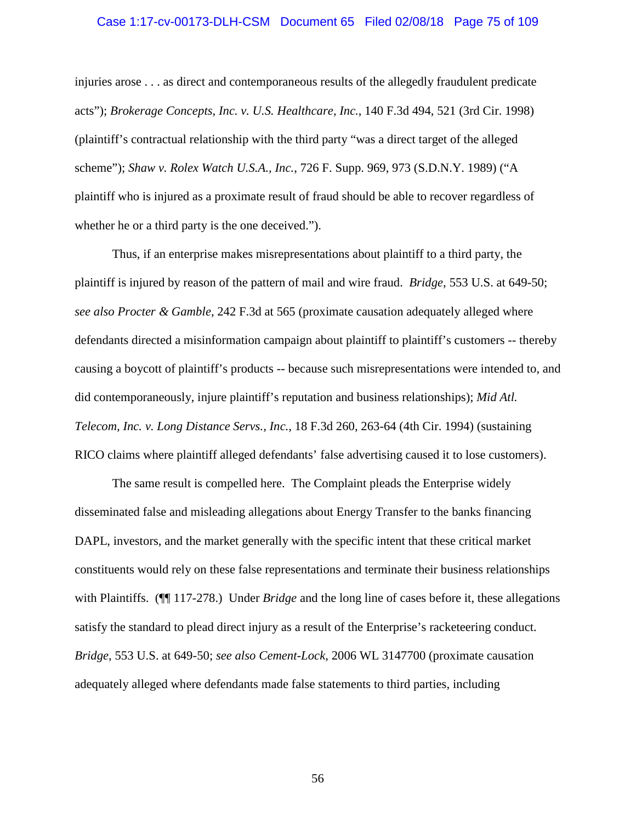#### Case 1:17-cv-00173-DLH-CSM Document 65 Filed 02/08/18 Page 75 of 109

injuries arose . . . as direct and contemporaneous results of the allegedly fraudulent predicate acts"); *Brokerage Concepts, Inc. v. U.S. Healthcare, Inc.*, 140 F.3d 494, 521 (3rd Cir. 1998) (plaintiff's contractual relationship with the third party "was a direct target of the alleged scheme"); *Shaw v. Rolex Watch U.S.A., Inc.*, 726 F. Supp. 969, 973 (S.D.N.Y. 1989) ("A plaintiff who is injured as a proximate result of fraud should be able to recover regardless of whether he or a third party is the one deceived.").

Thus, if an enterprise makes misrepresentations about plaintiff to a third party, the plaintiff is injured by reason of the pattern of mail and wire fraud. *Bridge,* 553 U.S. at 649-50; *see also Procter & Gamble*, 242 F.3d at 565 (proximate causation adequately alleged where defendants directed a misinformation campaign about plaintiff to plaintiff's customers -- thereby causing a boycott of plaintiff's products -- because such misrepresentations were intended to, and did contemporaneously, injure plaintiff's reputation and business relationships); *Mid Atl. Telecom, Inc. v. Long Distance Servs., Inc.*, 18 F.3d 260, 263-64 (4th Cir. 1994) (sustaining RICO claims where plaintiff alleged defendants' false advertising caused it to lose customers).

The same result is compelled here. The Complaint pleads the Enterprise widely disseminated false and misleading allegations about Energy Transfer to the banks financing DAPL, investors, and the market generally with the specific intent that these critical market constituents would rely on these false representations and terminate their business relationships with Plaintiffs. (¶¶ 117-278.) Under *Bridge* and the long line of cases before it, these allegations satisfy the standard to plead direct injury as a result of the Enterprise's racketeering conduct. *Bridge*, 553 U.S. at 649-50; *see also Cement-Lock,* 2006 WL 3147700 (proximate causation adequately alleged where defendants made false statements to third parties, including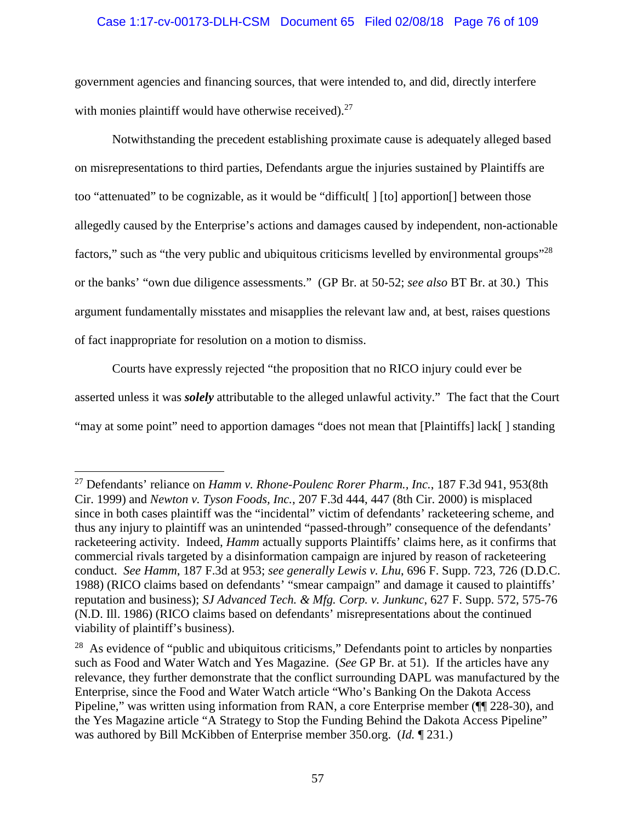# Case 1:17-cv-00173-DLH-CSM Document 65 Filed 02/08/18 Page 76 of 109

government agencies and financing sources, that were intended to, and did, directly interfere with monies plaintiff would have otherwise received). $27$ 

Notwithstanding the precedent establishing proximate cause is adequately alleged based on misrepresentations to third parties, Defendants argue the injuries sustained by Plaintiffs are too "attenuated" to be cognizable, as it would be "difficult[ ] [to] apportion[] between those allegedly caused by the Enterprise's actions and damages caused by independent, non-actionable factors," such as "the very public and ubiquitous criticisms levelled by environmental groups"<sup>28</sup> or the banks' "own due diligence assessments." (GP Br. at 50-52; *see also* BT Br. at 30.) This argument fundamentally misstates and misapplies the relevant law and, at best, raises questions of fact inappropriate for resolution on a motion to dismiss.

Courts have expressly rejected "the proposition that no RICO injury could ever be asserted unless it was *solely* attributable to the alleged unlawful activity." The fact that the Court "may at some point" need to apportion damages "does not mean that [Plaintiffs] lack[ ] standing

<sup>27</sup> Defendants' reliance on *Hamm v. Rhone-Poulenc Rorer Pharm., Inc.*, 187 F.3d 941, 953(8th Cir. 1999) and *Newton v. Tyson Foods, Inc.*, 207 F.3d 444, 447 (8th Cir. 2000) is misplaced since in both cases plaintiff was the "incidental" victim of defendants' racketeering scheme, and thus any injury to plaintiff was an unintended "passed-through" consequence of the defendants' racketeering activity. Indeed, *Hamm* actually supports Plaintiffs' claims here, as it confirms that commercial rivals targeted by a disinformation campaign are injured by reason of racketeering conduct. *See Hamm*, 187 F.3d at 953; *see generally Lewis v. Lhu*, 696 F. Supp. 723, 726 (D.D.C. 1988) (RICO claims based on defendants' "smear campaign" and damage it caused to plaintiffs' reputation and business); *SJ Advanced Tech. & Mfg. Corp. v. Junkunc*, 627 F. Supp. 572, 575-76 (N.D. Ill. 1986) (RICO claims based on defendants' misrepresentations about the continued viability of plaintiff's business).

 $28$  As evidence of "public and ubiquitous criticisms," Defendants point to articles by nonparties such as Food and Water Watch and Yes Magazine. (*See* GP Br. at 51). If the articles have any relevance, they further demonstrate that the conflict surrounding DAPL was manufactured by the Enterprise, since the Food and Water Watch article "Who's Banking On the Dakota Access Pipeline," was written using information from RAN, a core Enterprise member (¶¶ 228-30), and the Yes Magazine article "A Strategy to Stop the Funding Behind the Dakota Access Pipeline" was authored by Bill McKibben of Enterprise member 350.org. (*Id.* ¶ 231.)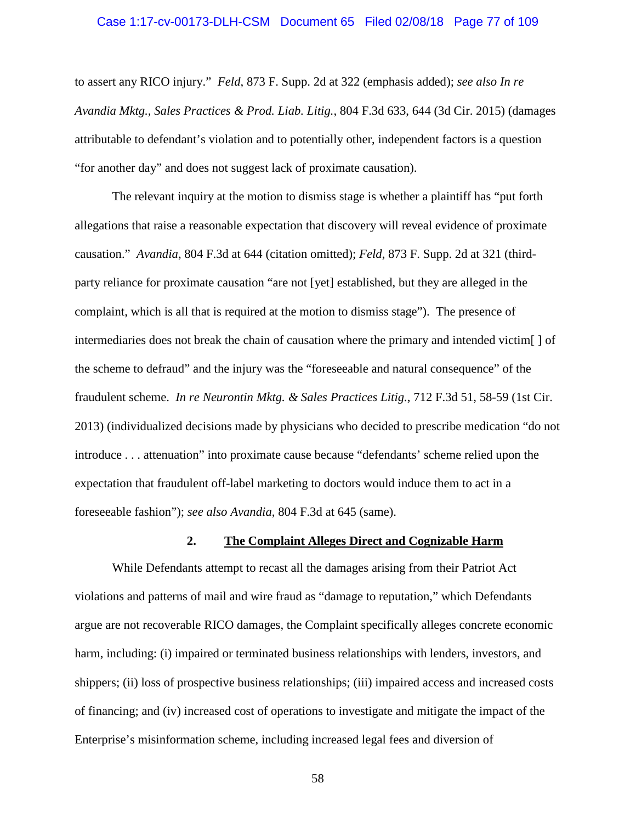#### Case 1:17-cv-00173-DLH-CSM Document 65 Filed 02/08/18 Page 77 of 109

to assert any RICO injury." *Feld*, 873 F. Supp. 2d at 322 (emphasis added); *see also In re Avandia Mktg., Sales Practices & Prod. Liab. Litig.*, 804 F.3d 633, 644 (3d Cir. 2015) (damages attributable to defendant's violation and to potentially other, independent factors is a question "for another day" and does not suggest lack of proximate causation).

The relevant inquiry at the motion to dismiss stage is whether a plaintiff has "put forth allegations that raise a reasonable expectation that discovery will reveal evidence of proximate causation." *Avandia*, 804 F.3d at 644 (citation omitted); *Feld*, 873 F. Supp. 2d at 321 (thirdparty reliance for proximate causation "are not [yet] established, but they are alleged in the complaint, which is all that is required at the motion to dismiss stage"). The presence of intermediaries does not break the chain of causation where the primary and intended victim[ ] of the scheme to defraud" and the injury was the "foreseeable and natural consequence" of the fraudulent scheme. *In re Neurontin Mktg. & Sales Practices Litig.*, 712 F.3d 51, 58-59 (1st Cir. 2013) (individualized decisions made by physicians who decided to prescribe medication "do not introduce . . . attenuation" into proximate cause because "defendants' scheme relied upon the expectation that fraudulent off-label marketing to doctors would induce them to act in a foreseeable fashion"); *see also Avandia*, 804 F.3d at 645 (same).

#### **2. The Complaint Alleges Direct and Cognizable Harm**

While Defendants attempt to recast all the damages arising from their Patriot Act violations and patterns of mail and wire fraud as "damage to reputation," which Defendants argue are not recoverable RICO damages, the Complaint specifically alleges concrete economic harm, including: (i) impaired or terminated business relationships with lenders, investors, and shippers; (ii) loss of prospective business relationships; (iii) impaired access and increased costs of financing; and (iv) increased cost of operations to investigate and mitigate the impact of the Enterprise's misinformation scheme, including increased legal fees and diversion of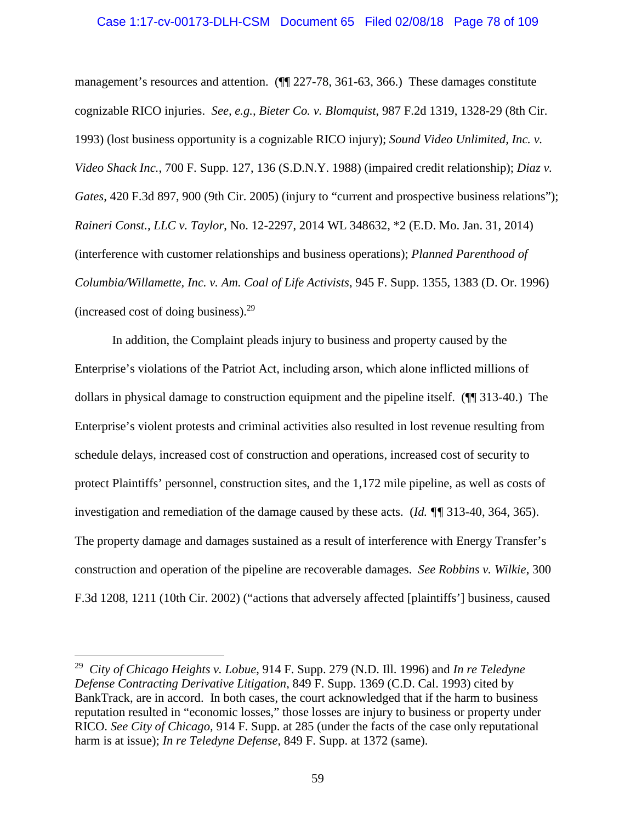#### Case 1:17-cv-00173-DLH-CSM Document 65 Filed 02/08/18 Page 78 of 109

management's resources and attention. ( $\P$  227-78, 361-63, 366.) These damages constitute cognizable RICO injuries. *See, e.g., Bieter Co. v. Blomquist*, 987 F.2d 1319, 1328-29 (8th Cir. 1993) (lost business opportunity is a cognizable RICO injury); *Sound Video Unlimited, Inc. v. Video Shack Inc.*, 700 F. Supp. 127, 136 (S.D.N.Y. 1988) (impaired credit relationship); *Diaz v. Gates*, 420 F.3d 897, 900 (9th Cir. 2005) (injury to "current and prospective business relations"); *Raineri Const., LLC v. Taylor*, No. 12-2297, 2014 WL 348632, \*2 (E.D. Mo. Jan. 31, 2014) (interference with customer relationships and business operations); *Planned Parenthood of Columbia/Willamette, Inc. v. Am. Coal of Life Activists*, 945 F. Supp. 1355, 1383 (D. Or. 1996) (increased cost of doing business). $29$ 

In addition, the Complaint pleads injury to business and property caused by the Enterprise's violations of the Patriot Act, including arson, which alone inflicted millions of dollars in physical damage to construction equipment and the pipeline itself. (¶¶ 313-40.) The Enterprise's violent protests and criminal activities also resulted in lost revenue resulting from schedule delays, increased cost of construction and operations, increased cost of security to protect Plaintiffs' personnel, construction sites, and the 1,172 mile pipeline, as well as costs of investigation and remediation of the damage caused by these acts. (*Id. ¶¶* 313-40, 364, 365). The property damage and damages sustained as a result of interference with Energy Transfer's construction and operation of the pipeline are recoverable damages. *See Robbins v. Wilkie*, 300 F.3d 1208, 1211 (10th Cir. 2002) ("actions that adversely affected [plaintiffs'] business, caused

<sup>29</sup> *City of Chicago Heights v. Lobue*, 914 F. Supp. 279 (N.D. Ill. 1996) and *In re Teledyne Defense Contracting Derivative Litigation*, 849 F. Supp. 1369 (C.D. Cal. 1993) cited by BankTrack, are in accord. In both cases, the court acknowledged that if the harm to business reputation resulted in "economic losses," those losses are injury to business or property under RICO. *See City of Chicago,* 914 F. Supp. at 285 (under the facts of the case only reputational harm is at issue); *In re Teledyne Defense*, 849 F. Supp. at 1372 (same).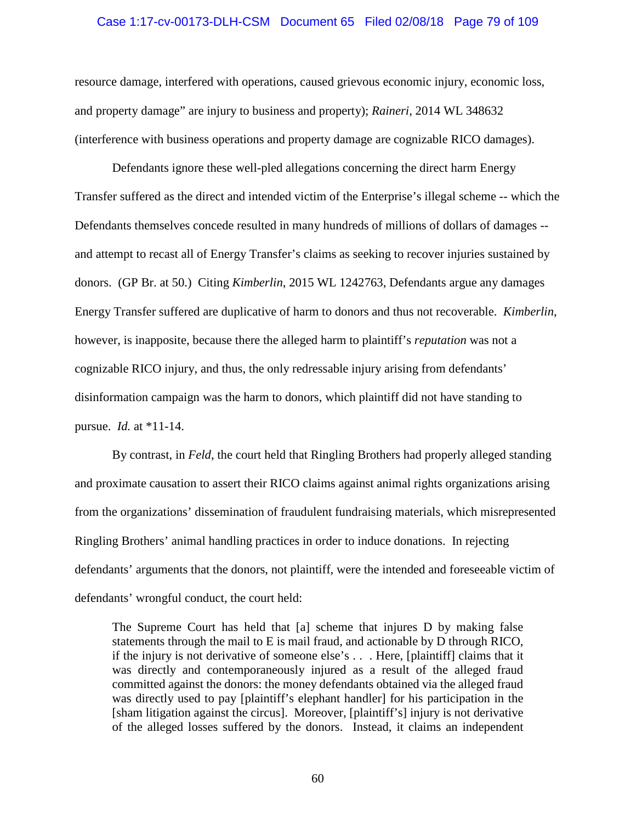#### Case 1:17-cv-00173-DLH-CSM Document 65 Filed 02/08/18 Page 79 of 109

resource damage, interfered with operations, caused grievous economic injury, economic loss, and property damage" are injury to business and property); *Raineri,* 2014 WL 348632 (interference with business operations and property damage are cognizable RICO damages).

Defendants ignore these well-pled allegations concerning the direct harm Energy Transfer suffered as the direct and intended victim of the Enterprise's illegal scheme -- which the Defendants themselves concede resulted in many hundreds of millions of dollars of damages - and attempt to recast all of Energy Transfer's claims as seeking to recover injuries sustained by donors. (GP Br. at 50.) Citing *Kimberlin*, 2015 WL 1242763, Defendants argue any damages Energy Transfer suffered are duplicative of harm to donors and thus not recoverable. *Kimberlin*, however, is inapposite, because there the alleged harm to plaintiff's *reputation* was not a cognizable RICO injury, and thus, the only redressable injury arising from defendants' disinformation campaign was the harm to donors, which plaintiff did not have standing to pursue. *Id.* at \*11-14.

By contrast, in *Feld*, the court held that Ringling Brothers had properly alleged standing and proximate causation to assert their RICO claims against animal rights organizations arising from the organizations' dissemination of fraudulent fundraising materials, which misrepresented Ringling Brothers' animal handling practices in order to induce donations. In rejecting defendants' arguments that the donors, not plaintiff, were the intended and foreseeable victim of defendants' wrongful conduct, the court held:

The Supreme Court has held that [a] scheme that injures D by making false statements through the mail to E is mail fraud, and actionable by D through RICO, if the injury is not derivative of someone else's . . . Here, [plaintiff] claims that it was directly and contemporaneously injured as a result of the alleged fraud committed against the donors: the money defendants obtained via the alleged fraud was directly used to pay [plaintiff's elephant handler] for his participation in the [sham litigation against the circus]. Moreover, [plaintiff's] injury is not derivative of the alleged losses suffered by the donors. Instead, it claims an independent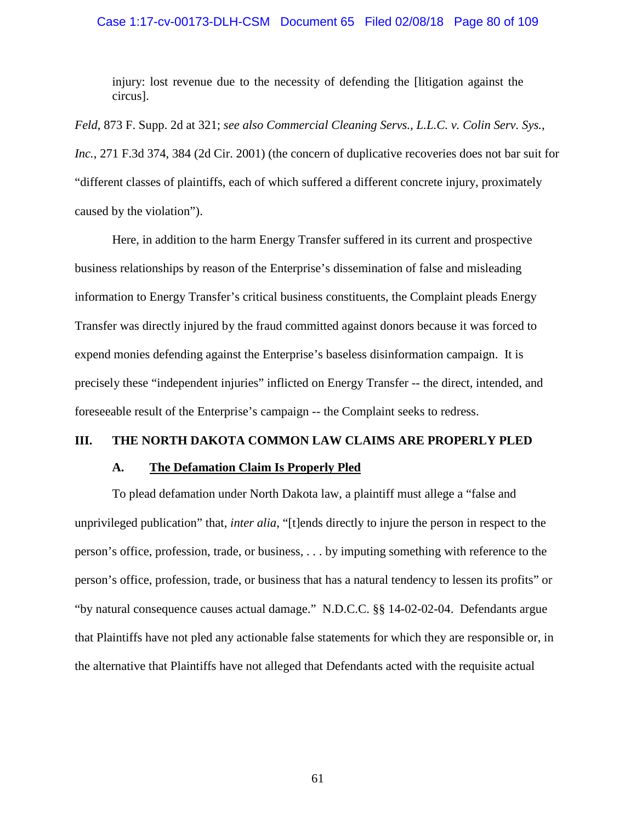#### Case 1:17-cv-00173-DLH-CSM Document 65 Filed 02/08/18 Page 80 of 109

injury: lost revenue due to the necessity of defending the [litigation against the circus].

*Feld*, 873 F. Supp. 2d at 321; *see also Commercial Cleaning Servs., L.L.C. v. Colin Serv. Sys., Inc.*, 271 F.3d 374, 384 (2d Cir. 2001) (the concern of duplicative recoveries does not bar suit for "different classes of plaintiffs, each of which suffered a different concrete injury, proximately caused by the violation").

Here, in addition to the harm Energy Transfer suffered in its current and prospective business relationships by reason of the Enterprise's dissemination of false and misleading information to Energy Transfer's critical business constituents, the Complaint pleads Energy Transfer was directly injured by the fraud committed against donors because it was forced to expend monies defending against the Enterprise's baseless disinformation campaign. It is precisely these "independent injuries" inflicted on Energy Transfer -- the direct, intended, and foreseeable result of the Enterprise's campaign -- the Complaint seeks to redress.

## **III. THE NORTH DAKOTA COMMON LAW CLAIMS ARE PROPERLY PLED**

### **A. The Defamation Claim Is Properly Pled**

To plead defamation under North Dakota law, a plaintiff must allege a "false and unprivileged publication" that, *inter alia*, "[t]ends directly to injure the person in respect to the person's office, profession, trade, or business, . . . by imputing something with reference to the person's office, profession, trade, or business that has a natural tendency to lessen its profits" or "by natural consequence causes actual damage." N.D.C.C. §§ 14-02-02-04. Defendants argue that Plaintiffs have not pled any actionable false statements for which they are responsible or, in the alternative that Plaintiffs have not alleged that Defendants acted with the requisite actual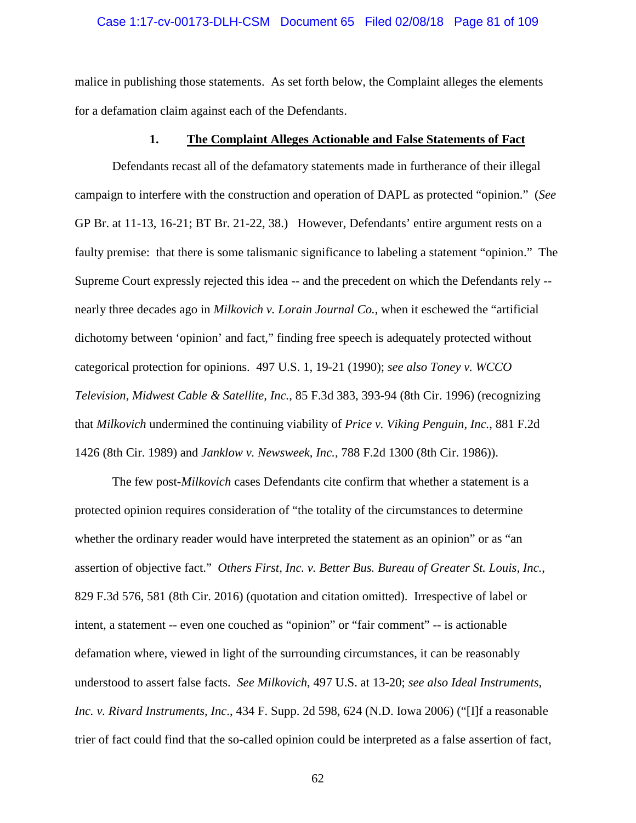#### Case 1:17-cv-00173-DLH-CSM Document 65 Filed 02/08/18 Page 81 of 109

malice in publishing those statements. As set forth below, the Complaint alleges the elements for a defamation claim against each of the Defendants.

## **1. The Complaint Alleges Actionable and False Statements of Fact**

Defendants recast all of the defamatory statements made in furtherance of their illegal campaign to interfere with the construction and operation of DAPL as protected "opinion." (*See* GP Br. at 11-13, 16-21; BT Br. 21-22, 38.) However, Defendants' entire argument rests on a faulty premise: that there is some talismanic significance to labeling a statement "opinion." The Supreme Court expressly rejected this idea -- and the precedent on which the Defendants rely - nearly three decades ago in *Milkovich v. Lorain Journal Co.*, when it eschewed the "artificial dichotomy between 'opinion' and fact," finding free speech is adequately protected without categorical protection for opinions. 497 U.S. 1, 19-21 (1990); *see also Toney v. WCCO Television, Midwest Cable & Satellite, Inc.*, 85 F.3d 383, 393-94 (8th Cir. 1996) (recognizing that *Milkovich* undermined the continuing viability of *Price v. Viking Penguin, Inc.*, 881 F.2d 1426 (8th Cir. 1989) and *Janklow v. Newsweek, Inc.*, 788 F.2d 1300 (8th Cir. 1986)).

The few post-*Milkovich* cases Defendants cite confirm that whether a statement is a protected opinion requires consideration of "the totality of the circumstances to determine whether the ordinary reader would have interpreted the statement as an opinion" or as "an assertion of objective fact." *Others First, Inc. v. Better Bus. Bureau of Greater St. Louis, Inc.*, 829 F.3d 576, 581 (8th Cir. 2016) (quotation and citation omitted). Irrespective of label or intent, a statement -- even one couched as "opinion" or "fair comment" -- is actionable defamation where, viewed in light of the surrounding circumstances, it can be reasonably understood to assert false facts. *See Milkovich*, 497 U.S. at 13-20; *see also Ideal Instruments, Inc. v. Rivard Instruments, Inc*., 434 F. Supp. 2d 598, 624 (N.D. Iowa 2006) ("[I]f a reasonable trier of fact could find that the so-called opinion could be interpreted as a false assertion of fact,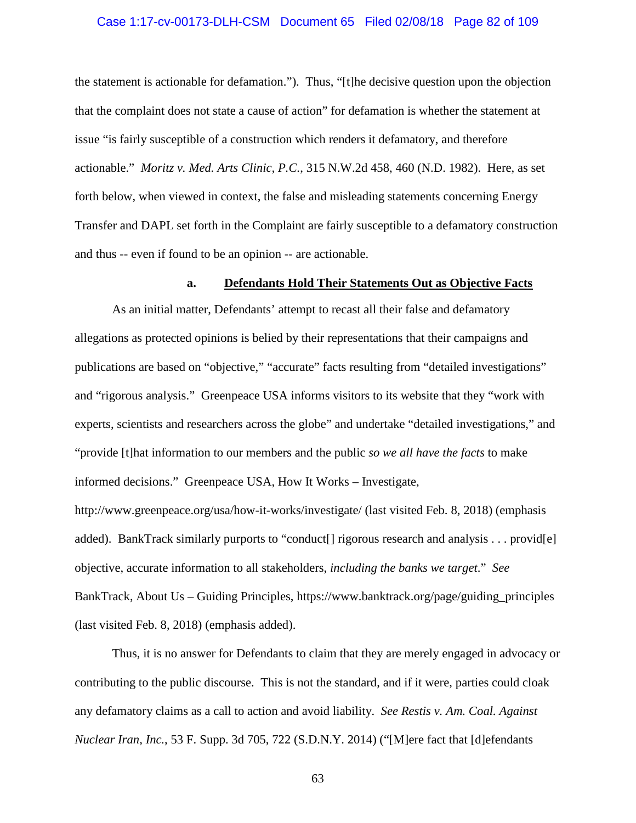#### Case 1:17-cv-00173-DLH-CSM Document 65 Filed 02/08/18 Page 82 of 109

the statement is actionable for defamation."). Thus, "[t]he decisive question upon the objection that the complaint does not state a cause of action" for defamation is whether the statement at issue "is fairly susceptible of a construction which renders it defamatory, and therefore actionable." *Moritz v. Med. Arts Clinic, P.C.*, 315 N.W.2d 458, 460 (N.D. 1982). Here, as set forth below, when viewed in context, the false and misleading statements concerning Energy Transfer and DAPL set forth in the Complaint are fairly susceptible to a defamatory construction and thus -- even if found to be an opinion -- are actionable.

#### **a. Defendants Hold Their Statements Out as Objective Facts**

As an initial matter, Defendants' attempt to recast all their false and defamatory allegations as protected opinions is belied by their representations that their campaigns and publications are based on "objective," "accurate" facts resulting from "detailed investigations" and "rigorous analysis." Greenpeace USA informs visitors to its website that they "work with experts, scientists and researchers across the globe" and undertake "detailed investigations," and "provide [t]hat information to our members and the public *so we all have the facts* to make informed decisions." Greenpeace USA, How It Works – Investigate,

http://www.greenpeace.org/usa/how-it-works/investigate/ (last visited Feb. 8, 2018) (emphasis added). BankTrack similarly purports to "conduct<sup>[]</sup> rigorous research and analysis . . . provid<sup>[e]</sup> objective, accurate information to all stakeholders, *including the banks we target*." *See* BankTrack, About Us – Guiding Principles, https://www.banktrack.org/page/guiding\_principles (last visited Feb. 8, 2018) (emphasis added).

Thus, it is no answer for Defendants to claim that they are merely engaged in advocacy or contributing to the public discourse. This is not the standard, and if it were, parties could cloak any defamatory claims as a call to action and avoid liability. *See Restis v. Am. Coal. Against Nuclear Iran, Inc.*, 53 F. Supp. 3d 705, 722 (S.D.N.Y. 2014) ("[M]ere fact that [d]efendants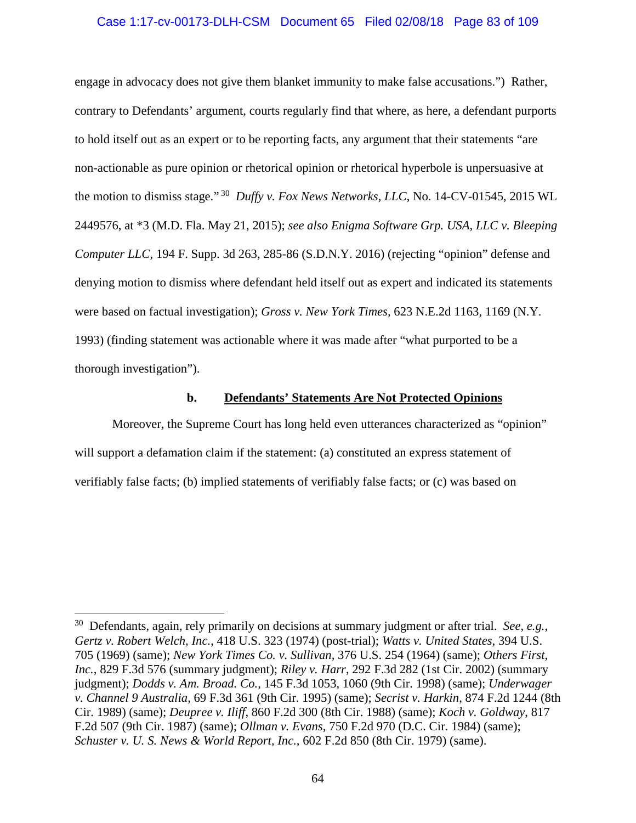## Case 1:17-cv-00173-DLH-CSM Document 65 Filed 02/08/18 Page 83 of 109

engage in advocacy does not give them blanket immunity to make false accusations.") Rather, contrary to Defendants' argument, courts regularly find that where, as here, a defendant purports to hold itself out as an expert or to be reporting facts, any argument that their statements "are non-actionable as pure opinion or rhetorical opinion or rhetorical hyperbole is unpersuasive at the motion to dismiss stage." <sup>30</sup> *Duffy v. Fox News Networks, LLC*, No. 14-CV-01545, 2015 WL 2449576, at \*3 (M.D. Fla. May 21, 2015); *see also Enigma Software Grp. USA, LLC v. Bleeping Computer LLC*, 194 F. Supp. 3d 263, 285-86 (S.D.N.Y. 2016) (rejecting "opinion" defense and denying motion to dismiss where defendant held itself out as expert and indicated its statements were based on factual investigation); *Gross v. New York Times,* 623 N.E.2d 1163, 1169 (N.Y. 1993) (finding statement was actionable where it was made after "what purported to be a thorough investigation").

### **b. Defendants' Statements Are Not Protected Opinions**

Moreover, the Supreme Court has long held even utterances characterized as "opinion" will support a defamation claim if the statement: (a) constituted an express statement of verifiably false facts; (b) implied statements of verifiably false facts; or (c) was based on

<sup>30</sup> Defendants, again, rely primarily on decisions at summary judgment or after trial. *See, e.g.*, *Gertz v. Robert Welch, Inc.*, 418 U.S. 323 (1974) (post-trial); *Watts v. United States*, 394 U.S. 705 (1969) (same); *New York Times Co. v. Sullivan*, 376 U.S. 254 (1964) (same); *Others First, Inc.*, 829 F.3d 576 (summary judgment); *Riley v. Harr*, 292 F.3d 282 (1st Cir. 2002) (summary judgment); *Dodds v. Am. Broad. Co.*, 145 F.3d 1053, 1060 (9th Cir. 1998) (same); *Underwager v. Channel 9 Australia*, 69 F.3d 361 (9th Cir. 1995) (same); *Secrist v. Harkin*, 874 F.2d 1244 (8th Cir. 1989) (same); *Deupree v. Iliff*, 860 F.2d 300 (8th Cir. 1988) (same); *Koch v. Goldway*, 817 F.2d 507 (9th Cir. 1987) (same); *Ollman v. Evans*, 750 F.2d 970 (D.C. Cir. 1984) (same); *Schuster v. U. S. News & World Report, Inc.*, 602 F.2d 850 (8th Cir. 1979) (same).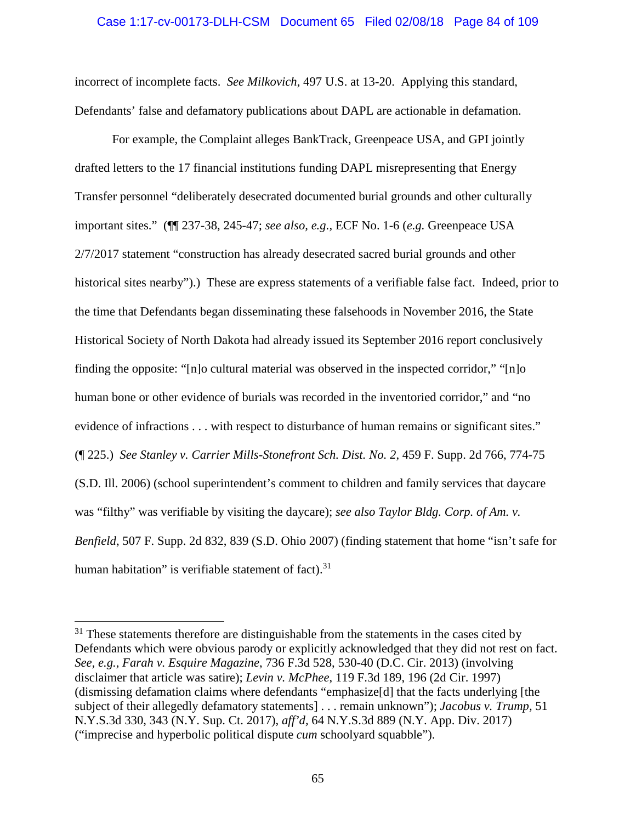#### Case 1:17-cv-00173-DLH-CSM Document 65 Filed 02/08/18 Page 84 of 109

incorrect of incomplete facts. *See Milkovich*, 497 U.S. at 13-20. Applying this standard, Defendants' false and defamatory publications about DAPL are actionable in defamation.

For example, the Complaint alleges BankTrack, Greenpeace USA, and GPI jointly drafted letters to the 17 financial institutions funding DAPL misrepresenting that Energy Transfer personnel "deliberately desecrated documented burial grounds and other culturally important sites." (¶¶ 237-38, 245-47; *see also, e.g.,* ECF No. 1-6 (*e.g.* Greenpeace USA 2/7/2017 statement "construction has already desecrated sacred burial grounds and other historical sites nearby").) These are express statements of a verifiable false fact. Indeed, prior to the time that Defendants began disseminating these falsehoods in November 2016, the State Historical Society of North Dakota had already issued its September 2016 report conclusively finding the opposite: "[n]o cultural material was observed in the inspected corridor," "[n]o human bone or other evidence of burials was recorded in the inventoried corridor," and "no evidence of infractions . . . with respect to disturbance of human remains or significant sites." (¶ 225.) *See Stanley v. Carrier Mills-Stonefront Sch. Dist. No. 2*, 459 F. Supp. 2d 766, 774-75 (S.D. Ill. 2006) (school superintendent's comment to children and family services that daycare was "filthy" was verifiable by visiting the daycare); *see also Taylor Bldg. Corp. of Am. v. Benfield*, 507 F. Supp. 2d 832, 839 (S.D. Ohio 2007) (finding statement that home "isn't safe for human habitation" is verifiable statement of fact). $31$ 

 $31$  These statements therefore are distinguishable from the statements in the cases cited by Defendants which were obvious parody or explicitly acknowledged that they did not rest on fact. *See, e.g.*, *Farah v. Esquire Magazine*, 736 F.3d 528, 530-40 (D.C. Cir. 2013) (involving disclaimer that article was satire); *Levin v. McPhee*, 119 F.3d 189, 196 (2d Cir. 1997) (dismissing defamation claims where defendants "emphasize[d] that the facts underlying [the subject of their allegedly defamatory statements] . . . remain unknown"); *Jacobus v. Trump,* 51 N.Y.S.3d 330, 343 (N.Y. Sup. Ct. 2017), *aff'd,* 64 N.Y.S.3d 889 (N.Y. App. Div. 2017) ("imprecise and hyperbolic political dispute *cum* schoolyard squabble").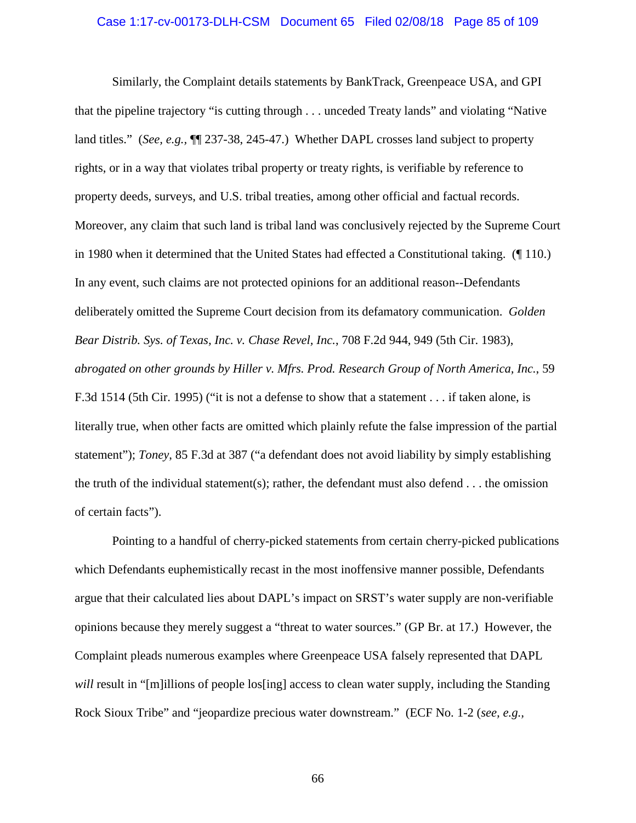#### Case 1:17-cv-00173-DLH-CSM Document 65 Filed 02/08/18 Page 85 of 109

Similarly, the Complaint details statements by BankTrack, Greenpeace USA, and GPI that the pipeline trajectory "is cutting through . . . unceded Treaty lands" and violating "Native land titles." (*See, e.g.,* ¶¶ 237-38, 245-47.) Whether DAPL crosses land subject to property rights, or in a way that violates tribal property or treaty rights, is verifiable by reference to property deeds, surveys, and U.S. tribal treaties, among other official and factual records. Moreover, any claim that such land is tribal land was conclusively rejected by the Supreme Court in 1980 when it determined that the United States had effected a Constitutional taking. (¶ 110.) In any event, such claims are not protected opinions for an additional reason--Defendants deliberately omitted the Supreme Court decision from its defamatory communication. *Golden Bear Distrib. Sys. of Texas, Inc. v. Chase Revel, Inc.*, 708 F.2d 944, 949 (5th Cir. 1983), *abrogated on other grounds by Hiller v. Mfrs. Prod. Research Group of North America, Inc.*, 59 F.3d 1514 (5th Cir. 1995) ("it is not a defense to show that a statement . . . if taken alone, is literally true, when other facts are omitted which plainly refute the false impression of the partial statement"); *Toney*, 85 F.3d at 387 ("a defendant does not avoid liability by simply establishing the truth of the individual statement(s); rather, the defendant must also defend . . . the omission of certain facts").

Pointing to a handful of cherry-picked statements from certain cherry-picked publications which Defendants euphemistically recast in the most inoffensive manner possible, Defendants argue that their calculated lies about DAPL's impact on SRST's water supply are non-verifiable opinions because they merely suggest a "threat to water sources." (GP Br. at 17.) However, the Complaint pleads numerous examples where Greenpeace USA falsely represented that DAPL *will* result in "[m]illions of people los[ing] access to clean water supply, including the Standing Rock Sioux Tribe" and "jeopardize precious water downstream." (ECF No. 1-2 (*see, e.g.,*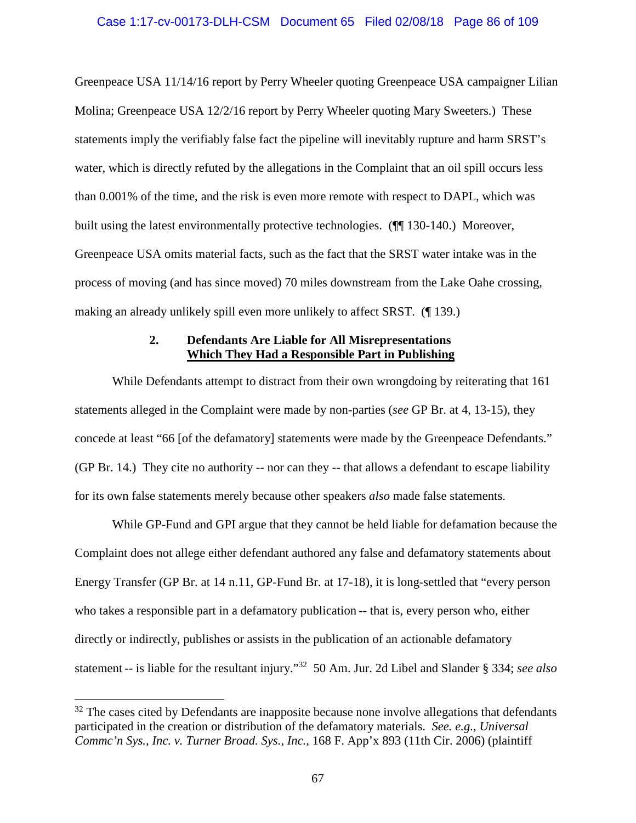Greenpeace USA 11/14/16 report by Perry Wheeler quoting Greenpeace USA campaigner Lilian Molina; Greenpeace USA 12/2/16 report by Perry Wheeler quoting Mary Sweeters.) These statements imply the verifiably false fact the pipeline will inevitably rupture and harm SRST's water, which is directly refuted by the allegations in the Complaint that an oil spill occurs less than 0.001% of the time, and the risk is even more remote with respect to DAPL, which was built using the latest environmentally protective technologies. (¶¶ 130-140.) Moreover, Greenpeace USA omits material facts, such as the fact that the SRST water intake was in the process of moving (and has since moved) 70 miles downstream from the Lake Oahe crossing, making an already unlikely spill even more unlikely to affect SRST. (¶ 139.)

# **2. Defendants Are Liable for All Misrepresentations Which They Had a Responsible Part in Publishing**

While Defendants attempt to distract from their own wrongdoing by reiterating that 161 statements alleged in the Complaint were made by non-parties (*see* GP Br. at 4, 13-15), they concede at least "66 [of the defamatory] statements were made by the Greenpeace Defendants." (GP Br. 14.) They cite no authority -- nor can they -- that allows a defendant to escape liability for its own false statements merely because other speakers *also* made false statements.

While GP-Fund and GPI argue that they cannot be held liable for defamation because the Complaint does not allege either defendant authored any false and defamatory statements about Energy Transfer (GP Br. at 14 n.11, GP-Fund Br. at 17-18), it is long-settled that "every person who takes a responsible part in a defamatory publication -- that is, every person who, either directly or indirectly, publishes or assists in the publication of an actionable defamatory statement -- is liable for the resultant injury."<sup>32</sup> 50 Am. Jur. 2d Libel and Slander § 334; *see also*

 $32$  The cases cited by Defendants are inapposite because none involve allegations that defendants participated in the creation or distribution of the defamatory materials. *See. e.g., Universal Commc'n Sys., Inc. v. Turner Broad. Sys., Inc.*, 168 F. App'x 893 (11th Cir. 2006) (plaintiff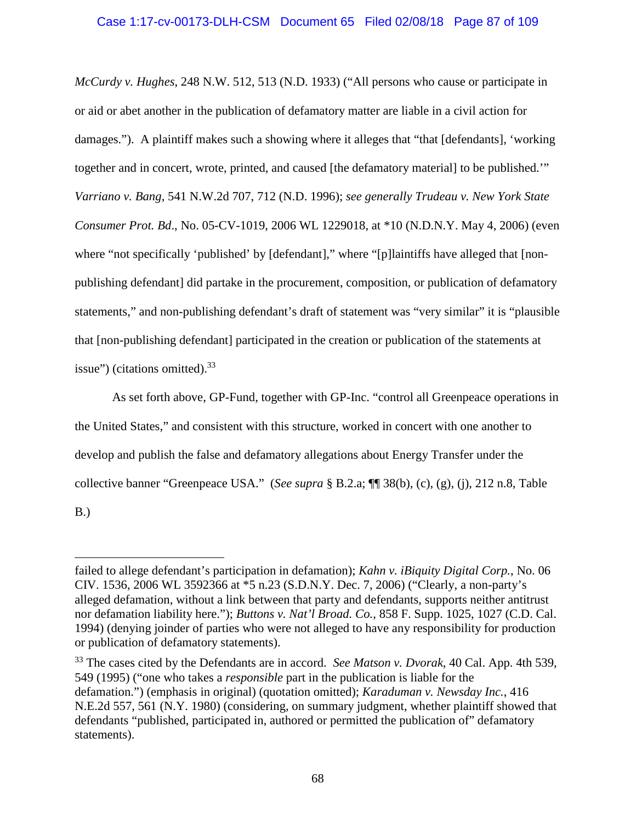*McCurdy v. Hughes*, 248 N.W. 512, 513 (N.D. 1933) ("All persons who cause or participate in or aid or abet another in the publication of defamatory matter are liable in a civil action for damages."). A plaintiff makes such a showing where it alleges that "that [defendants], 'working together and in concert, wrote, printed, and caused [the defamatory material] to be published.'" *Varriano v. Bang*, 541 N.W.2d 707, 712 (N.D. 1996); *see generally Trudeau v. New York State Consumer Prot. Bd*., No. 05-CV-1019, 2006 WL 1229018, at \*10 (N.D.N.Y. May 4, 2006) (even where "not specifically 'published' by [defendant]," where "[p]laintiffs have alleged that [nonpublishing defendant] did partake in the procurement, composition, or publication of defamatory statements," and non-publishing defendant's draft of statement was "very similar" it is "plausible that [non-publishing defendant] participated in the creation or publication of the statements at issue") (citations omitted). $33$ 

As set forth above, GP-Fund, together with GP-Inc. "control all Greenpeace operations in the United States," and consistent with this structure, worked in concert with one another to develop and publish the false and defamatory allegations about Energy Transfer under the collective banner "Greenpeace USA." (*See supra* § B.2.a; ¶¶ 38(b), (c), (g), (j), 212 n.8, Table B.)

failed to allege defendant's participation in defamation); *Kahn v. iBiquity Digital Corp.*, No. 06 CIV. 1536, 2006 WL 3592366 at \*5 n.23 (S.D.N.Y. Dec. 7, 2006) ("Clearly, a non-party's alleged defamation, without a link between that party and defendants, supports neither antitrust nor defamation liability here."); *Buttons v. Nat'l Broad. Co.*, 858 F. Supp. 1025, 1027 (C.D. Cal. 1994) (denying joinder of parties who were not alleged to have any responsibility for production or publication of defamatory statements).

<sup>33</sup> The cases cited by the Defendants are in accord. *See Matson v. Dvorak*, 40 Cal. App. 4th 539, 549 (1995) ("one who takes a *responsible* part in the publication is liable for the defamation.") (emphasis in original) (quotation omitted); *Karaduman v. Newsday Inc.*, 416 N.E.2d 557, 561 (N.Y. 1980) (considering, on summary judgment, whether plaintiff showed that defendants "published, participated in, authored or permitted the publication of" defamatory statements).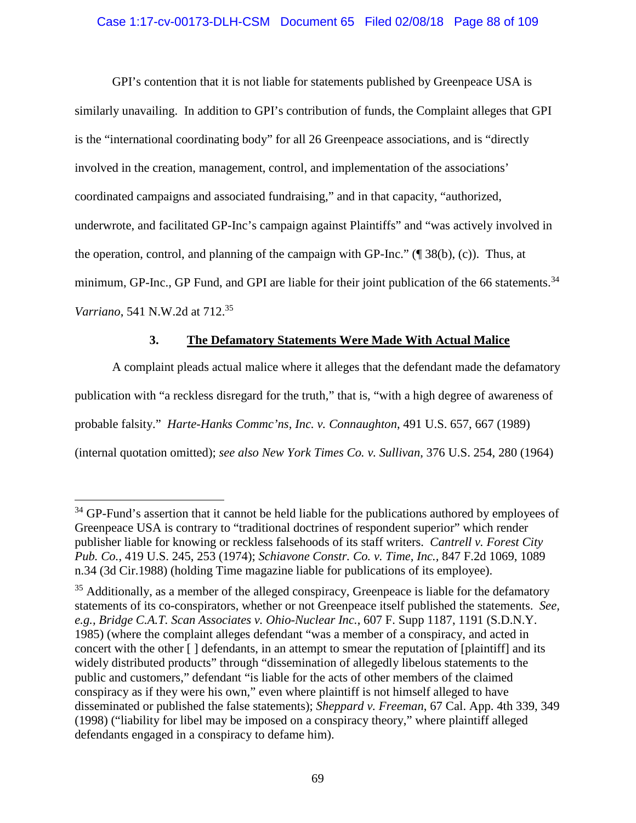# Case 1:17-cv-00173-DLH-CSM Document 65 Filed 02/08/18 Page 88 of 109

GPI's contention that it is not liable for statements published by Greenpeace USA is similarly unavailing. In addition to GPI's contribution of funds, the Complaint alleges that GPI is the "international coordinating body" for all 26 Greenpeace associations, and is "directly involved in the creation, management, control, and implementation of the associations' coordinated campaigns and associated fundraising," and in that capacity, "authorized, underwrote, and facilitated GP-Inc's campaign against Plaintiffs" and "was actively involved in the operation, control, and planning of the campaign with GP-Inc." (¶ 38(b), (c)). Thus, at minimum, GP-Inc., GP Fund, and GPI are liable for their joint publication of the 66 statements. $34$ *Varriano*, 541 N.W.2d at 712.<sup>35</sup>

# **3. The Defamatory Statements Were Made With Actual Malice**

A complaint pleads actual malice where it alleges that the defendant made the defamatory publication with "a reckless disregard for the truth," that is, "with a high degree of awareness of probable falsity." *Harte-Hanks Commc'ns, Inc. v. Connaughton*, 491 U.S. 657, 667 (1989) (internal quotation omitted); *see also New York Times Co. v. Sullivan*, 376 U.S. 254, 280 (1964)

<sup>&</sup>lt;sup>34</sup> GP-Fund's assertion that it cannot be held liable for the publications authored by employees of Greenpeace USA is contrary to "traditional doctrines of respondent superior" which render publisher liable for knowing or reckless falsehoods of its staff writers. *Cantrell v. Forest City Pub. Co.*, 419 U.S. 245, 253 (1974); *Schiavone Constr. Co. v. Time, Inc.,* 847 F.2d 1069, 1089 n.34 (3d Cir.1988) (holding Time magazine liable for publications of its employee).

 $35$  Additionally, as a member of the alleged conspiracy, Greenpeace is liable for the defamatory statements of its co-conspirators, whether or not Greenpeace itself published the statements. *See, e.g., Bridge C.A.T. Scan Associates v. Ohio-Nuclear Inc.*, 607 F. Supp 1187, 1191 (S.D.N.Y. 1985) (where the complaint alleges defendant "was a member of a conspiracy, and acted in concert with the other [ ] defendants, in an attempt to smear the reputation of [plaintiff] and its widely distributed products" through "dissemination of allegedly libelous statements to the public and customers," defendant "is liable for the acts of other members of the claimed conspiracy as if they were his own," even where plaintiff is not himself alleged to have disseminated or published the false statements); *Sheppard v. Freeman*, 67 Cal. App. 4th 339, 349 (1998) ("liability for libel may be imposed on a conspiracy theory," where plaintiff alleged defendants engaged in a conspiracy to defame him).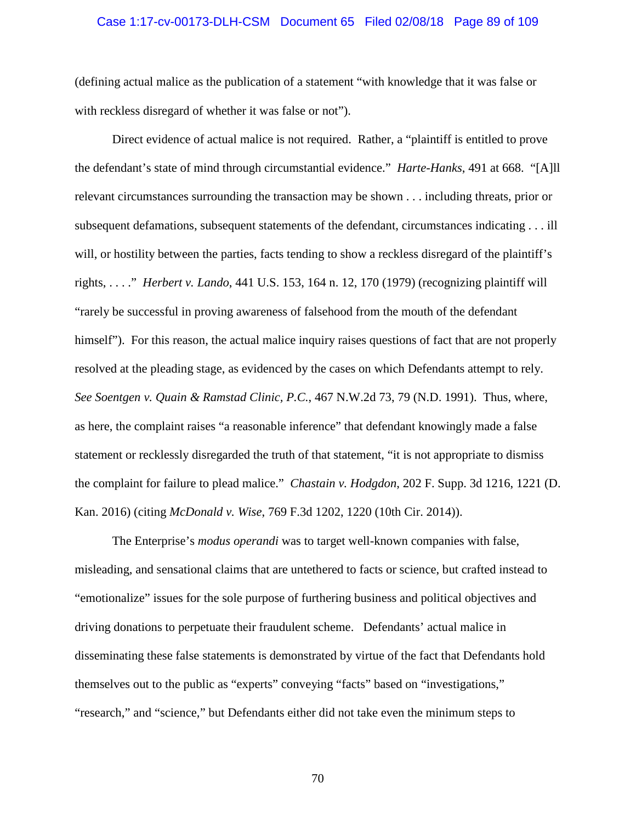#### Case 1:17-cv-00173-DLH-CSM Document 65 Filed 02/08/18 Page 89 of 109

(defining actual malice as the publication of a statement "with knowledge that it was false or with reckless disregard of whether it was false or not").

Direct evidence of actual malice is not required. Rather, a "plaintiff is entitled to prove the defendant's state of mind through circumstantial evidence." *Harte-Hanks*, 491 at 668. "[A]ll relevant circumstances surrounding the transaction may be shown . . . including threats, prior or subsequent defamations, subsequent statements of the defendant, circumstances indicating . . . ill will, or hostility between the parties, facts tending to show a reckless disregard of the plaintiff's rights, . . . ." *Herbert v. Lando*, 441 U.S. 153, 164 n. 12, 170 (1979) (recognizing plaintiff will "rarely be successful in proving awareness of falsehood from the mouth of the defendant himself"). For this reason, the actual malice inquiry raises questions of fact that are not properly resolved at the pleading stage, as evidenced by the cases on which Defendants attempt to rely. *See Soentgen v. Quain & Ramstad Clinic, P.C.*, 467 N.W.2d 73, 79 (N.D. 1991). Thus, where, as here, the complaint raises "a reasonable inference" that defendant knowingly made a false statement or recklessly disregarded the truth of that statement, "it is not appropriate to dismiss the complaint for failure to plead malice." *Chastain v. Hodgdon*, 202 F. Supp. 3d 1216, 1221 (D. Kan. 2016) (citing *McDonald v. Wise*, 769 F.3d 1202, 1220 (10th Cir. 2014)).

The Enterprise's *modus operandi* was to target well-known companies with false, misleading, and sensational claims that are untethered to facts or science, but crafted instead to "emotionalize" issues for the sole purpose of furthering business and political objectives and driving donations to perpetuate their fraudulent scheme. Defendants' actual malice in disseminating these false statements is demonstrated by virtue of the fact that Defendants hold themselves out to the public as "experts" conveying "facts" based on "investigations," "research," and "science," but Defendants either did not take even the minimum steps to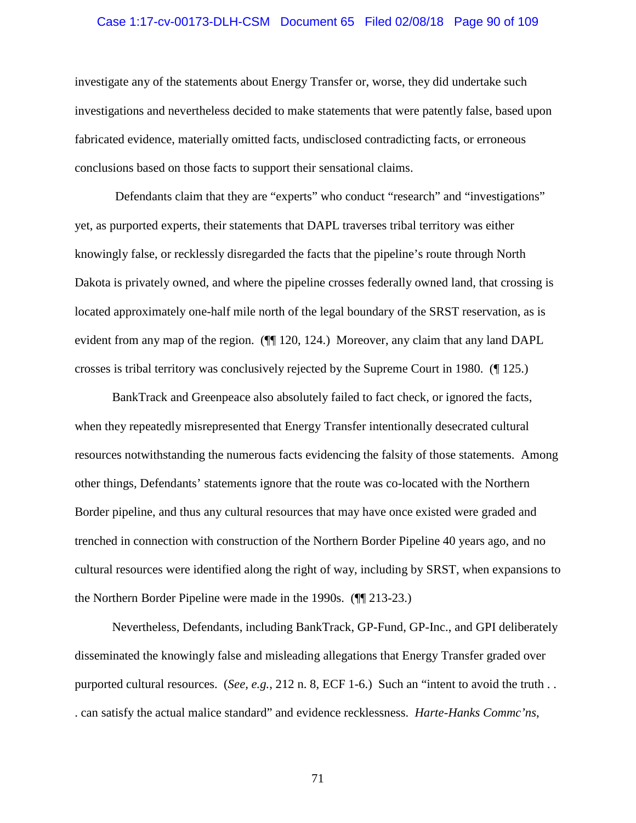#### Case 1:17-cv-00173-DLH-CSM Document 65 Filed 02/08/18 Page 90 of 109

investigate any of the statements about Energy Transfer or, worse, they did undertake such investigations and nevertheless decided to make statements that were patently false, based upon fabricated evidence, materially omitted facts, undisclosed contradicting facts, or erroneous conclusions based on those facts to support their sensational claims.

Defendants claim that they are "experts" who conduct "research" and "investigations" yet, as purported experts, their statements that DAPL traverses tribal territory was either knowingly false, or recklessly disregarded the facts that the pipeline's route through North Dakota is privately owned, and where the pipeline crosses federally owned land, that crossing is located approximately one-half mile north of the legal boundary of the SRST reservation, as is evident from any map of the region. ( $\P$ [120, 124.) Moreover, any claim that any land DAPL crosses is tribal territory was conclusively rejected by the Supreme Court in 1980. (¶ 125.)

BankTrack and Greenpeace also absolutely failed to fact check, or ignored the facts, when they repeatedly misrepresented that Energy Transfer intentionally desecrated cultural resources notwithstanding the numerous facts evidencing the falsity of those statements. Among other things, Defendants' statements ignore that the route was co-located with the Northern Border pipeline, and thus any cultural resources that may have once existed were graded and trenched in connection with construction of the Northern Border Pipeline 40 years ago, and no cultural resources were identified along the right of way, including by SRST, when expansions to the Northern Border Pipeline were made in the 1990s. (¶¶ 213-23.)

Nevertheless, Defendants, including BankTrack, GP-Fund, GP-Inc., and GPI deliberately disseminated the knowingly false and misleading allegations that Energy Transfer graded over purported cultural resources. (*See, e.g.*, 212 n. 8, ECF 1-6.) Such an "intent to avoid the truth . . . can satisfy the actual malice standard" and evidence recklessness. *Harte-Hanks Commc'ns*,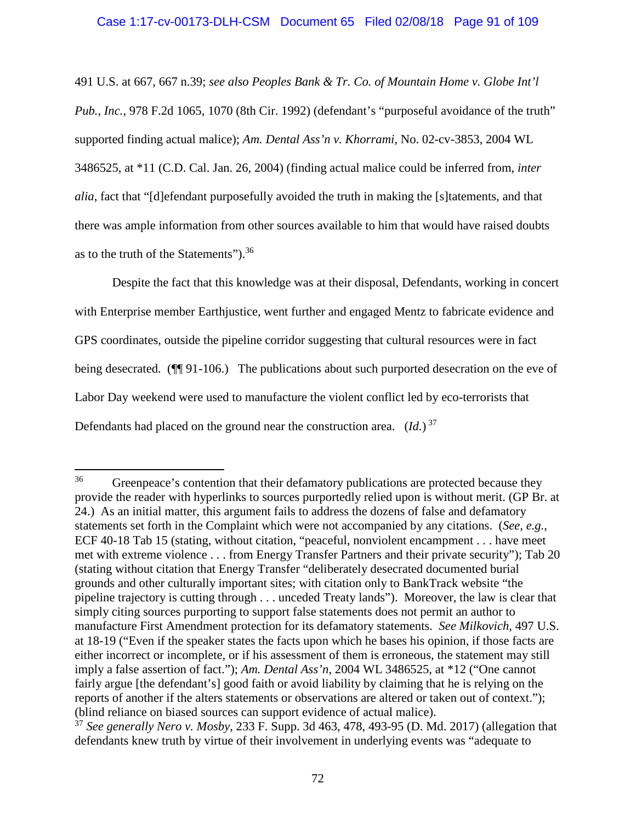491 U.S. at 667, 667 n.39; *see also Peoples Bank & Tr. Co. of Mountain Home v. Globe Int'l Pub., Inc.*, 978 F.2d 1065, 1070 (8th Cir. 1992) (defendant's "purposeful avoidance of the truth" supported finding actual malice); *Am. Dental Ass'n v. Khorrami*, No. 02-cv-3853, 2004 WL 3486525, at \*11 (C.D. Cal. Jan. 26, 2004) (finding actual malice could be inferred from, *inter alia*, fact that "[d]efendant purposefully avoided the truth in making the [s]tatements, and that there was ample information from other sources available to him that would have raised doubts as to the truth of the Statements").<sup>36</sup>

Despite the fact that this knowledge was at their disposal, Defendants, working in concert with Enterprise member Earthjustice, went further and engaged Mentz to fabricate evidence and GPS coordinates, outside the pipeline corridor suggesting that cultural resources were in fact being desecrated. ( $\P$ [91-106.) The publications about such purported desecration on the eve of Labor Day weekend were used to manufacture the violent conflict led by eco-terrorists that Defendants had placed on the ground near the construction area.  $(Id.)^{37}$ 

<sup>&</sup>lt;sup>36</sup> Greenpeace's contention that their defamatory publications are protected because they provide the reader with hyperlinks to sources purportedly relied upon is without merit. (GP Br. at 24.) As an initial matter, this argument fails to address the dozens of false and defamatory statements set forth in the Complaint which were not accompanied by any citations. (*See, e.g.*, ECF 40-18 Tab 15 (stating, without citation, "peaceful, nonviolent encampment . . . have meet met with extreme violence . . . from Energy Transfer Partners and their private security"); Tab 20 (stating without citation that Energy Transfer "deliberately desecrated documented burial grounds and other culturally important sites; with citation only to BankTrack website "the pipeline trajectory is cutting through . . . unceded Treaty lands"). Moreover, the law is clear that simply citing sources purporting to support false statements does not permit an author to manufacture First Amendment protection for its defamatory statements. *See Milkovich*, 497 U.S. at 18-19 ("Even if the speaker states the facts upon which he bases his opinion, if those facts are either incorrect or incomplete, or if his assessment of them is erroneous, the statement may still imply a false assertion of fact."); *Am. Dental Ass'n*, 2004 WL 3486525, at \*12 ("One cannot fairly argue [the defendant's] good faith or avoid liability by claiming that he is relying on the reports of another if the alters statements or observations are altered or taken out of context."); (blind reliance on biased sources can support evidence of actual malice).

<sup>37</sup> *See generally Nero v. Mosby*, 233 F. Supp. 3d 463, 478, 493-95 (D. Md. 2017) (allegation that defendants knew truth by virtue of their involvement in underlying events was "adequate to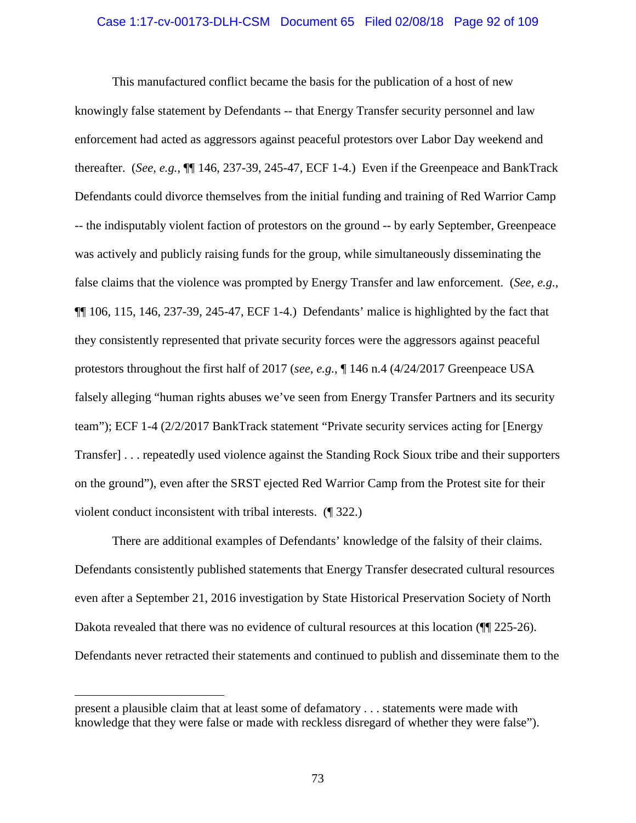#### Case 1:17-cv-00173-DLH-CSM Document 65 Filed 02/08/18 Page 92 of 109

This manufactured conflict became the basis for the publication of a host of new knowingly false statement by Defendants -- that Energy Transfer security personnel and law enforcement had acted as aggressors against peaceful protestors over Labor Day weekend and thereafter. (*See, e.g.*, ¶¶ 146, 237-39, 245-47, ECF 1-4.) Even if the Greenpeace and BankTrack Defendants could divorce themselves from the initial funding and training of Red Warrior Camp -- the indisputably violent faction of protestors on the ground -- by early September, Greenpeace was actively and publicly raising funds for the group, while simultaneously disseminating the false claims that the violence was prompted by Energy Transfer and law enforcement. (*See, e.g.*, ¶¶ 106, 115, 146, 237-39, 245-47, ECF 1-4.) Defendants' malice is highlighted by the fact that they consistently represented that private security forces were the aggressors against peaceful protestors throughout the first half of 2017 (*see, e.g.*, ¶ 146 n.4 (4/24/2017 Greenpeace USA falsely alleging "human rights abuses we've seen from Energy Transfer Partners and its security team"); ECF 1-4 (2/2/2017 BankTrack statement "Private security services acting for [Energy Transfer] . . . repeatedly used violence against the Standing Rock Sioux tribe and their supporters on the ground"), even after the SRST ejected Red Warrior Camp from the Protest site for their violent conduct inconsistent with tribal interests. (¶ 322.)

There are additional examples of Defendants' knowledge of the falsity of their claims. Defendants consistently published statements that Energy Transfer desecrated cultural resources even after a September 21, 2016 investigation by State Historical Preservation Society of North Dakota revealed that there was no evidence of cultural resources at this location ( $\P$ [125-26). Defendants never retracted their statements and continued to publish and disseminate them to the

present a plausible claim that at least some of defamatory . . . statements were made with knowledge that they were false or made with reckless disregard of whether they were false").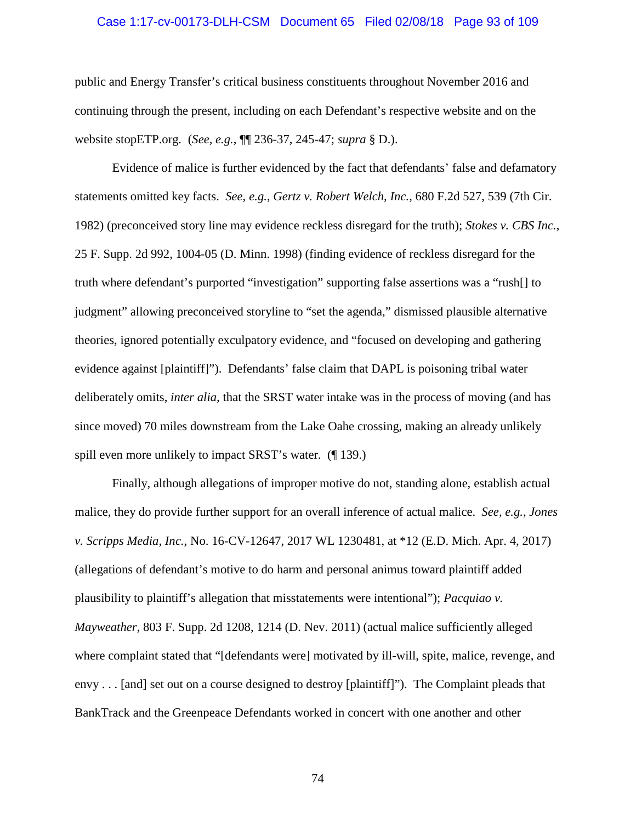#### Case 1:17-cv-00173-DLH-CSM Document 65 Filed 02/08/18 Page 93 of 109

public and Energy Transfer's critical business constituents throughout November 2016 and continuing through the present, including on each Defendant's respective website and on the website stopETP.org. (*See, e.g.*, ¶¶ 236-37, 245-47; *supra* § D.).

Evidence of malice is further evidenced by the fact that defendants' false and defamatory statements omitted key facts. *See, e.g.*, *Gertz v. Robert Welch, Inc.*, 680 F.2d 527, 539 (7th Cir. 1982) (preconceived story line may evidence reckless disregard for the truth); *Stokes v. CBS Inc.*, 25 F. Supp. 2d 992, 1004-05 (D. Minn. 1998) (finding evidence of reckless disregard for the truth where defendant's purported "investigation" supporting false assertions was a "rush[] to judgment" allowing preconceived storyline to "set the agenda," dismissed plausible alternative theories, ignored potentially exculpatory evidence, and "focused on developing and gathering evidence against [plaintiff]"). Defendants' false claim that DAPL is poisoning tribal water deliberately omits, *inter alia,* that the SRST water intake was in the process of moving (and has since moved) 70 miles downstream from the Lake Oahe crossing, making an already unlikely spill even more unlikely to impact SRST's water. (¶ 139.)

Finally, although allegations of improper motive do not, standing alone, establish actual malice, they do provide further support for an overall inference of actual malice. *See, e.g.*, *Jones v. Scripps Media, Inc.*, No. 16-CV-12647, 2017 WL 1230481, at \*12 (E.D. Mich. Apr. 4, 2017) (allegations of defendant's motive to do harm and personal animus toward plaintiff added plausibility to plaintiff's allegation that misstatements were intentional"); *Pacquiao v. Mayweather*, 803 F. Supp. 2d 1208, 1214 (D. Nev. 2011) (actual malice sufficiently alleged where complaint stated that "[defendants were] motivated by ill-will, spite, malice, revenge, and envy . . . [and] set out on a course designed to destroy [plaintiff]"). The Complaint pleads that BankTrack and the Greenpeace Defendants worked in concert with one another and other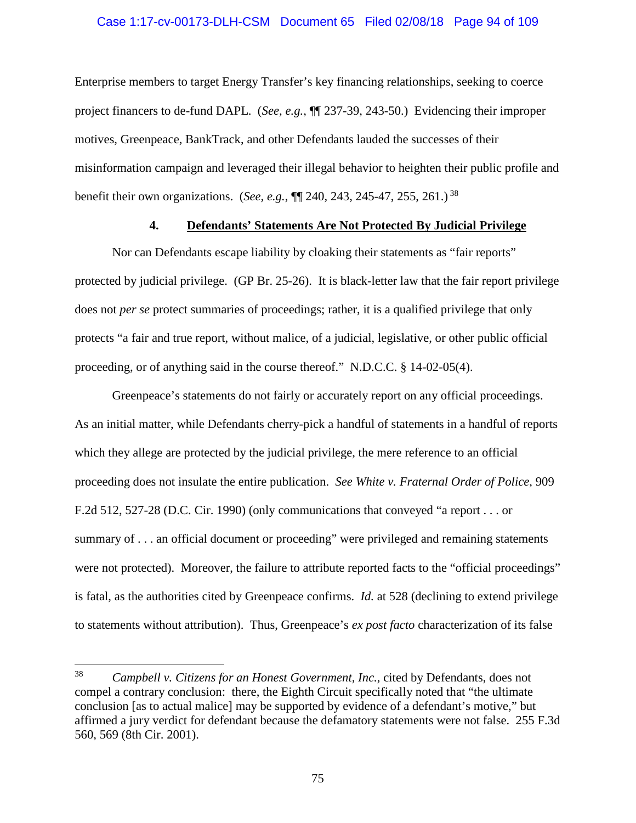## Case 1:17-cv-00173-DLH-CSM Document 65 Filed 02/08/18 Page 94 of 109

Enterprise members to target Energy Transfer's key financing relationships, seeking to coerce project financers to de-fund DAPL. (*See, e.g.*, ¶¶ 237-39, 243-50.) Evidencing their improper motives, Greenpeace, BankTrack, and other Defendants lauded the successes of their misinformation campaign and leveraged their illegal behavior to heighten their public profile and benefit their own organizations. (*See, e.g.*, ¶¶ 240, 243, 245-47, 255, 261.) <sup>38</sup>

## **4. Defendants' Statements Are Not Protected By Judicial Privilege**

Nor can Defendants escape liability by cloaking their statements as "fair reports" protected by judicial privilege. (GP Br. 25-26). It is black-letter law that the fair report privilege does not *per se* protect summaries of proceedings; rather, it is a qualified privilege that only protects "a fair and true report, without malice, of a judicial, legislative, or other public official proceeding, or of anything said in the course thereof." N.D.C.C. § 14-02-05(4).

Greenpeace's statements do not fairly or accurately report on any official proceedings. As an initial matter, while Defendants cherry-pick a handful of statements in a handful of reports which they allege are protected by the judicial privilege, the mere reference to an official proceeding does not insulate the entire publication. *See White v. Fraternal Order of Police*, 909 F.2d 512, 527-28 (D.C. Cir. 1990) (only communications that conveyed "a report . . . or summary of . . . an official document or proceeding" were privileged and remaining statements were not protected). Moreover, the failure to attribute reported facts to the "official proceedings" is fatal, as the authorities cited by Greenpeace confirms. *Id.* at 528 (declining to extend privilege to statements without attribution). Thus, Greenpeace's *ex post facto* characterization of its false

<sup>38</sup> *Campbell v. Citizens for an Honest Government, Inc.*, cited by Defendants, does not compel a contrary conclusion: there, the Eighth Circuit specifically noted that "the ultimate conclusion [as to actual malice] may be supported by evidence of a defendant's motive," but affirmed a jury verdict for defendant because the defamatory statements were not false. 255 F.3d 560, 569 (8th Cir. 2001).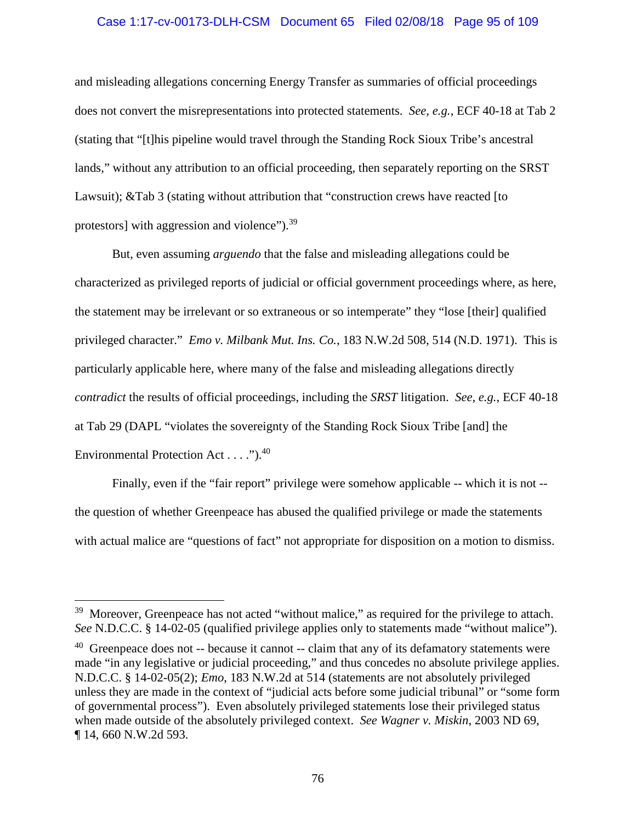## Case 1:17-cv-00173-DLH-CSM Document 65 Filed 02/08/18 Page 95 of 109

and misleading allegations concerning Energy Transfer as summaries of official proceedings does not convert the misrepresentations into protected statements. *See, e.g.*, ECF 40-18 at Tab 2 (stating that "[t]his pipeline would travel through the Standing Rock Sioux Tribe's ancestral lands," without any attribution to an official proceeding, then separately reporting on the SRST Lawsuit); &Tab 3 (stating without attribution that "construction crews have reacted [to protestors] with aggression and violence").<sup>39</sup>

But, even assuming *arguendo* that the false and misleading allegations could be characterized as privileged reports of judicial or official government proceedings where, as here, the statement may be irrelevant or so extraneous or so intemperate" they "lose [their] qualified privileged character." *Emo v. Milbank Mut. Ins. Co.*, 183 N.W.2d 508, 514 (N.D. 1971). This is particularly applicable here, where many of the false and misleading allegations directly *contradict* the results of official proceedings, including the *SRST* litigation. *See, e.g.*, ECF 40-18 at Tab 29 (DAPL "violates the sovereignty of the Standing Rock Sioux Tribe [and] the Environmental Protection Act . . . . ").<sup>40</sup>

Finally, even if the "fair report" privilege were somehow applicable -- which it is not - the question of whether Greenpeace has abused the qualified privilege or made the statements with actual malice are "questions of fact" not appropriate for disposition on a motion to dismiss.

<sup>&</sup>lt;sup>39</sup> Moreover, Greenpeace has not acted "without malice," as required for the privilege to attach. *See* N.D.C.C. § 14-02-05 (qualified privilege applies only to statements made "without malice").

 $40$  Greenpeace does not -- because it cannot -- claim that any of its defamatory statements were made "in any legislative or judicial proceeding," and thus concedes no absolute privilege applies. N.D.C.C. § 14-02-05(2); *Emo*, 183 N.W.2d at 514 (statements are not absolutely privileged unless they are made in the context of "judicial acts before some judicial tribunal" or "some form of governmental process"). Even absolutely privileged statements lose their privileged status when made outside of the absolutely privileged context. *See Wagner v. Miskin*, 2003 ND 69, ¶ 14, 660 N.W.2d 593.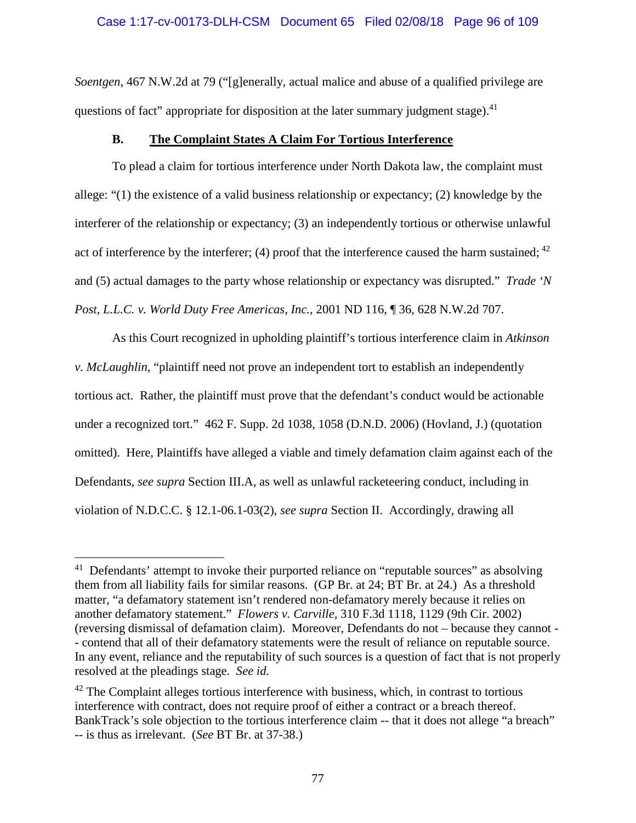*Soentgen*, 467 N.W.2d at 79 ("[g]enerally, actual malice and abuse of a qualified privilege are questions of fact" appropriate for disposition at the later summary judgment stage). $41$ 

# **B. The Complaint States A Claim For Tortious Interference**

To plead a claim for tortious interference under North Dakota law, the complaint must allege: "(1) the existence of a valid business relationship or expectancy; (2) knowledge by the interferer of the relationship or expectancy; (3) an independently tortious or otherwise unlawful act of interference by the interferer; (4) proof that the interference caused the harm sustained;  $42$ and (5) actual damages to the party whose relationship or expectancy was disrupted." *Trade 'N Post, L.L.C. v. World Duty Free Americas, Inc.*, 2001 ND 116, ¶ 36, 628 N.W.2d 707.

As this Court recognized in upholding plaintiff's tortious interference claim in *Atkinson v. McLaughlin*, "plaintiff need not prove an independent tort to establish an independently tortious act. Rather, the plaintiff must prove that the defendant's conduct would be actionable under a recognized tort." 462 F. Supp. 2d 1038, 1058 (D.N.D. 2006) (Hovland, J.) (quotation omitted). Here, Plaintiffs have alleged a viable and timely defamation claim against each of the Defendants, *see supra* Section III.A, as well as unlawful racketeering conduct, including in violation of N.D.C.C. § 12.1-06.1-03(2), *see supra* Section II. Accordingly, drawing all

<sup>&</sup>lt;sup>41</sup> Defendants' attempt to invoke their purported reliance on "reputable sources" as absolving them from all liability fails for similar reasons. (GP Br. at 24; BT Br. at 24.) As a threshold matter, "a defamatory statement isn't rendered non-defamatory merely because it relies on another defamatory statement." *Flowers v. Carville*, 310 F.3d 1118, 1129 (9th Cir. 2002) (reversing dismissal of defamation claim). Moreover, Defendants do not – because they cannot - - contend that all of their defamatory statements were the result of reliance on reputable source. In any event, reliance and the reputability of such sources is a question of fact that is not properly resolved at the pleadings stage. *See id.*

 $42$  The Complaint alleges tortious interference with business, which, in contrast to tortious interference with contract, does not require proof of either a contract or a breach thereof. BankTrack's sole objection to the tortious interference claim -- that it does not allege "a breach" -- is thus as irrelevant. (*See* BT Br. at 37-38.)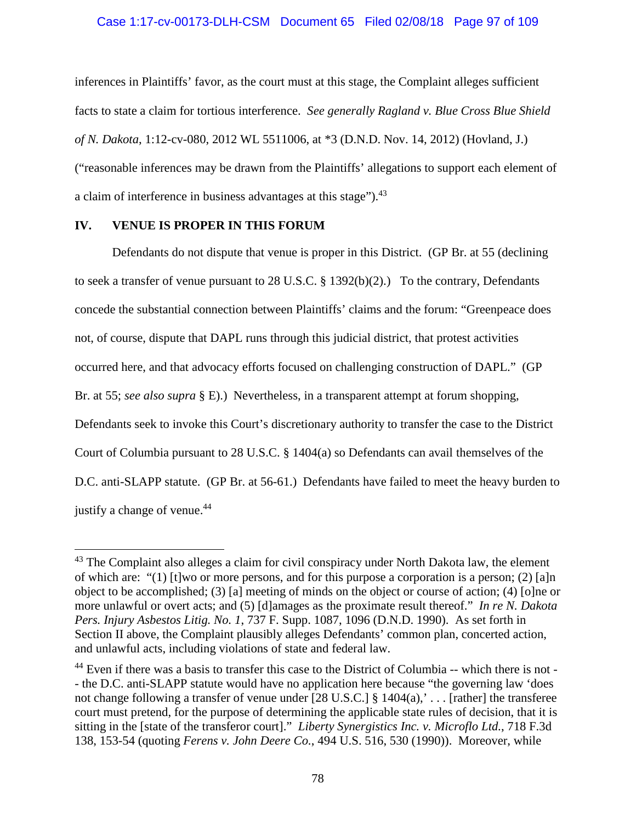### Case 1:17-cv-00173-DLH-CSM Document 65 Filed 02/08/18 Page 97 of 109

inferences in Plaintiffs' favor, as the court must at this stage, the Complaint alleges sufficient facts to state a claim for tortious interference. *See generally Ragland v. Blue Cross Blue Shield of N. Dakota*, 1:12-cv-080, 2012 WL 5511006, at \*3 (D.N.D. Nov. 14, 2012) (Hovland, J.) ("reasonable inferences may be drawn from the Plaintiffs' allegations to support each element of a claim of interference in business advantages at this stage").<sup>43</sup>

## **IV. VENUE IS PROPER IN THIS FORUM**

Defendants do not dispute that venue is proper in this District. (GP Br. at 55 (declining to seek a transfer of venue pursuant to 28 U.S.C. § 1392(b)(2).) To the contrary, Defendants concede the substantial connection between Plaintiffs' claims and the forum: "Greenpeace does not, of course, dispute that DAPL runs through this judicial district, that protest activities occurred here, and that advocacy efforts focused on challenging construction of DAPL." (GP Br. at 55; *see also supra* § E).) Nevertheless, in a transparent attempt at forum shopping, Defendants seek to invoke this Court's discretionary authority to transfer the case to the District Court of Columbia pursuant to 28 U.S.C. § 1404(a) so Defendants can avail themselves of the D.C. anti-SLAPP statute. (GP Br. at 56-61.) Defendants have failed to meet the heavy burden to justify a change of venue.<sup>44</sup>

 $43$  The Complaint also alleges a claim for civil conspiracy under North Dakota law, the element of which are: "(1) [t]wo or more persons, and for this purpose a corporation is a person; (2) [a]n object to be accomplished; (3) [a] meeting of minds on the object or course of action; (4) [o]ne or more unlawful or overt acts; and (5) [d]amages as the proximate result thereof." *In re N. Dakota Pers. Injury Asbestos Litig. No. 1*, 737 F. Supp. 1087, 1096 (D.N.D. 1990). As set forth in Section II above, the Complaint plausibly alleges Defendants' common plan, concerted action, and unlawful acts, including violations of state and federal law.

<sup>44</sup> Even if there was a basis to transfer this case to the District of Columbia -- which there is not - - the D.C. anti-SLAPP statute would have no application here because "the governing law 'does not change following a transfer of venue under  $[28 \text{ U.S.C.}]$  §  $1404(a)$ ,'... [rather] the transferee court must pretend, for the purpose of determining the applicable state rules of decision, that it is sitting in the [state of the transferor court]." *Liberty Synergistics Inc. v. Microflo Ltd.*, 718 F.3d 138, 153-54 (quoting *Ferens v. John Deere Co.*, 494 U.S. 516, 530 (1990)). Moreover, while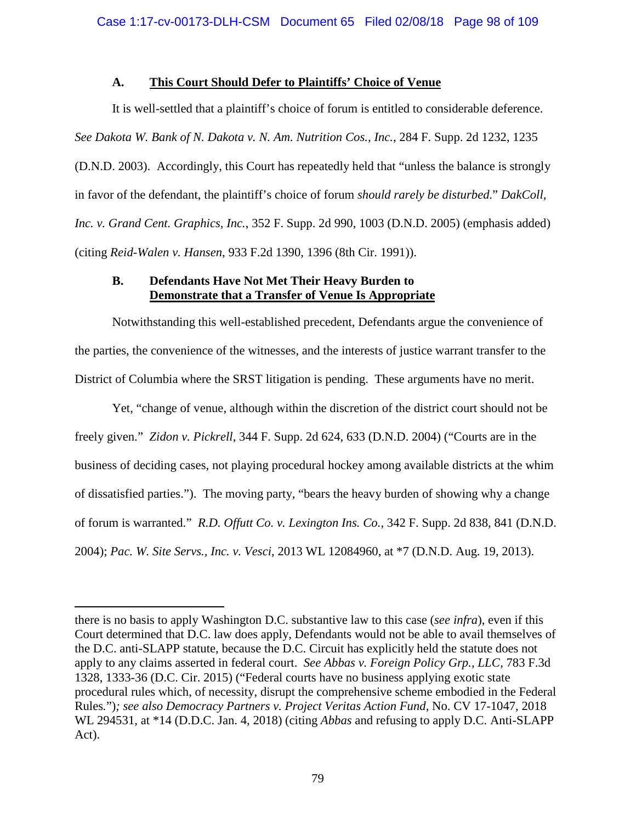# **A. This Court Should Defer to Plaintiffs' Choice of Venue**

It is well-settled that a plaintiff's choice of forum is entitled to considerable deference. *See Dakota W. Bank of N. Dakota v. N. Am. Nutrition Cos., Inc.*, 284 F. Supp. 2d 1232, 1235 (D.N.D. 2003). Accordingly, this Court has repeatedly held that "unless the balance is strongly in favor of the defendant, the plaintiff's choice of forum *should rarely be disturbed*." *DakColl, Inc. v. Grand Cent. Graphics, Inc.*, 352 F. Supp. 2d 990, 1003 (D.N.D. 2005) (emphasis added) (citing *Reid-Walen v. Hansen*, 933 F.2d 1390, 1396 (8th Cir. 1991)).

# **B. Defendants Have Not Met Their Heavy Burden to Demonstrate that a Transfer of Venue Is Appropriate**

Notwithstanding this well-established precedent, Defendants argue the convenience of the parties, the convenience of the witnesses, and the interests of justice warrant transfer to the District of Columbia where the SRST litigation is pending. These arguments have no merit.

Yet, "change of venue, although within the discretion of the district court should not be freely given." *Zidon v. Pickrell*, 344 F. Supp. 2d 624, 633 (D.N.D. 2004) ("Courts are in the business of deciding cases, not playing procedural hockey among available districts at the whim of dissatisfied parties."). The moving party, "bears the heavy burden of showing why a change of forum is warranted." *R.D. Offutt Co. v. Lexington Ins. Co.*, 342 F. Supp. 2d 838, 841 (D.N.D. 2004); *Pac. W. Site Servs., Inc. v. Vesci*, 2013 WL 12084960, at \*7 (D.N.D. Aug. 19, 2013).

there is no basis to apply Washington D.C. substantive law to this case (*see infra*), even if this Court determined that D.C. law does apply, Defendants would not be able to avail themselves of the D.C. anti-SLAPP statute, because the D.C. Circuit has explicitly held the statute does not apply to any claims asserted in federal court. *See Abbas v. Foreign Policy Grp., LLC*, 783 F.3d 1328, 1333-36 (D.C. Cir. 2015) ("Federal courts have no business applying exotic state procedural rules which, of necessity, disrupt the comprehensive scheme embodied in the Federal Rules*.*")*; see also Democracy Partners v. Project Veritas Action Fund*, No. CV 17-1047, 2018 WL 294531, at \*14 (D.D.C. Jan. 4, 2018) (citing *Abbas* and refusing to apply D.C. Anti-SLAPP Act).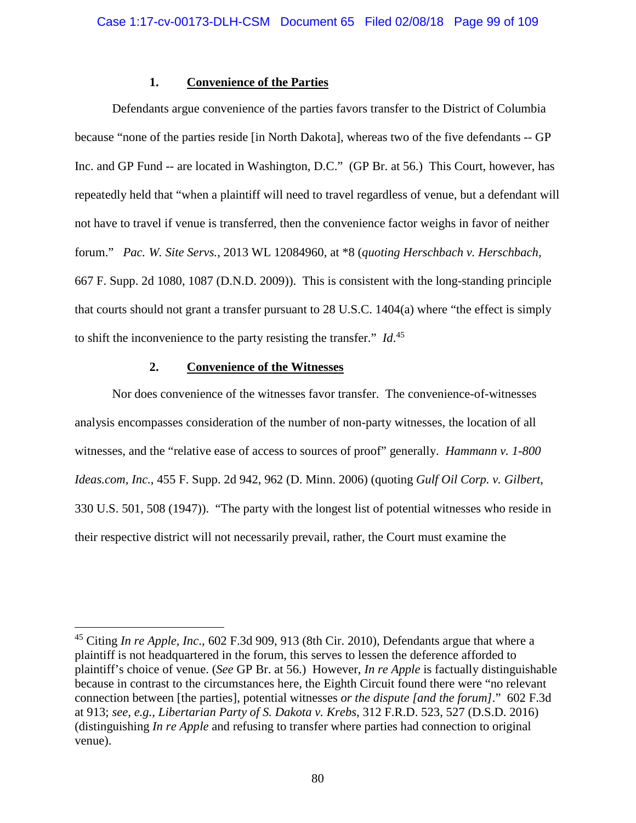## **1. Convenience of the Parties**

Defendants argue convenience of the parties favors transfer to the District of Columbia because "none of the parties reside [in North Dakota], whereas two of the five defendants -- GP Inc. and GP Fund -- are located in Washington, D.C." (GP Br. at 56.) This Court, however, has repeatedly held that "when a plaintiff will need to travel regardless of venue, but a defendant will not have to travel if venue is transferred, then the convenience factor weighs in favor of neither forum." *Pac. W. Site Servs.*, 2013 WL 12084960, at \*8 (*quoting Herschbach v. Herschbach,* 667 F. Supp. 2d 1080, 1087 (D.N.D. 2009)). This is consistent with the long-standing principle that courts should not grant a transfer pursuant to 28 U.S.C. 1404(a) where "the effect is simply to shift the inconvenience to the party resisting the transfer." *Id*. 45

# **2. Convenience of the Witnesses**

Nor does convenience of the witnesses favor transfer. The convenience-of-witnesses analysis encompasses consideration of the number of non-party witnesses, the location of all witnesses, and the "relative ease of access to sources of proof" generally. *Hammann v. 1-800 Ideas.com, Inc.*, 455 F. Supp. 2d 942, 962 (D. Minn. 2006) (quoting *Gulf Oil Corp. v. Gilbert*, 330 U.S. 501, 508 (1947)). "The party with the longest list of potential witnesses who reside in their respective district will not necessarily prevail, rather, the Court must examine the

<sup>45</sup> Citing *In re Apple, Inc*., 602 F.3d 909, 913 (8th Cir. 2010), Defendants argue that where a plaintiff is not headquartered in the forum, this serves to lessen the deference afforded to plaintiff's choice of venue. (*See* GP Br. at 56.) However, *In re Apple* is factually distinguishable because in contrast to the circumstances here, the Eighth Circuit found there were "no relevant connection between [the parties], potential witnesses *or the dispute [and the forum]*." 602 F.3d at 913; *see, e.g.*, *Libertarian Party of S. Dakota v. Krebs*, 312 F.R.D. 523, 527 (D.S.D. 2016) (distinguishing *In re Apple* and refusing to transfer where parties had connection to original venue).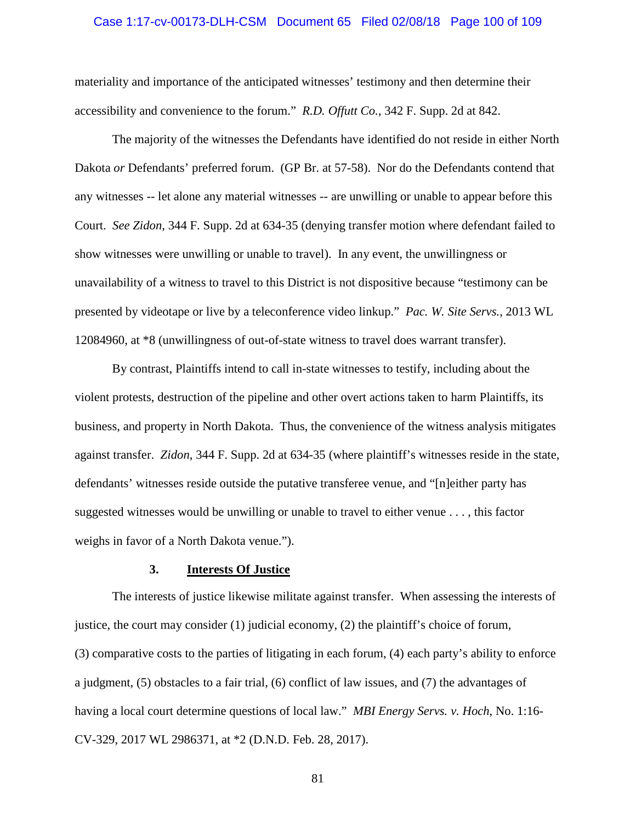#### Case 1:17-cv-00173-DLH-CSM Document 65 Filed 02/08/18 Page 100 of 109

materiality and importance of the anticipated witnesses' testimony and then determine their accessibility and convenience to the forum." *R.D. Offutt Co.*, 342 F. Supp. 2d at 842.

The majority of the witnesses the Defendants have identified do not reside in either North Dakota *or* Defendants' preferred forum. (GP Br. at 57-58). Nor do the Defendants contend that any witnesses -- let alone any material witnesses -- are unwilling or unable to appear before this Court. *See Zidon*, 344 F. Supp. 2d at 634-35 (denying transfer motion where defendant failed to show witnesses were unwilling or unable to travel). In any event, the unwillingness or unavailability of a witness to travel to this District is not dispositive because "testimony can be presented by videotape or live by a teleconference video linkup." *Pac. W. Site Servs.*, 2013 WL 12084960, at \*8 (unwillingness of out-of-state witness to travel does warrant transfer).

By contrast, Plaintiffs intend to call in-state witnesses to testify, including about the violent protests, destruction of the pipeline and other overt actions taken to harm Plaintiffs, its business, and property in North Dakota. Thus, the convenience of the witness analysis mitigates against transfer. *Zidon*, 344 F. Supp. 2d at 634-35 (where plaintiff's witnesses reside in the state, defendants' witnesses reside outside the putative transferee venue, and "[n]either party has suggested witnesses would be unwilling or unable to travel to either venue . . . , this factor weighs in favor of a North Dakota venue.").

#### **3. Interests Of Justice**

The interests of justice likewise militate against transfer. When assessing the interests of justice, the court may consider (1) judicial economy, (2) the plaintiff's choice of forum, (3) comparative costs to the parties of litigating in each forum, (4) each party's ability to enforce a judgment, (5) obstacles to a fair trial, (6) conflict of law issues, and (7) the advantages of having a local court determine questions of local law." *MBI Energy Servs. v. Hoch*, No. 1:16- CV-329, 2017 WL 2986371, at \*2 (D.N.D. Feb. 28, 2017).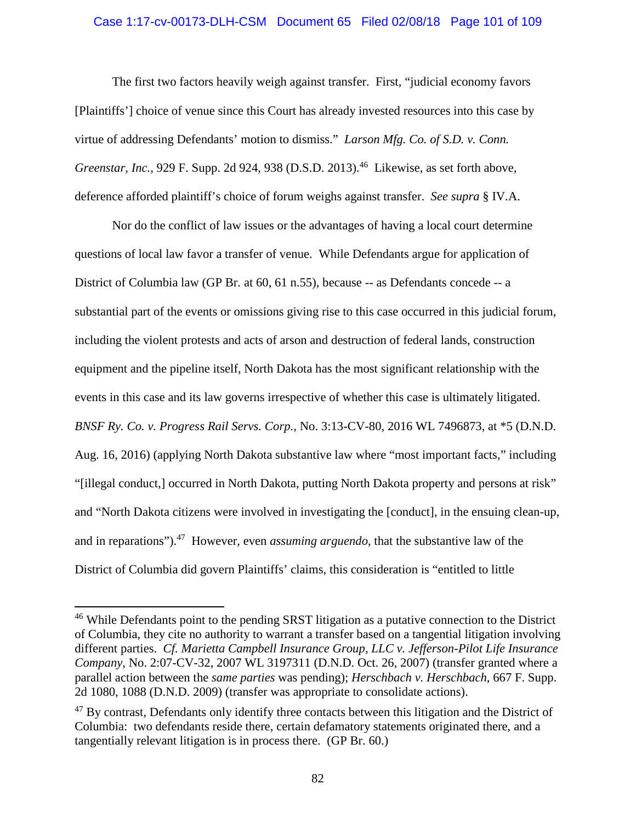## Case 1:17-cv-00173-DLH-CSM Document 65 Filed 02/08/18 Page 101 of 109

The first two factors heavily weigh against transfer. First, "judicial economy favors [Plaintiffs'] choice of venue since this Court has already invested resources into this case by virtue of addressing Defendants' motion to dismiss." *Larson Mfg. Co. of S.D. v. Conn. Greenstar, Inc.*, 929 F. Supp. 2d 924, 938 (D.S.D. 2013).<sup>46</sup> Likewise, as set forth above, deference afforded plaintiff's choice of forum weighs against transfer. *See supra* § IV.A.

Nor do the conflict of law issues or the advantages of having a local court determine questions of local law favor a transfer of venue. While Defendants argue for application of District of Columbia law (GP Br. at 60, 61 n.55), because -- as Defendants concede -- a substantial part of the events or omissions giving rise to this case occurred in this judicial forum, including the violent protests and acts of arson and destruction of federal lands, construction equipment and the pipeline itself, North Dakota has the most significant relationship with the events in this case and its law governs irrespective of whether this case is ultimately litigated. *BNSF Ry. Co. v. Progress Rail Servs. Corp.*, No. 3:13-CV-80, 2016 WL 7496873, at \*5 (D.N.D. Aug. 16, 2016) (applying North Dakota substantive law where "most important facts," including "[illegal conduct,] occurred in North Dakota, putting North Dakota property and persons at risk" and "North Dakota citizens were involved in investigating the [conduct], in the ensuing clean-up, and in reparations").<sup>47</sup> However, even *assuming arguendo*, that the substantive law of the District of Columbia did govern Plaintiffs' claims, this consideration is "entitled to little

<sup>&</sup>lt;sup>46</sup> While Defendants point to the pending SRST litigation as a putative connection to the District of Columbia, they cite no authority to warrant a transfer based on a tangential litigation involving different parties. *Cf. Marietta Campbell Insurance Group, LLC v. Jefferson-Pilot Life Insurance Company*, No. 2:07-CV-32, 2007 WL 3197311 (D.N.D. Oct. 26, 2007) (transfer granted where a parallel action between the *same parties* was pending); *Herschbach v. Herschbach*, 667 F. Supp. 2d 1080, 1088 (D.N.D. 2009) (transfer was appropriate to consolidate actions).

<sup>&</sup>lt;sup>47</sup> By contrast, Defendants only identify three contacts between this litigation and the District of Columbia: two defendants reside there, certain defamatory statements originated there, and a tangentially relevant litigation is in process there. (GP Br. 60.)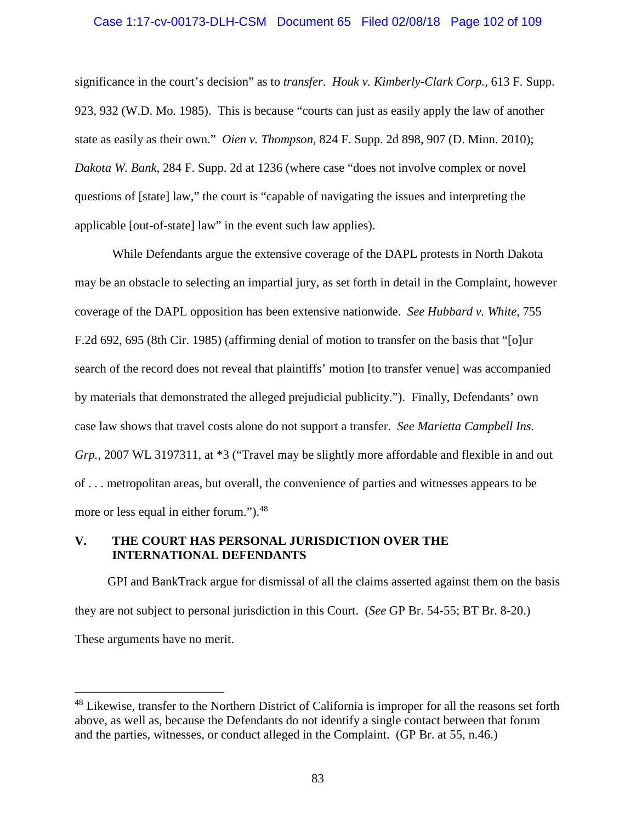# Case 1:17-cv-00173-DLH-CSM Document 65 Filed 02/08/18 Page 102 of 109

significance in the court's decision" as to *transfer*. *Houk v. Kimberly-Clark Corp.*, 613 F. Supp. 923, 932 (W.D. Mo. 1985). This is because "courts can just as easily apply the law of another state as easily as their own." *Oien v. Thompson*, 824 F. Supp. 2d 898, 907 (D. Minn. 2010); *Dakota W. Bank*, 284 F. Supp. 2d at 1236 (where case "does not involve complex or novel questions of [state] law," the court is "capable of navigating the issues and interpreting the applicable [out-of-state] law" in the event such law applies).

While Defendants argue the extensive coverage of the DAPL protests in North Dakota may be an obstacle to selecting an impartial jury, as set forth in detail in the Complaint, however coverage of the DAPL opposition has been extensive nationwide. *See Hubbard v. White*, 755 F.2d 692, 695 (8th Cir. 1985) (affirming denial of motion to transfer on the basis that "[o]ur search of the record does not reveal that plaintiffs' motion [to transfer venue] was accompanied by materials that demonstrated the alleged prejudicial publicity."). Finally, Defendants' own case law shows that travel costs alone do not support a transfer. *See Marietta Campbell Ins. Grp.*, 2007 WL 3197311, at \*3 ("Travel may be slightly more affordable and flexible in and out of . . . metropolitan areas, but overall, the convenience of parties and witnesses appears to be more or less equal in either forum.").<sup>48</sup>

## **V. THE COURT HAS PERSONAL JURISDICTION OVER THE INTERNATIONAL DEFENDANTS**

GPI and BankTrack argue for dismissal of all the claims asserted against them on the basis they are not subject to personal jurisdiction in this Court. (*See* GP Br. 54-55; BT Br. 8-20.) These arguments have no merit.

<sup>&</sup>lt;sup>48</sup> Likewise, transfer to the Northern District of California is improper for all the reasons set forth above, as well as, because the Defendants do not identify a single contact between that forum and the parties, witnesses, or conduct alleged in the Complaint. (GP Br. at 55, n.46.)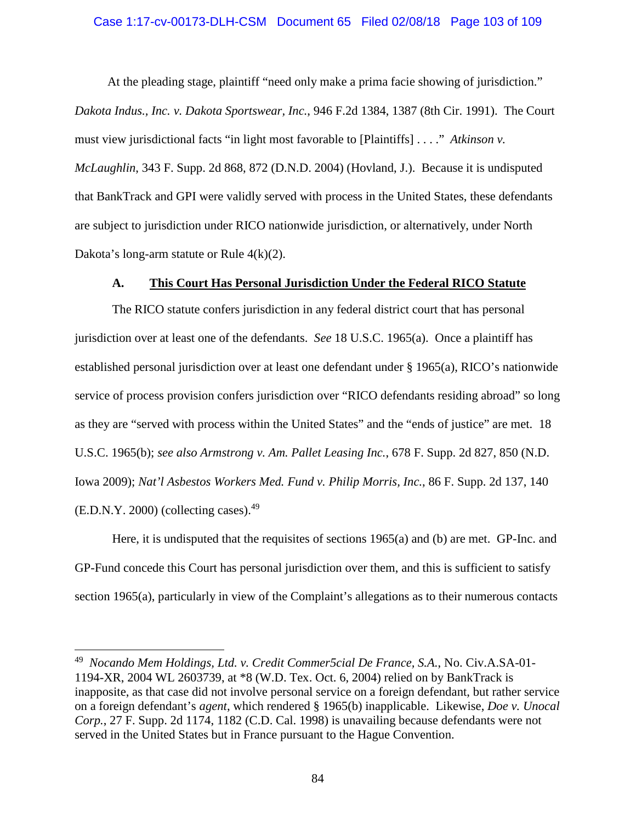# Case 1:17-cv-00173-DLH-CSM Document 65 Filed 02/08/18 Page 103 of 109

At the pleading stage, plaintiff "need only make a prima facie showing of jurisdiction."

*Dakota Indus., Inc. v. Dakota Sportswear, Inc.*, 946 F.2d 1384, 1387 (8th Cir. 1991). The Court must view jurisdictional facts "in light most favorable to [Plaintiffs] . . . ." *Atkinson v. McLaughlin*, 343 F. Supp. 2d 868, 872 (D.N.D. 2004) (Hovland, J.). Because it is undisputed that BankTrack and GPI were validly served with process in the United States, these defendants are subject to jurisdiction under RICO nationwide jurisdiction, or alternatively, under North Dakota's long-arm statute or Rule 4(k)(2).

## **A. This Court Has Personal Jurisdiction Under the Federal RICO Statute**

The RICO statute confers jurisdiction in any federal district court that has personal jurisdiction over at least one of the defendants. *See* 18 U.S.C. 1965(a). Once a plaintiff has established personal jurisdiction over at least one defendant under § 1965(a), RICO's nationwide service of process provision confers jurisdiction over "RICO defendants residing abroad" so long as they are "served with process within the United States" and the "ends of justice" are met. 18 U.S.C. 1965(b); *see also Armstrong v. Am. Pallet Leasing Inc.*, 678 F. Supp. 2d 827, 850 (N.D. Iowa 2009); *Nat'l Asbestos Workers Med. Fund v. Philip Morris, Inc.*, 86 F. Supp. 2d 137, 140  $(E.D.N.Y. 2000)$  (collecting cases).<sup>49</sup>

Here, it is undisputed that the requisites of sections 1965(a) and (b) are met. GP-Inc. and GP-Fund concede this Court has personal jurisdiction over them, and this is sufficient to satisfy section 1965(a), particularly in view of the Complaint's allegations as to their numerous contacts

<sup>49</sup> *Nocando Mem Holdings, Ltd. v. Credit Commer5cial De France, S.A.*, No. Civ.A.SA-01- 1194-XR, 2004 WL 2603739, at \*8 (W.D. Tex. Oct. 6, 2004) relied on by BankTrack is inapposite, as that case did not involve personal service on a foreign defendant, but rather service on a foreign defendant's *agent*, which rendered § 1965(b) inapplicable. Likewise, *Doe v. Unocal Corp.*, 27 F. Supp. 2d 1174, 1182 (C.D. Cal. 1998) is unavailing because defendants were not served in the United States but in France pursuant to the Hague Convention.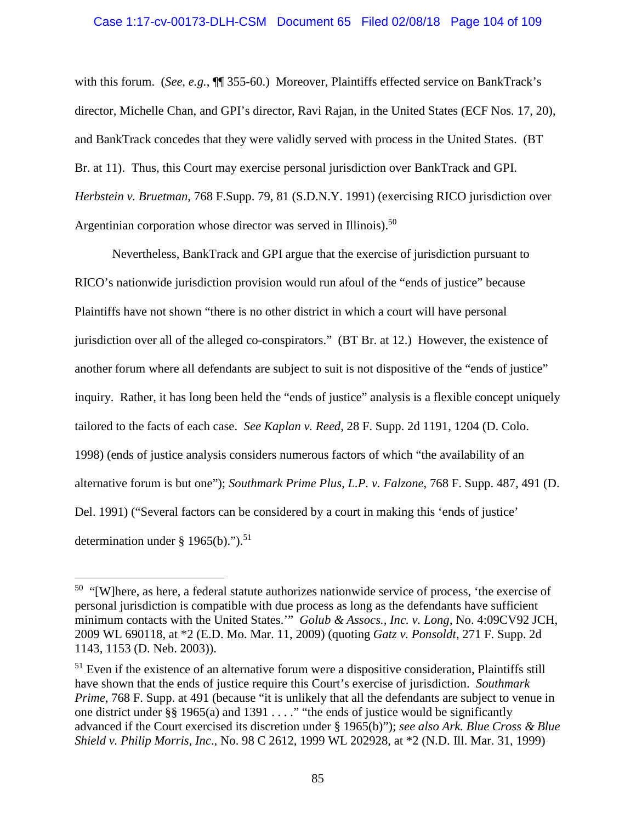## Case 1:17-cv-00173-DLH-CSM Document 65 Filed 02/08/18 Page 104 of 109

with this forum. (*See, e.g.*,  $\P$ <sup> $\hat{A}$  355-60.) Moreover, Plaintiffs effected service on BankTrack's</sup> director, Michelle Chan, and GPI's director, Ravi Rajan, in the United States (ECF Nos. 17, 20), and BankTrack concedes that they were validly served with process in the United States. (BT Br. at 11). Thus, this Court may exercise personal jurisdiction over BankTrack and GPI. *Herbstein v. Bruetman*, 768 F.Supp. 79, 81 (S.D.N.Y. 1991) (exercising RICO jurisdiction over Argentinian corporation whose director was served in Illinois).<sup>50</sup>

Nevertheless, BankTrack and GPI argue that the exercise of jurisdiction pursuant to RICO's nationwide jurisdiction provision would run afoul of the "ends of justice" because Plaintiffs have not shown "there is no other district in which a court will have personal jurisdiction over all of the alleged co-conspirators." (BT Br. at 12.) However, the existence of another forum where all defendants are subject to suit is not dispositive of the "ends of justice" inquiry. Rather, it has long been held the "ends of justice" analysis is a flexible concept uniquely tailored to the facts of each case. *See Kaplan v. Reed*, 28 F. Supp. 2d 1191, 1204 (D. Colo. 1998) (ends of justice analysis considers numerous factors of which "the availability of an alternative forum is but one"); *Southmark Prime Plus, L.P. v. Falzone*, 768 F. Supp. 487, 491 (D. Del. 1991) ("Several factors can be considered by a court in making this 'ends of justice' determination under  $\S$  1965(b).").<sup>51</sup>

 $50$  "[W]here, as here, a federal statute authorizes nationwide service of process, 'the exercise of personal jurisdiction is compatible with due process as long as the defendants have sufficient minimum contacts with the United States.'" *Golub & Assocs., Inc. v. Long*, No. 4:09CV92 JCH, 2009 WL 690118, at \*2 (E.D. Mo. Mar. 11, 2009) (quoting *Gatz v. Ponsoldt*, 271 F. Supp. 2d 1143, 1153 (D. Neb. 2003)).

 $51$  Even if the existence of an alternative forum were a dispositive consideration, Plaintiffs still have shown that the ends of justice require this Court's exercise of jurisdiction. *Southmark Prime*, 768 F. Supp. at 491 (because "it is unlikely that all the defendants are subject to venue in one district under §§ 1965(a) and 1391 . . . ." "the ends of justice would be significantly advanced if the Court exercised its discretion under § 1965(b)"); *see also Ark. Blue Cross & Blue Shield v. Philip Morris, Inc*., No. 98 C 2612, 1999 WL 202928, at \*2 (N.D. Ill. Mar. 31, 1999)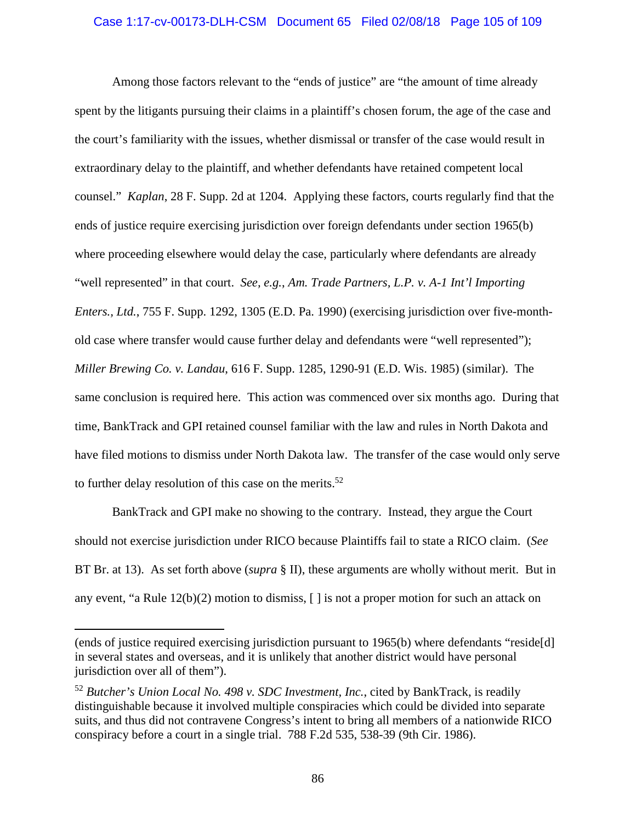# Case 1:17-cv-00173-DLH-CSM Document 65 Filed 02/08/18 Page 105 of 109

Among those factors relevant to the "ends of justice" are "the amount of time already spent by the litigants pursuing their claims in a plaintiff's chosen forum, the age of the case and the court's familiarity with the issues, whether dismissal or transfer of the case would result in extraordinary delay to the plaintiff, and whether defendants have retained competent local counsel." *Kaplan*, 28 F. Supp. 2d at 1204. Applying these factors, courts regularly find that the ends of justice require exercising jurisdiction over foreign defendants under section 1965(b) where proceeding elsewhere would delay the case, particularly where defendants are already "well represented" in that court. *See, e.g.*, *Am. Trade Partners, L.P. v. A-1 Int'l Importing Enters., Ltd.*, 755 F. Supp. 1292, 1305 (E.D. Pa. 1990) (exercising jurisdiction over five-monthold case where transfer would cause further delay and defendants were "well represented"); *Miller Brewing Co. v. Landau*, 616 F. Supp. 1285, 1290-91 (E.D. Wis. 1985) (similar). The same conclusion is required here. This action was commenced over six months ago. During that time, BankTrack and GPI retained counsel familiar with the law and rules in North Dakota and have filed motions to dismiss under North Dakota law. The transfer of the case would only serve to further delay resolution of this case on the merits. $52$ 

BankTrack and GPI make no showing to the contrary. Instead, they argue the Court should not exercise jurisdiction under RICO because Plaintiffs fail to state a RICO claim. (*See* BT Br. at 13). As set forth above (*supra* § II), these arguments are wholly without merit. But in any event, "a Rule 12(b)(2) motion to dismiss, [ ] is not a proper motion for such an attack on

<sup>(</sup>ends of justice required exercising jurisdiction pursuant to 1965(b) where defendants "reside[d] in several states and overseas, and it is unlikely that another district would have personal jurisdiction over all of them").

<sup>52</sup> *Butcher's Union Local No. 498 v. SDC Investment, Inc.*, cited by BankTrack, is readily distinguishable because it involved multiple conspiracies which could be divided into separate suits, and thus did not contravene Congress's intent to bring all members of a nationwide RICO conspiracy before a court in a single trial. 788 F.2d 535, 538-39 (9th Cir. 1986).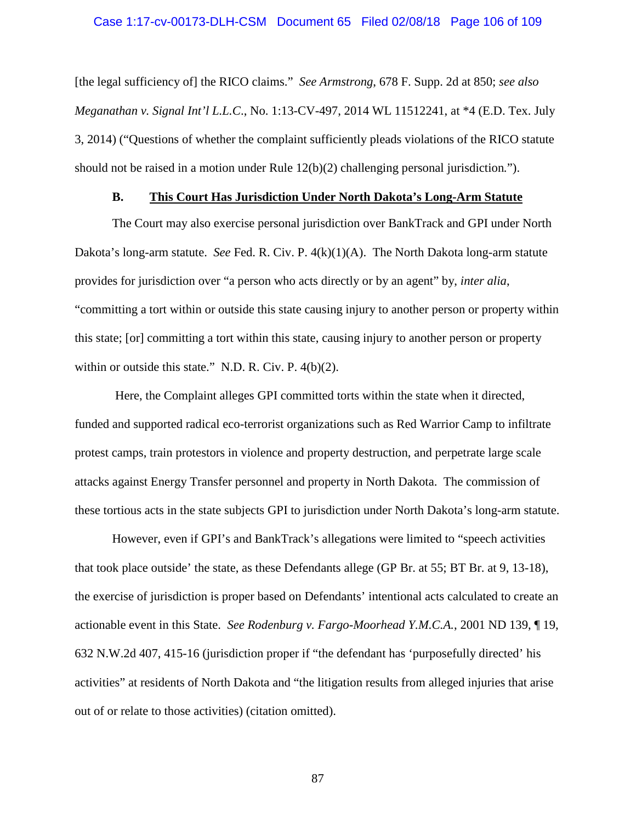#### Case 1:17-cv-00173-DLH-CSM Document 65 Filed 02/08/18 Page 106 of 109

[the legal sufficiency of] the RICO claims." *See Armstrong*, 678 F. Supp. 2d at 850; *see also Meganathan v. Signal Int'l L.L.C*., No. 1:13-CV-497, 2014 WL 11512241, at \*4 (E.D. Tex. July 3, 2014) ("Questions of whether the complaint sufficiently pleads violations of the RICO statute should not be raised in a motion under Rule 12(b)(2) challenging personal jurisdiction*.*").

## **B. This Court Has Jurisdiction Under North Dakota's Long-Arm Statute**

The Court may also exercise personal jurisdiction over BankTrack and GPI under North Dakota's long-arm statute. *See* Fed. R. Civ. P. 4(k)(1)(A). The North Dakota long-arm statute provides for jurisdiction over "a person who acts directly or by an agent" by, *inter alia*, "committing a tort within or outside this state causing injury to another person or property within this state; [or] committing a tort within this state, causing injury to another person or property within or outside this state." N.D. R. Civ. P. 4(b)(2).

Here, the Complaint alleges GPI committed torts within the state when it directed, funded and supported radical eco-terrorist organizations such as Red Warrior Camp to infiltrate protest camps, train protestors in violence and property destruction, and perpetrate large scale attacks against Energy Transfer personnel and property in North Dakota. The commission of these tortious acts in the state subjects GPI to jurisdiction under North Dakota's long-arm statute.

However, even if GPI's and BankTrack's allegations were limited to "speech activities that took place outside' the state, as these Defendants allege (GP Br. at 55; BT Br. at 9, 13-18), the exercise of jurisdiction is proper based on Defendants' intentional acts calculated to create an actionable event in this State. *See Rodenburg v. Fargo-Moorhead Y.M.C.A.*, 2001 ND 139, ¶ 19, 632 N.W.2d 407, 415-16 (jurisdiction proper if "the defendant has 'purposefully directed' his activities" at residents of North Dakota and "the litigation results from alleged injuries that arise out of or relate to those activities) (citation omitted).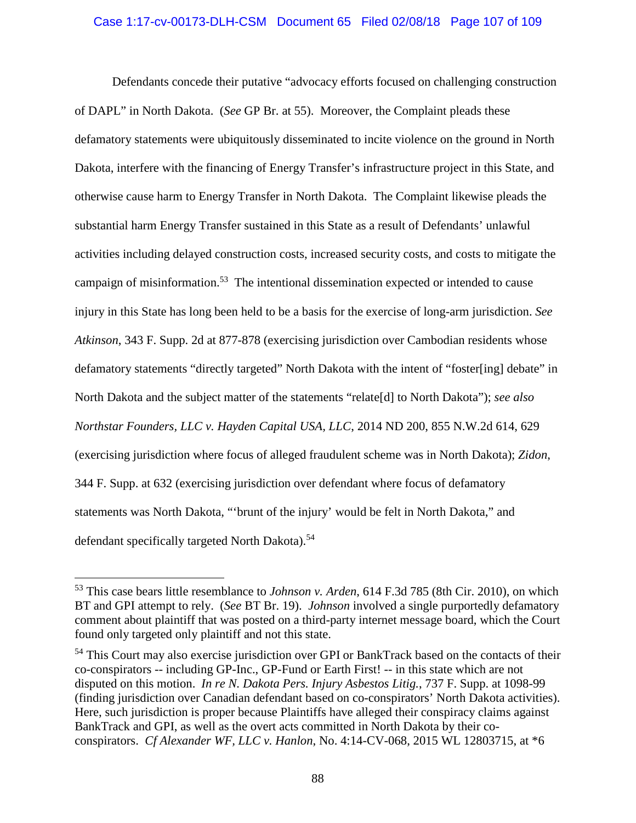## Case 1:17-cv-00173-DLH-CSM Document 65 Filed 02/08/18 Page 107 of 109

Defendants concede their putative "advocacy efforts focused on challenging construction of DAPL" in North Dakota. (*See* GP Br. at 55). Moreover, the Complaint pleads these defamatory statements were ubiquitously disseminated to incite violence on the ground in North Dakota, interfere with the financing of Energy Transfer's infrastructure project in this State, and otherwise cause harm to Energy Transfer in North Dakota. The Complaint likewise pleads the substantial harm Energy Transfer sustained in this State as a result of Defendants' unlawful activities including delayed construction costs, increased security costs, and costs to mitigate the campaign of misinformation.<sup>53</sup> The intentional dissemination expected or intended to cause injury in this State has long been held to be a basis for the exercise of long-arm jurisdiction. *See Atkinson*, 343 F. Supp. 2d at 877-878 (exercising jurisdiction over Cambodian residents whose defamatory statements "directly targeted" North Dakota with the intent of "foster[ing] debate" in North Dakota and the subject matter of the statements "relate[d] to North Dakota"); *see also Northstar Founders, LLC v. Hayden Capital USA, LLC*, 2014 ND 200, 855 N.W.2d 614, 629 (exercising jurisdiction where focus of alleged fraudulent scheme was in North Dakota); *Zidon*, 344 F. Supp. at 632 (exercising jurisdiction over defendant where focus of defamatory statements was North Dakota, "'brunt of the injury' would be felt in North Dakota," and defendant specifically targeted North Dakota).<sup>54</sup>

<sup>53</sup> This case bears little resemblance to *Johnson v. Arden*, 614 F.3d 785 (8th Cir. 2010), on which BT and GPI attempt to rely. (*See* BT Br. 19). *Johnson* involved a single purportedly defamatory comment about plaintiff that was posted on a third-party internet message board, which the Court found only targeted only plaintiff and not this state.

<sup>&</sup>lt;sup>54</sup> This Court may also exercise jurisdiction over GPI or BankTrack based on the contacts of their co-conspirators -- including GP-Inc., GP-Fund or Earth First! -- in this state which are not disputed on this motion. *In re N. Dakota Pers. Injury Asbestos Litig.*, 737 F. Supp. at 1098-99 (finding jurisdiction over Canadian defendant based on co-conspirators' North Dakota activities). Here, such jurisdiction is proper because Plaintiffs have alleged their conspiracy claims against BankTrack and GPI, as well as the overt acts committed in North Dakota by their coconspirators. *Cf Alexander WF, LLC v. Hanlon*, No. 4:14-CV-068, 2015 WL 12803715, at \*6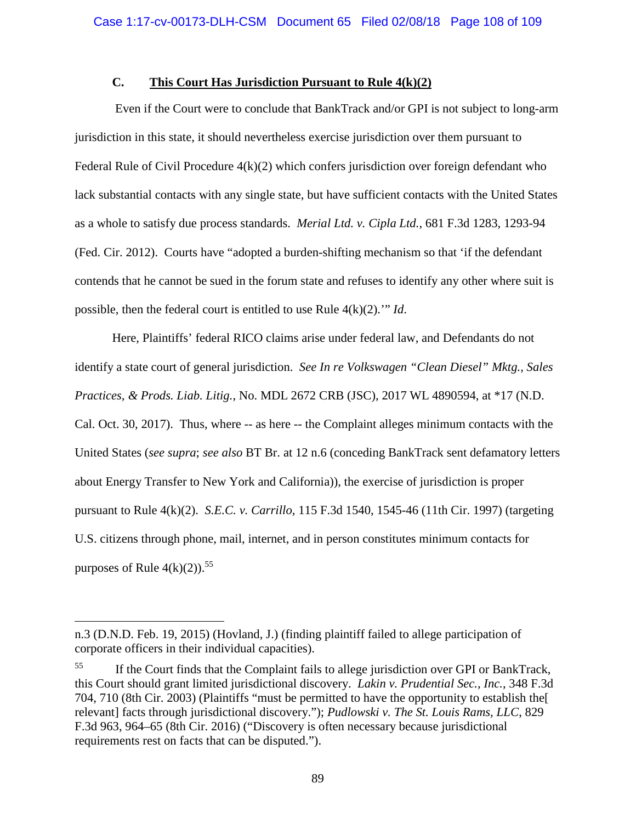# **C. This Court Has Jurisdiction Pursuant to Rule 4(k)(2)**

Even if the Court were to conclude that BankTrack and/or GPI is not subject to long-arm jurisdiction in this state, it should nevertheless exercise jurisdiction over them pursuant to Federal Rule of Civil Procedure  $4(k)(2)$  which confers jurisdiction over foreign defendant who lack substantial contacts with any single state, but have sufficient contacts with the United States as a whole to satisfy due process standards. *Merial Ltd. v. Cipla Ltd.*, 681 F.3d 1283, 1293-94 (Fed. Cir. 2012). Courts have "adopted a burden-shifting mechanism so that 'if the defendant contends that he cannot be sued in the forum state and refuses to identify any other where suit is possible, then the federal court is entitled to use Rule 4(k)(2).'" *Id*.

Here, Plaintiffs' federal RICO claims arise under federal law, and Defendants do not identify a state court of general jurisdiction. *See In re Volkswagen "Clean Diesel" Mktg., Sales Practices, & Prods. Liab. Litig.*, No. MDL 2672 CRB (JSC), 2017 WL 4890594, at \*17 (N.D. Cal. Oct. 30, 2017). Thus, where -- as here -- the Complaint alleges minimum contacts with the United States (*see supra*; *see also* BT Br. at 12 n.6 (conceding BankTrack sent defamatory letters about Energy Transfer to New York and California)), the exercise of jurisdiction is proper pursuant to Rule 4(k)(2). *S.E.C. v. Carrillo*, 115 F.3d 1540, 1545-46 (11th Cir. 1997) (targeting U.S. citizens through phone, mail, internet, and in person constitutes minimum contacts for purposes of Rule  $4(k)(2)$ .<sup>55</sup>

n.3 (D.N.D. Feb. 19, 2015) (Hovland, J.) (finding plaintiff failed to allege participation of corporate officers in their individual capacities).

<sup>&</sup>lt;sup>55</sup> If the Court finds that the Complaint fails to allege jurisdiction over GPI or BankTrack, this Court should grant limited jurisdictional discovery. *Lakin v. Prudential Sec., Inc.*, 348 F.3d 704, 710 (8th Cir. 2003) (Plaintiffs "must be permitted to have the opportunity to establish the[ relevant] facts through jurisdictional discovery."); *Pudlowski v. The St. Louis Rams, LLC*, 829 F.3d 963, 964–65 (8th Cir. 2016) ("Discovery is often necessary because jurisdictional requirements rest on facts that can be disputed.").